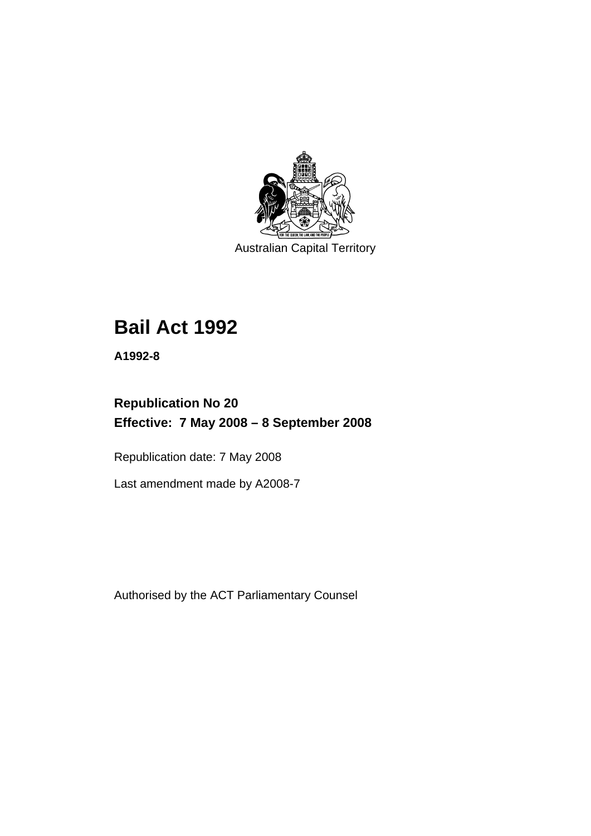

Australian Capital Territory

# **[Bail Act 1992](#page-6-0)**

**A1992-8** 

# **Republication No 20 Effective: 7 May 2008 – 8 September 2008**

Republication date: 7 May 2008

Last amendment made by A2008-7

Authorised by the ACT Parliamentary Counsel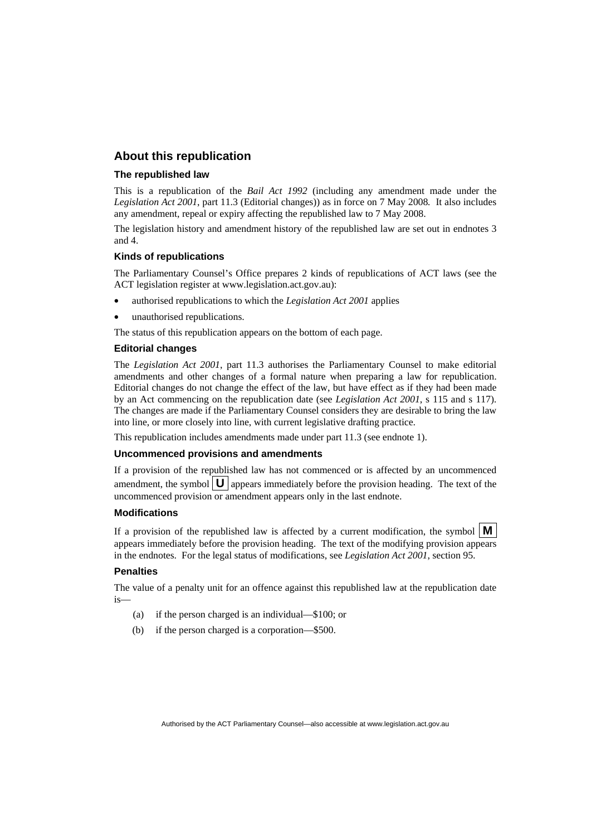#### **About this republication**

#### **The republished law**

This is a republication of the *Bail Act 1992* (including any amendment made under the *Legislation Act 2001*, part 11.3 (Editorial changes)) as in force on 7 May 2008*.* It also includes any amendment, repeal or expiry affecting the republished law to 7 May 2008.

The legislation history and amendment history of the republished law are set out in endnotes 3 and 4.

#### **Kinds of republications**

The Parliamentary Counsel's Office prepares 2 kinds of republications of ACT laws (see the ACT legislation register at www.legislation.act.gov.au):

- authorised republications to which the *Legislation Act 2001* applies
- unauthorised republications.

The status of this republication appears on the bottom of each page.

#### **Editorial changes**

The *Legislation Act 2001*, part 11.3 authorises the Parliamentary Counsel to make editorial amendments and other changes of a formal nature when preparing a law for republication. Editorial changes do not change the effect of the law, but have effect as if they had been made by an Act commencing on the republication date (see *Legislation Act 2001*, s 115 and s 117). The changes are made if the Parliamentary Counsel considers they are desirable to bring the law into line, or more closely into line, with current legislative drafting practice.

This republication includes amendments made under part 11.3 (see endnote 1).

#### **Uncommenced provisions and amendments**

If a provision of the republished law has not commenced or is affected by an uncommenced amendment, the symbol  $\mathbf{U}$  appears immediately before the provision heading. The text of the uncommenced provision or amendment appears only in the last endnote.

#### **Modifications**

If a provision of the republished law is affected by a current modification, the symbol  $\mathbf{M}$ appears immediately before the provision heading. The text of the modifying provision appears in the endnotes. For the legal status of modifications, see *Legislation Act 2001*, section 95.

#### **Penalties**

The value of a penalty unit for an offence against this republished law at the republication date is—

- (a) if the person charged is an individual—\$100; or
- (b) if the person charged is a corporation—\$500.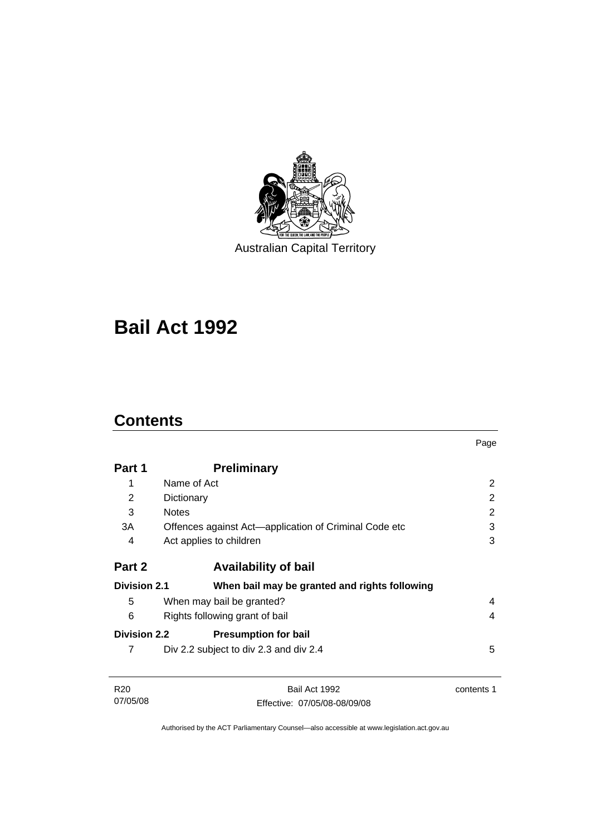

Australian Capital Territory

# **[Bail Act 1992](#page-6-0)**

# **Contents**

|                     |                                                       | Page           |
|---------------------|-------------------------------------------------------|----------------|
| Part 1              | <b>Preliminary</b>                                    |                |
| 1                   | Name of Act                                           | 2              |
| 2                   | Dictionary                                            | $\overline{2}$ |
| 3                   | <b>Notes</b>                                          | $\overline{2}$ |
| 3A                  | Offences against Act-application of Criminal Code etc | 3              |
| 4                   | Act applies to children                               | 3              |
| Part 2              | <b>Availability of bail</b>                           |                |
| <b>Division 2.1</b> | When bail may be granted and rights following         |                |
| 5                   | When may bail be granted?                             | 4              |
| 6                   | Rights following grant of bail                        | 4              |
| <b>Division 2.2</b> | <b>Presumption for bail</b>                           |                |
| 7                   | Div 2.2 subject to div 2.3 and div 2.4                | 5              |
| R <sub>20</sub>     | Bail Act 1992                                         | contents 1     |
| 07/05/08            | Effective: 07/05/08-08/09/08                          |                |

Authorised by the ACT Parliamentary Counsel—also accessible at www.legislation.act.gov.au

Effective: 07/05/08-08/09/08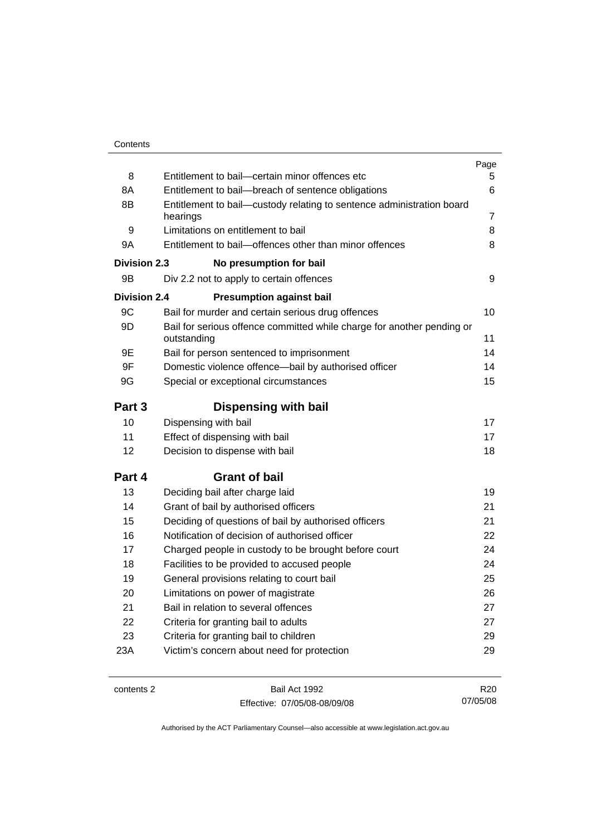|                     |                                                                                       | Page            |
|---------------------|---------------------------------------------------------------------------------------|-----------------|
| 8                   | Entitlement to bail-certain minor offences etc                                        | 5               |
| 8A                  | Entitlement to bail-breach of sentence obligations                                    | 6               |
| 8B                  | Entitlement to bail—custody relating to sentence administration board                 |                 |
|                     | hearings                                                                              | 7               |
| 9                   | Limitations on entitlement to bail                                                    | 8               |
| 9A                  | Entitlement to bail-offences other than minor offences                                | 8               |
| <b>Division 2.3</b> | No presumption for bail                                                               |                 |
| 9B                  | Div 2.2 not to apply to certain offences                                              | 9               |
| <b>Division 2.4</b> | <b>Presumption against bail</b>                                                       |                 |
| 9C                  | Bail for murder and certain serious drug offences                                     | 10              |
| 9D                  | Bail for serious offence committed while charge for another pending or<br>outstanding | 11              |
| 9E                  | Bail for person sentenced to imprisonment                                             | 14              |
| 9F                  | Domestic violence offence-bail by authorised officer                                  | 14              |
| 9G                  | Special or exceptional circumstances                                                  |                 |
| Part 3              | <b>Dispensing with bail</b>                                                           |                 |
| 10                  | Dispensing with bail                                                                  | 17              |
| 11                  | Effect of dispensing with bail                                                        | 17              |
| 12                  | Decision to dispense with bail                                                        | 18              |
| Part 4              | <b>Grant of bail</b>                                                                  |                 |
| 13                  | Deciding bail after charge laid                                                       | 19              |
| 14                  | Grant of bail by authorised officers                                                  | 21              |
| 15                  | Deciding of questions of bail by authorised officers                                  | 21              |
| 16                  | Notification of decision of authorised officer                                        | 22              |
| 17                  | Charged people in custody to be brought before court                                  | 24              |
| 18                  | Facilities to be provided to accused people                                           | 24              |
| 19                  | General provisions relating to court bail                                             | 25              |
| 20                  | Limitations on power of magistrate                                                    | 26              |
| 21                  | Bail in relation to several offences                                                  | 27              |
| 22                  | Criteria for granting bail to adults                                                  | 27              |
| 23                  | Criteria for granting bail to children                                                | 29              |
| 23A                 | Victim's concern about need for protection                                            | 29              |
|                     |                                                                                       |                 |
| contents 2          | Bail Act 1992                                                                         | R <sub>20</sub> |

Effective: 07/05/08-08/09/08

R20 07/05/08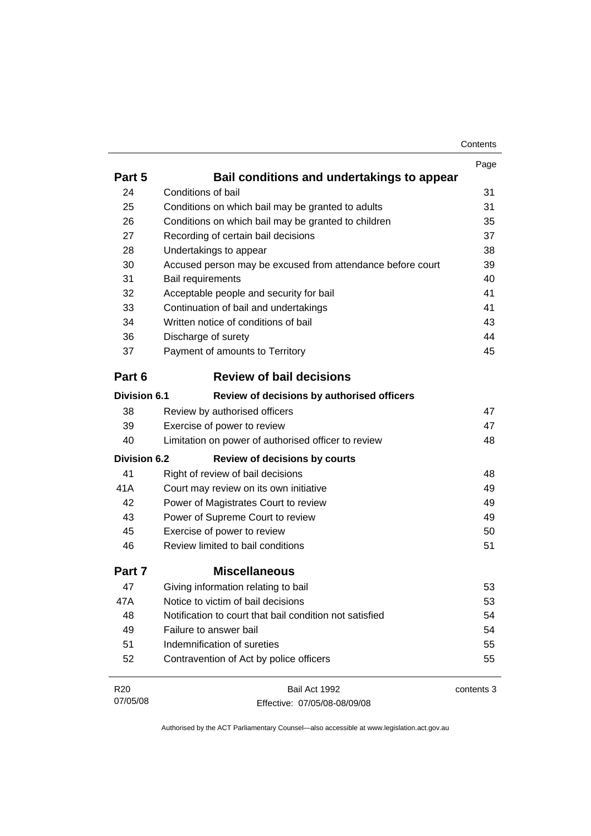| Contents |
|----------|
|----------|

|                     |                                                            | Page       |
|---------------------|------------------------------------------------------------|------------|
| Part 5              | Bail conditions and undertakings to appear                 |            |
| 24                  | Conditions of bail                                         | 31         |
| 25                  | Conditions on which bail may be granted to adults          | 31         |
| 26                  | Conditions on which bail may be granted to children        | 35         |
| 27                  | Recording of certain bail decisions                        | 37         |
| 28                  | Undertakings to appear                                     | 38         |
| 30                  | Accused person may be excused from attendance before court | 39         |
| 31                  | Bail requirements                                          | 40         |
| 32                  | Acceptable people and security for bail                    | 41         |
| 33                  | Continuation of bail and undertakings                      | 41         |
| 34                  | Written notice of conditions of bail                       | 43         |
| 36                  | Discharge of surety                                        | 44         |
| 37                  | Payment of amounts to Territory                            | 45         |
| Part 6              | <b>Review of bail decisions</b>                            |            |
| <b>Division 6.1</b> | Review of decisions by authorised officers                 |            |
| 38                  | Review by authorised officers                              | 47         |
| 39                  | Exercise of power to review                                | 47         |
| 40                  | Limitation on power of authorised officer to review        | 48         |
| <b>Division 6.2</b> | Review of decisions by courts                              |            |
| 41                  | Right of review of bail decisions                          | 48         |
| 41A                 | Court may review on its own initiative                     | 49         |
| 42                  | Power of Magistrates Court to review                       | 49         |
| 43                  | Power of Supreme Court to review                           | 49         |
| 45                  | Exercise of power to review                                | 50         |
| 46                  | Review limited to bail conditions                          | 51         |
| Part 7              | <b>Miscellaneous</b>                                       |            |
| 47                  | Giving information relating to bail                        | 53         |
| 47A                 | Notice to victim of bail decisions                         | 53         |
| 48                  | Notification to court that bail condition not satisfied    | 54         |
| 49                  | Failure to answer bail                                     | 54         |
| 51                  | Indemnification of sureties                                | 55         |
| 52                  | Contravention of Act by police officers                    | 55         |
| R <sub>20</sub>     | Bail Act 1992                                              | contents 3 |
| 07/05/08            | Effective: 07/05/08-08/09/08                               |            |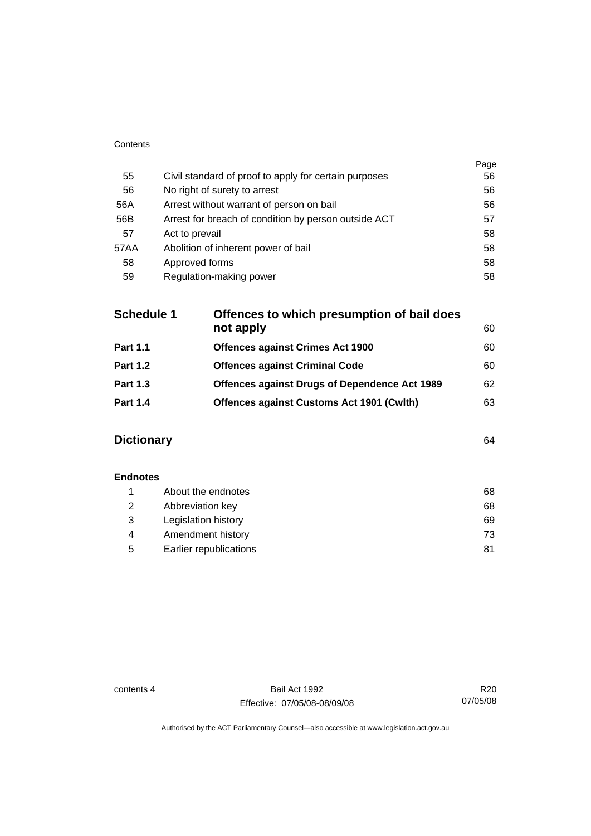|      |                                                       | Page |
|------|-------------------------------------------------------|------|
| 55   | Civil standard of proof to apply for certain purposes | 56   |
| 56   | No right of surety to arrest                          | 56   |
| 56A  | Arrest without warrant of person on bail              | 56   |
| 56B  | Arrest for breach of condition by person outside ACT  | 57   |
| 57   | Act to prevail                                        | 58   |
| 57AA | Abolition of inherent power of bail                   | 58   |
| 58   | Approved forms                                        | 58   |
| 59   | Regulation-making power                               | 58   |

| <b>Schedule 1</b> | Offences to which presumption of bail does           |    |  |
|-------------------|------------------------------------------------------|----|--|
|                   | not apply                                            | 60 |  |
| <b>Part 1.1</b>   | <b>Offences against Crimes Act 1900</b>              | 60 |  |
| <b>Part 1.2</b>   | <b>Offences against Criminal Code</b>                | 60 |  |
| <b>Part 1.3</b>   | <b>Offences against Drugs of Dependence Act 1989</b> | 62 |  |
| <b>Part 1.4</b>   | <b>Offences against Customs Act 1901 (Cwlth)</b>     | 63 |  |
|                   |                                                      |    |  |

# **Dictionary** [64](#page-69-0)

Contents

| <b>Endnotes</b> |                        |    |
|-----------------|------------------------|----|
|                 | About the endnotes     | 68 |
| 2               | Abbreviation key       | 68 |
| 3               | Legislation history    | 69 |
| 4               | Amendment history      | 73 |
| 5               | Earlier republications | 81 |

contents 4 Bail Act 1992 Effective: 07/05/08-08/09/08

R20 07/05/08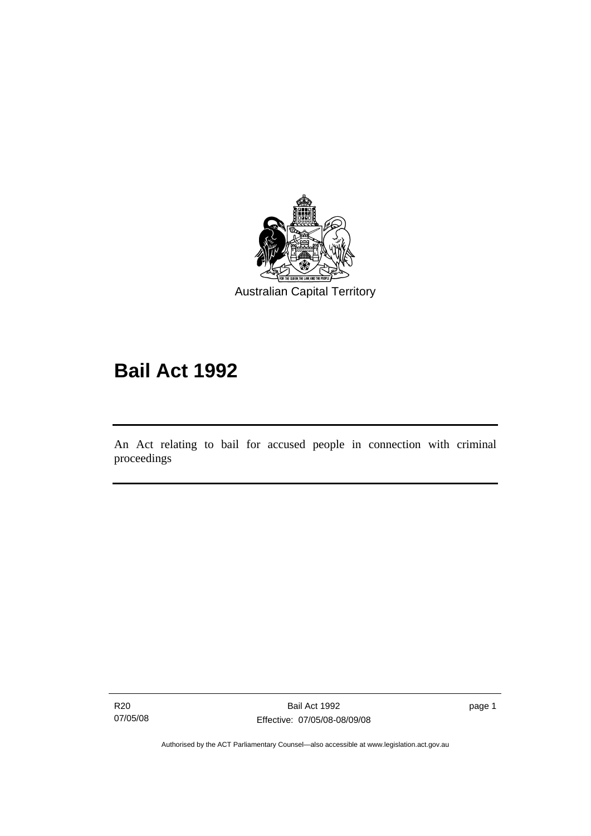<span id="page-6-0"></span>

# **Bail Act 1992**

An Act relating to bail for accused people in connection with criminal proceedings

R20 07/05/08

l

page 1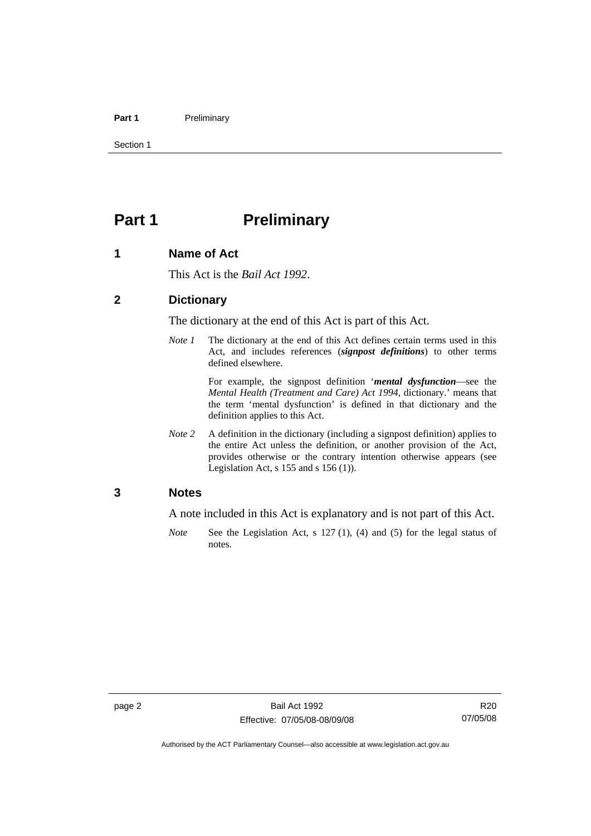#### <span id="page-7-0"></span>Part 1 **Preliminary**

Section 1

# **Part 1** Preliminary

#### **1 Name of Act**

This Act is the *Bail Act 1992*.

#### **2 Dictionary**

The dictionary at the end of this Act is part of this Act.

*Note 1* The dictionary at the end of this Act defines certain terms used in this Act, and includes references (*signpost definitions*) to other terms defined elsewhere.

> For example, the signpost definition '*mental dysfunction*—see the *Mental Health (Treatment and Care) Act 1994*, dictionary.' means that the term 'mental dysfunction' is defined in that dictionary and the definition applies to this Act.

*Note* 2 A definition in the dictionary (including a signpost definition) applies to the entire Act unless the definition, or another provision of the Act, provides otherwise or the contrary intention otherwise appears (see Legislation Act, s  $155$  and s  $156$  (1)).

#### **3 Notes**

A note included in this Act is explanatory and is not part of this Act.

*Note* See the Legislation Act, s 127 (1), (4) and (5) for the legal status of notes.

R20 07/05/08

Authorised by the ACT Parliamentary Counsel—also accessible at www.legislation.act.gov.au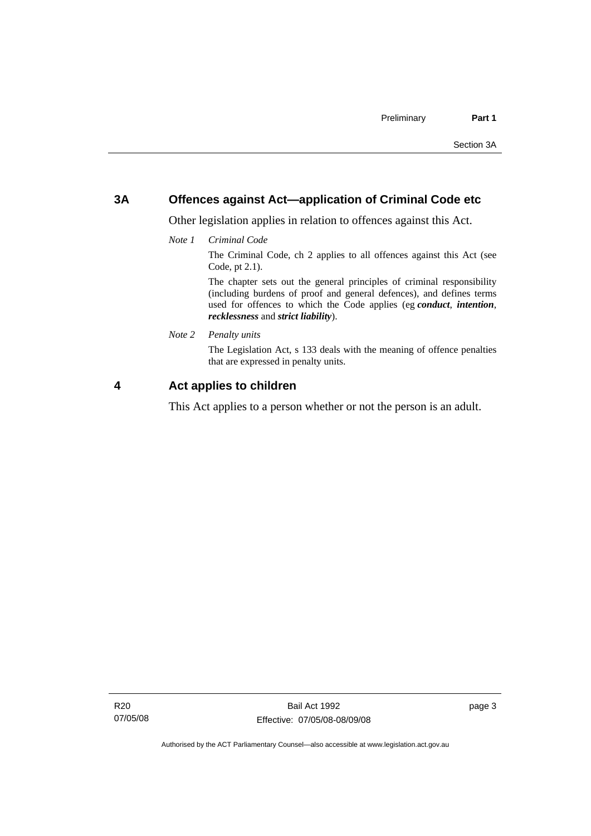## <span id="page-8-0"></span>**3A Offences against Act—application of Criminal Code etc**

Other legislation applies in relation to offences against this Act.

*Note 1 Criminal Code*

The Criminal Code, ch 2 applies to all offences against this Act (see Code, pt 2.1).

The chapter sets out the general principles of criminal responsibility (including burdens of proof and general defences), and defines terms used for offences to which the Code applies (eg *conduct*, *intention*, *recklessness* and *strict liability*).

*Note 2 Penalty units* 

The Legislation Act, s 133 deals with the meaning of offence penalties that are expressed in penalty units.

## **4 Act applies to children**

This Act applies to a person whether or not the person is an adult.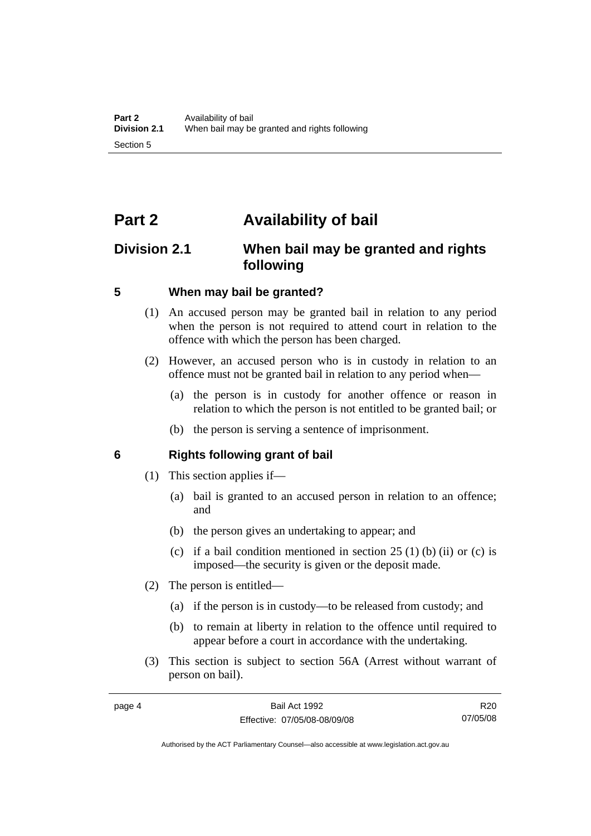# <span id="page-9-0"></span>**Part 2 Availability of bail**

# **Division 2.1 When bail may be granted and rights following**

#### **5 When may bail be granted?**

- (1) An accused person may be granted bail in relation to any period when the person is not required to attend court in relation to the offence with which the person has been charged.
- (2) However, an accused person who is in custody in relation to an offence must not be granted bail in relation to any period when—
	- (a) the person is in custody for another offence or reason in relation to which the person is not entitled to be granted bail; or
	- (b) the person is serving a sentence of imprisonment.

#### **6 Rights following grant of bail**

- (1) This section applies if—
	- (a) bail is granted to an accused person in relation to an offence; and
	- (b) the person gives an undertaking to appear; and
	- (c) if a bail condition mentioned in section  $25(1)$  (b) (ii) or (c) is imposed—the security is given or the deposit made.
- (2) The person is entitled—
	- (a) if the person is in custody—to be released from custody; and
	- (b) to remain at liberty in relation to the offence until required to appear before a court in accordance with the undertaking.
- (3) This section is subject to section 56A (Arrest without warrant of person on bail).

R20 07/05/08

Authorised by the ACT Parliamentary Counsel—also accessible at www.legislation.act.gov.au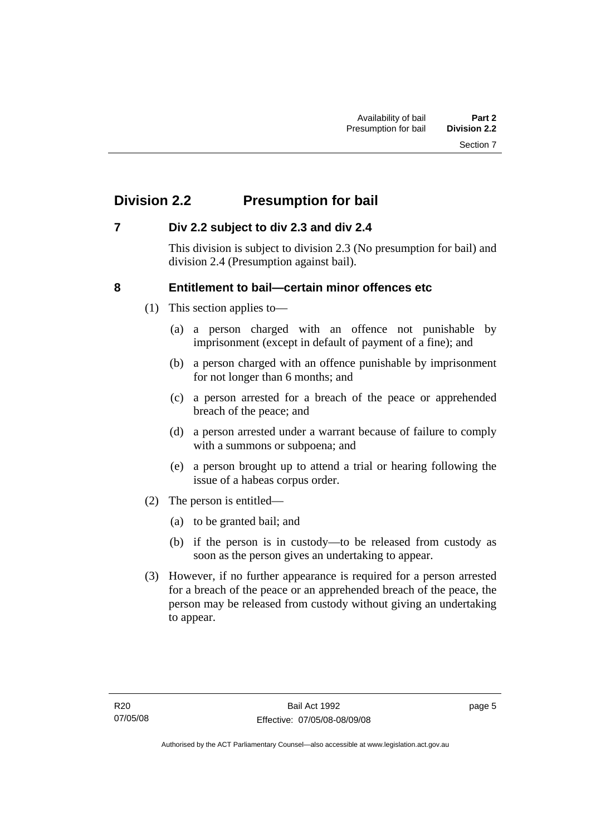# <span id="page-10-0"></span>**Division 2.2 Presumption for bail**

## **7 Div 2.2 subject to div 2.3 and div 2.4**

This division is subject to division 2.3 (No presumption for bail) and division 2.4 (Presumption against bail).

## **8 Entitlement to bail—certain minor offences etc**

- (1) This section applies to—
	- (a) a person charged with an offence not punishable by imprisonment (except in default of payment of a fine); and
	- (b) a person charged with an offence punishable by imprisonment for not longer than 6 months; and
	- (c) a person arrested for a breach of the peace or apprehended breach of the peace; and
	- (d) a person arrested under a warrant because of failure to comply with a summons or subpoena; and
	- (e) a person brought up to attend a trial or hearing following the issue of a habeas corpus order.
- (2) The person is entitled—
	- (a) to be granted bail; and
	- (b) if the person is in custody—to be released from custody as soon as the person gives an undertaking to appear.
- (3) However, if no further appearance is required for a person arrested for a breach of the peace or an apprehended breach of the peace, the person may be released from custody without giving an undertaking to appear.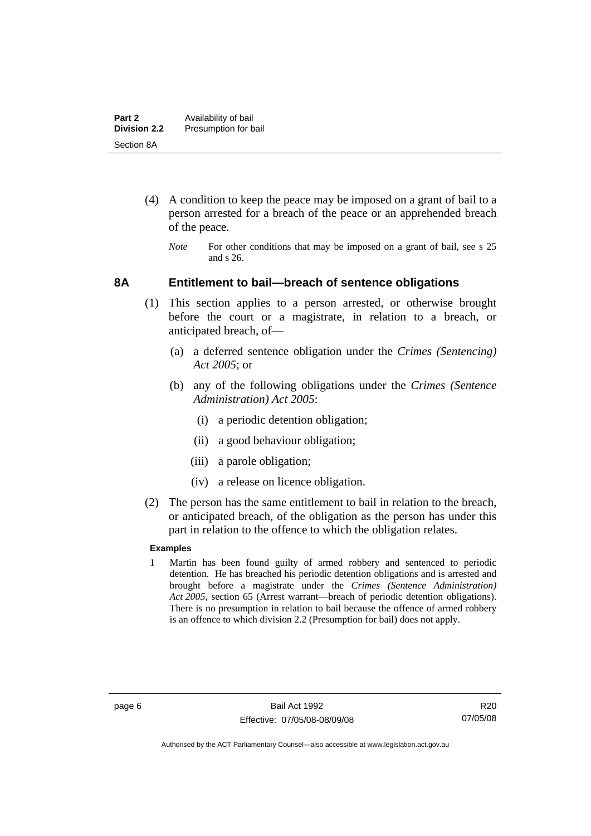- <span id="page-11-0"></span> (4) A condition to keep the peace may be imposed on a grant of bail to a person arrested for a breach of the peace or an apprehended breach of the peace.
	- *Note* For other conditions that may be imposed on a grant of bail, see s 25 and s 26.

#### **8A Entitlement to bail—breach of sentence obligations**

- (1) This section applies to a person arrested, or otherwise brought before the court or a magistrate, in relation to a breach, or anticipated breach, of—
	- (a) a deferred sentence obligation under the *Crimes (Sentencing) Act 2005*; or
	- (b) any of the following obligations under the *Crimes (Sentence Administration) Act 2005*:
		- (i) a periodic detention obligation;
		- (ii) a good behaviour obligation;
		- (iii) a parole obligation;
		- (iv) a release on licence obligation.
- (2) The person has the same entitlement to bail in relation to the breach, or anticipated breach, of the obligation as the person has under this part in relation to the offence to which the obligation relates.

#### **Examples**

1 Martin has been found guilty of armed robbery and sentenced to periodic detention. He has breached his periodic detention obligations and is arrested and brought before a magistrate under the *Crimes (Sentence Administration) Act 2005*, section 65 (Arrest warrant—breach of periodic detention obligations). There is no presumption in relation to bail because the offence of armed robbery is an offence to which division 2.2 (Presumption for bail) does not apply.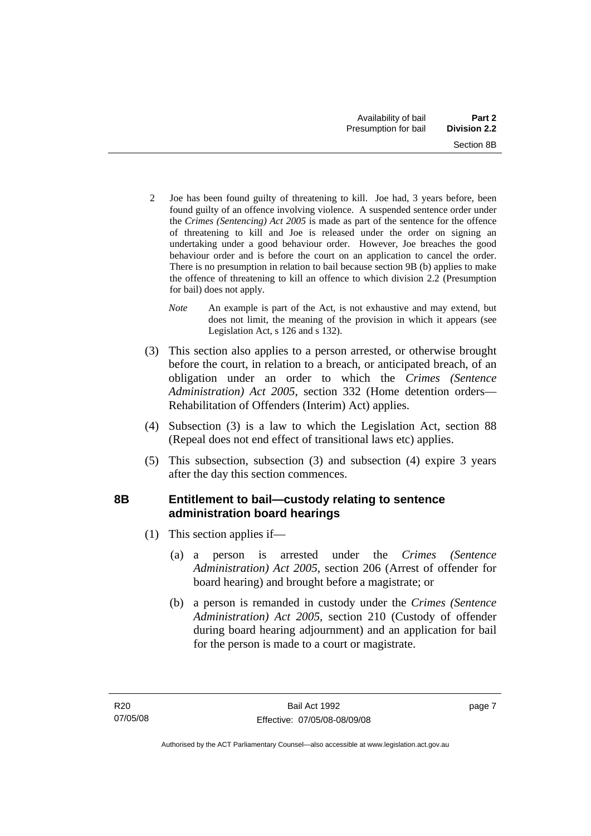- <span id="page-12-0"></span>2 Joe has been found guilty of threatening to kill. Joe had, 3 years before, been found guilty of an offence involving violence. A suspended sentence order under the *Crimes (Sentencing) Act 2005* is made as part of the sentence for the offence of threatening to kill and Joe is released under the order on signing an undertaking under a good behaviour order. However, Joe breaches the good behaviour order and is before the court on an application to cancel the order. There is no presumption in relation to bail because section 9B (b) applies to make the offence of threatening to kill an offence to which division 2.2 (Presumption for bail) does not apply.
	- *Note* An example is part of the Act, is not exhaustive and may extend, but does not limit, the meaning of the provision in which it appears (see Legislation Act, s 126 and s 132).
- (3) This section also applies to a person arrested, or otherwise brought before the court, in relation to a breach, or anticipated breach, of an obligation under an order to which the *Crimes (Sentence Administration) Act 2005*, section 332 (Home detention orders— Rehabilitation of Offenders (Interim) Act) applies.
- (4) Subsection (3) is a law to which the Legislation Act, section 88 (Repeal does not end effect of transitional laws etc) applies.
- (5) This subsection, subsection (3) and subsection (4) expire 3 years after the day this section commences.

# **8B Entitlement to bail—custody relating to sentence administration board hearings**

- (1) This section applies if—
	- (a) a person is arrested under the *Crimes (Sentence Administration) Act 2005*, section 206 (Arrest of offender for board hearing) and brought before a magistrate; or
	- (b) a person is remanded in custody under the *Crimes (Sentence Administration) Act 2005*, section 210 (Custody of offender during board hearing adjournment) and an application for bail for the person is made to a court or magistrate.

page 7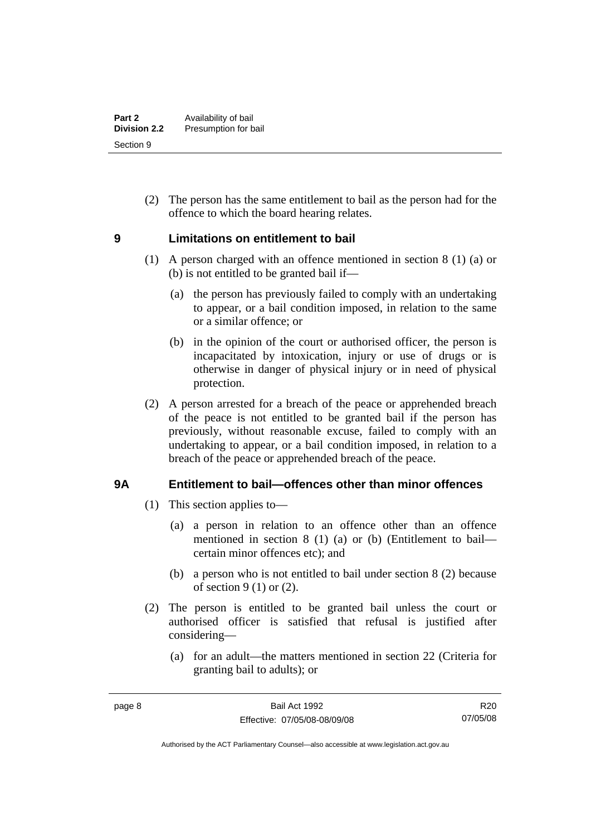<span id="page-13-0"></span> (2) The person has the same entitlement to bail as the person had for the offence to which the board hearing relates.

## **9 Limitations on entitlement to bail**

- (1) A person charged with an offence mentioned in section 8 (1) (a) or (b) is not entitled to be granted bail if—
	- (a) the person has previously failed to comply with an undertaking to appear, or a bail condition imposed, in relation to the same or a similar offence; or
	- (b) in the opinion of the court or authorised officer, the person is incapacitated by intoxication, injury or use of drugs or is otherwise in danger of physical injury or in need of physical protection.
- (2) A person arrested for a breach of the peace or apprehended breach of the peace is not entitled to be granted bail if the person has previously, without reasonable excuse, failed to comply with an undertaking to appear, or a bail condition imposed, in relation to a breach of the peace or apprehended breach of the peace.

## **9A Entitlement to bail—offences other than minor offences**

- (1) This section applies to—
	- (a) a person in relation to an offence other than an offence mentioned in section 8 (1) (a) or (b) (Entitlement to bail certain minor offences etc); and
	- (b) a person who is not entitled to bail under section 8 (2) because of section  $9(1)$  or  $(2)$ .
- (2) The person is entitled to be granted bail unless the court or authorised officer is satisfied that refusal is justified after considering—
	- (a) for an adult—the matters mentioned in section 22 (Criteria for granting bail to adults); or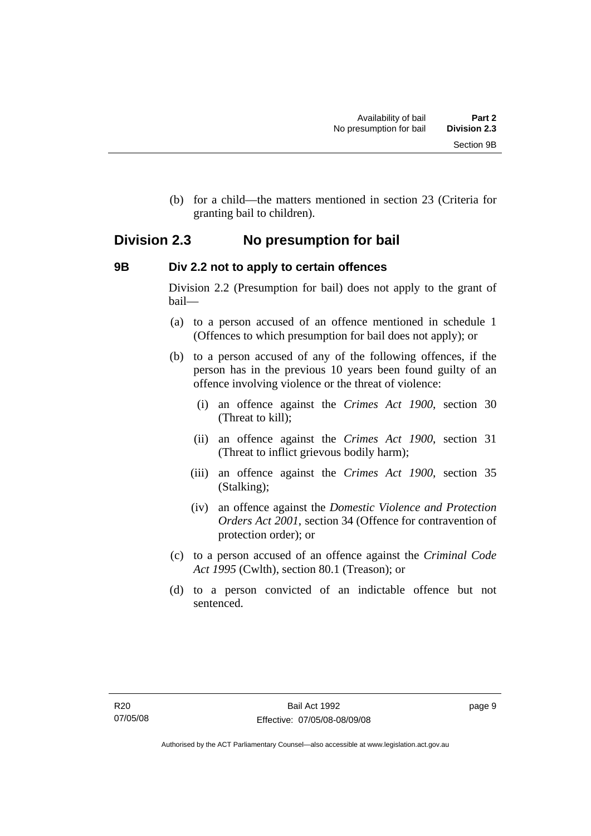<span id="page-14-0"></span> (b) for a child—the matters mentioned in section 23 (Criteria for granting bail to children).

# **Division 2.3 No presumption for bail**

## **9B Div 2.2 not to apply to certain offences**

Division 2.2 (Presumption for bail) does not apply to the grant of bail—

- (a) to a person accused of an offence mentioned in schedule 1 (Offences to which presumption for bail does not apply); or
- (b) to a person accused of any of the following offences, if the person has in the previous 10 years been found guilty of an offence involving violence or the threat of violence:
	- (i) an offence against the *Crimes Act 1900*, section 30 (Threat to kill);
	- (ii) an offence against the *Crimes Act 1900*, section 31 (Threat to inflict grievous bodily harm);
	- (iii) an offence against the *Crimes Act 1900*, section 35 (Stalking);
	- (iv) an offence against the *Domestic Violence and Protection Orders Act 2001*, section 34 (Offence for contravention of protection order); or
- (c) to a person accused of an offence against the *Criminal Code Act 1995* (Cwlth), section 80.1 (Treason); or
- (d) to a person convicted of an indictable offence but not sentenced.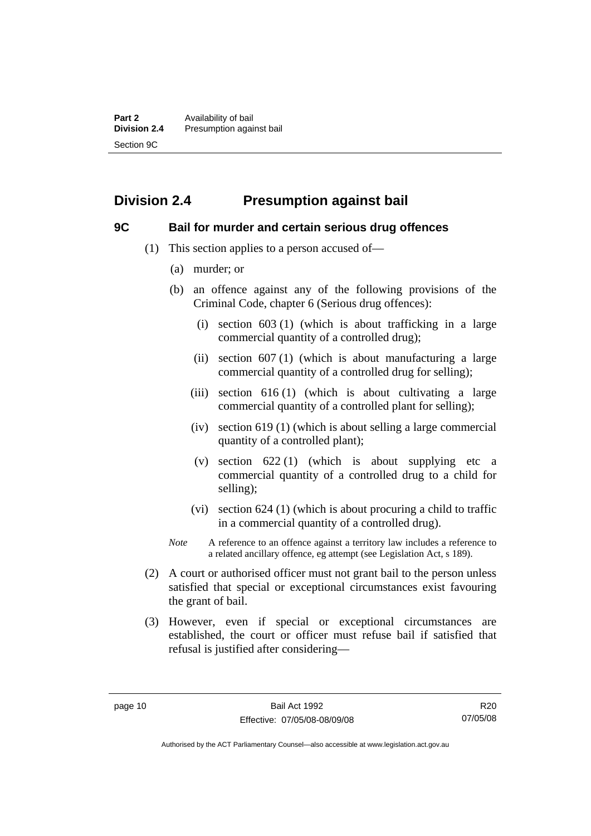# <span id="page-15-0"></span>**Division 2.4 Presumption against bail**

## **9C Bail for murder and certain serious drug offences**

- (1) This section applies to a person accused of—
	- (a) murder; or
	- (b) an offence against any of the following provisions of the Criminal Code, chapter 6 (Serious drug offences):
		- (i) section 603 (1) (which is about trafficking in a large commercial quantity of a controlled drug);
		- (ii) section  $607(1)$  (which is about manufacturing a large commercial quantity of a controlled drug for selling);
		- (iii) section  $616(1)$  (which is about cultivating a large commercial quantity of a controlled plant for selling);
		- (iv) section 619 (1) (which is about selling a large commercial quantity of a controlled plant);
		- (v) section  $622(1)$  (which is about supplying etc a commercial quantity of a controlled drug to a child for selling);
		- (vi) section 624 (1) (which is about procuring a child to traffic in a commercial quantity of a controlled drug).
	- *Note* A reference to an offence against a territory law includes a reference to a related ancillary offence, eg attempt (see Legislation Act, s 189).
- (2) A court or authorised officer must not grant bail to the person unless satisfied that special or exceptional circumstances exist favouring the grant of bail.
- (3) However, even if special or exceptional circumstances are established, the court or officer must refuse bail if satisfied that refusal is justified after considering—

R20 07/05/08

Authorised by the ACT Parliamentary Counsel—also accessible at www.legislation.act.gov.au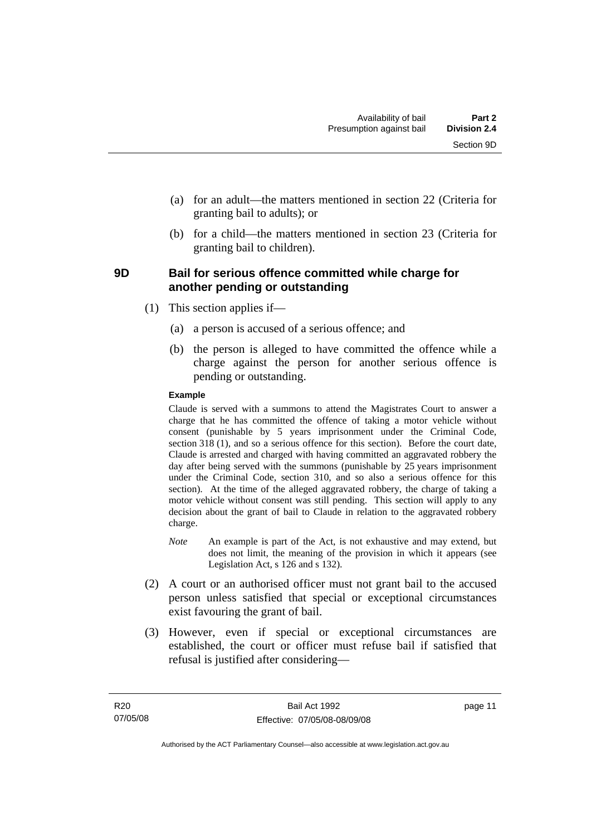- <span id="page-16-0"></span> (a) for an adult—the matters mentioned in section 22 (Criteria for granting bail to adults); or
- (b) for a child—the matters mentioned in section 23 (Criteria for granting bail to children).

#### **9D Bail for serious offence committed while charge for another pending or outstanding**

- (1) This section applies if—
	- (a) a person is accused of a serious offence; and
	- (b) the person is alleged to have committed the offence while a charge against the person for another serious offence is pending or outstanding.

#### **Example**

Claude is served with a summons to attend the Magistrates Court to answer a charge that he has committed the offence of taking a motor vehicle without consent (punishable by 5 years imprisonment under the Criminal Code, section 318 (1), and so a serious offence for this section). Before the court date, Claude is arrested and charged with having committed an aggravated robbery the day after being served with the summons (punishable by 25 years imprisonment under the Criminal Code, section 310, and so also a serious offence for this section). At the time of the alleged aggravated robbery, the charge of taking a motor vehicle without consent was still pending. This section will apply to any decision about the grant of bail to Claude in relation to the aggravated robbery charge.

- *Note* An example is part of the Act, is not exhaustive and may extend, but does not limit, the meaning of the provision in which it appears (see Legislation Act, s 126 and s 132).
- (2) A court or an authorised officer must not grant bail to the accused person unless satisfied that special or exceptional circumstances exist favouring the grant of bail.
- (3) However, even if special or exceptional circumstances are established, the court or officer must refuse bail if satisfied that refusal is justified after considering—

page 11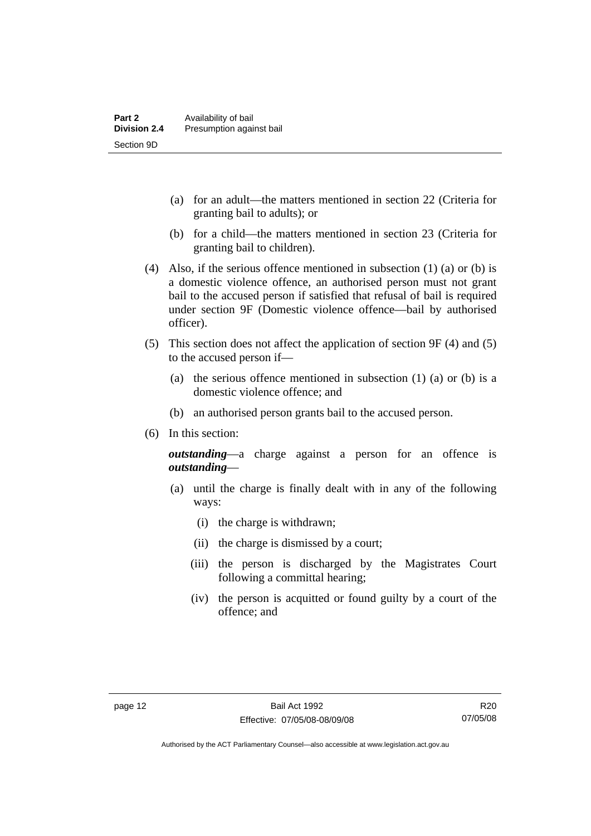- (a) for an adult—the matters mentioned in section 22 (Criteria for granting bail to adults); or
- (b) for a child—the matters mentioned in section 23 (Criteria for granting bail to children).
- (4) Also, if the serious offence mentioned in subsection (1) (a) or (b) is a domestic violence offence, an authorised person must not grant bail to the accused person if satisfied that refusal of bail is required under section 9F (Domestic violence offence—bail by authorised officer).
- (5) This section does not affect the application of section 9F (4) and (5) to the accused person if—
	- (a) the serious offence mentioned in subsection (1) (a) or (b) is a domestic violence offence; and
	- (b) an authorised person grants bail to the accused person.
- (6) In this section:

*outstanding*—a charge against a person for an offence is *outstanding*—

- (a) until the charge is finally dealt with in any of the following ways:
	- (i) the charge is withdrawn;
	- (ii) the charge is dismissed by a court;
	- (iii) the person is discharged by the Magistrates Court following a committal hearing;
	- (iv) the person is acquitted or found guilty by a court of the offence; and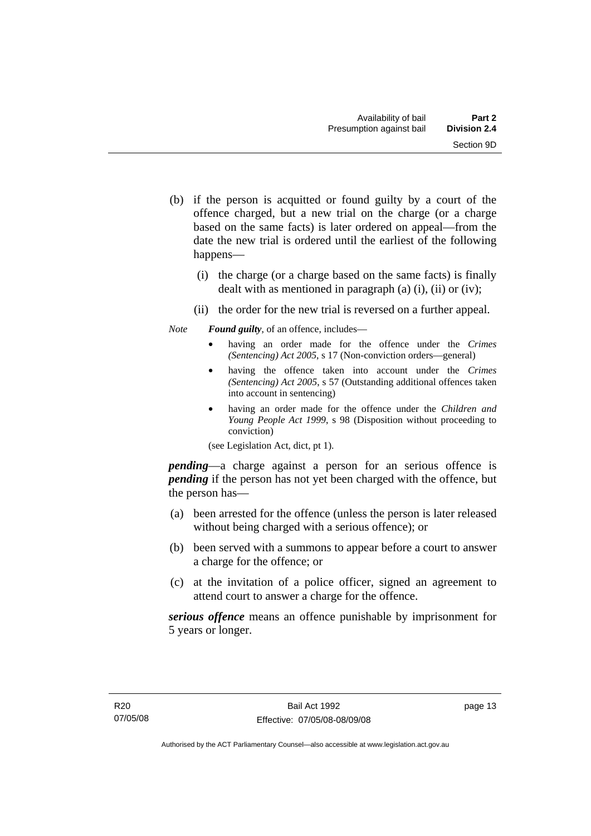- (b) if the person is acquitted or found guilty by a court of the offence charged, but a new trial on the charge (or a charge based on the same facts) is later ordered on appeal—from the date the new trial is ordered until the earliest of the following happens—
	- (i) the charge (or a charge based on the same facts) is finally dealt with as mentioned in paragraph (a)  $(i)$ ,  $(ii)$  or  $(iv)$ ;
	- (ii) the order for the new trial is reversed on a further appeal.

*Note Found guilty*, of an offence, includes—

- having an order made for the offence under the *Crimes (Sentencing) Act 2005*, s 17 (Non-conviction orders—general)
- having the offence taken into account under the *Crimes (Sentencing) Act 2005*, s 57 (Outstanding additional offences taken into account in sentencing)
- having an order made for the offence under the *Children and Young People Act 1999*, s 98 (Disposition without proceeding to conviction)

(see Legislation Act, dict, pt 1).

*pending*—a charge against a person for an serious offence is *pending* if the person has not yet been charged with the offence, but the person has—

- (a) been arrested for the offence (unless the person is later released without being charged with a serious offence); or
- (b) been served with a summons to appear before a court to answer a charge for the offence; or
- (c) at the invitation of a police officer, signed an agreement to attend court to answer a charge for the offence.

*serious offence* means an offence punishable by imprisonment for 5 years or longer.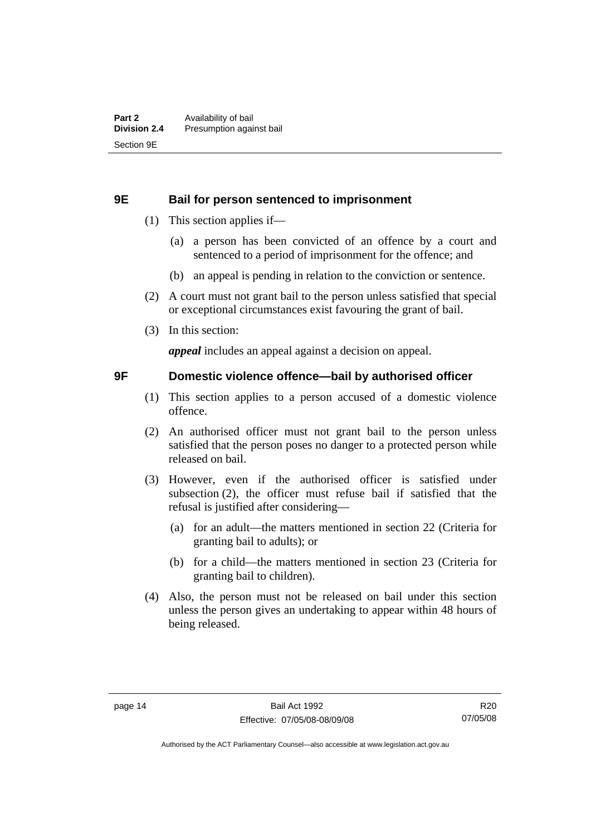#### <span id="page-19-0"></span>**9E Bail for person sentenced to imprisonment**

- (1) This section applies if—
	- (a) a person has been convicted of an offence by a court and sentenced to a period of imprisonment for the offence; and
	- (b) an appeal is pending in relation to the conviction or sentence.
- (2) A court must not grant bail to the person unless satisfied that special or exceptional circumstances exist favouring the grant of bail.
- (3) In this section:

*appeal* includes an appeal against a decision on appeal.

#### **9F Domestic violence offence—bail by authorised officer**

- (1) This section applies to a person accused of a domestic violence offence.
- (2) An authorised officer must not grant bail to the person unless satisfied that the person poses no danger to a protected person while released on bail.
- (3) However, even if the authorised officer is satisfied under subsection (2), the officer must refuse bail if satisfied that the refusal is justified after considering—
	- (a) for an adult—the matters mentioned in section 22 (Criteria for granting bail to adults); or
	- (b) for a child—the matters mentioned in section 23 (Criteria for granting bail to children).
- (4) Also, the person must not be released on bail under this section unless the person gives an undertaking to appear within 48 hours of being released.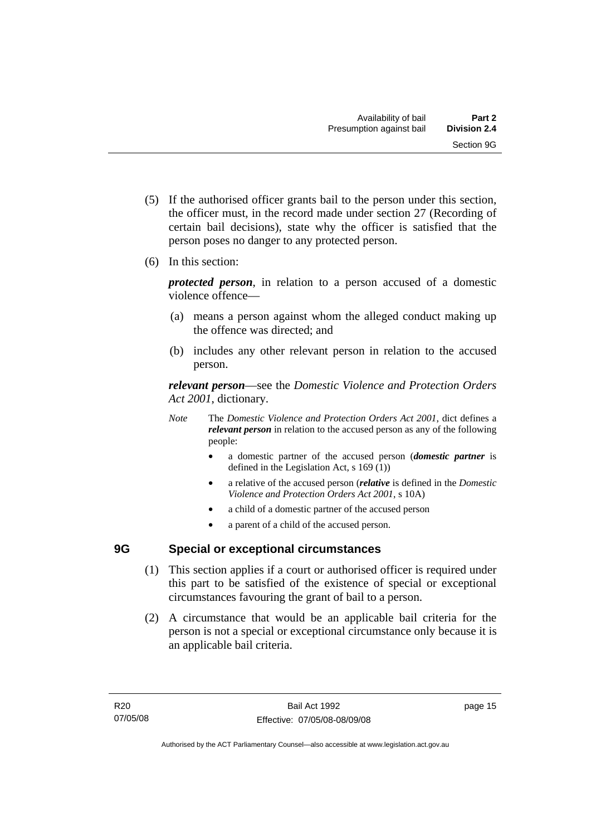- <span id="page-20-0"></span> (5) If the authorised officer grants bail to the person under this section, the officer must, in the record made under section 27 (Recording of certain bail decisions), state why the officer is satisfied that the person poses no danger to any protected person.
- (6) In this section:

*protected person*, in relation to a person accused of a domestic violence offence—

- (a) means a person against whom the alleged conduct making up the offence was directed; and
- (b) includes any other relevant person in relation to the accused person.

*relevant person*—see the *Domestic Violence and Protection Orders Act 2001*, dictionary.

- *Note* The *Domestic Violence and Protection Orders Act 2001*, dict defines a *relevant person* in relation to the accused person as any of the following people:
	- a domestic partner of the accused person (*domestic partner* is defined in the Legislation Act, s 169 (1))
	- a relative of the accused person (*relative* is defined in the *Domestic Violence and Protection Orders Act 2001*, s 10A)
	- a child of a domestic partner of the accused person
	- a parent of a child of the accused person.

# **9G Special or exceptional circumstances**

- (1) This section applies if a court or authorised officer is required under this part to be satisfied of the existence of special or exceptional circumstances favouring the grant of bail to a person.
- (2) A circumstance that would be an applicable bail criteria for the person is not a special or exceptional circumstance only because it is an applicable bail criteria.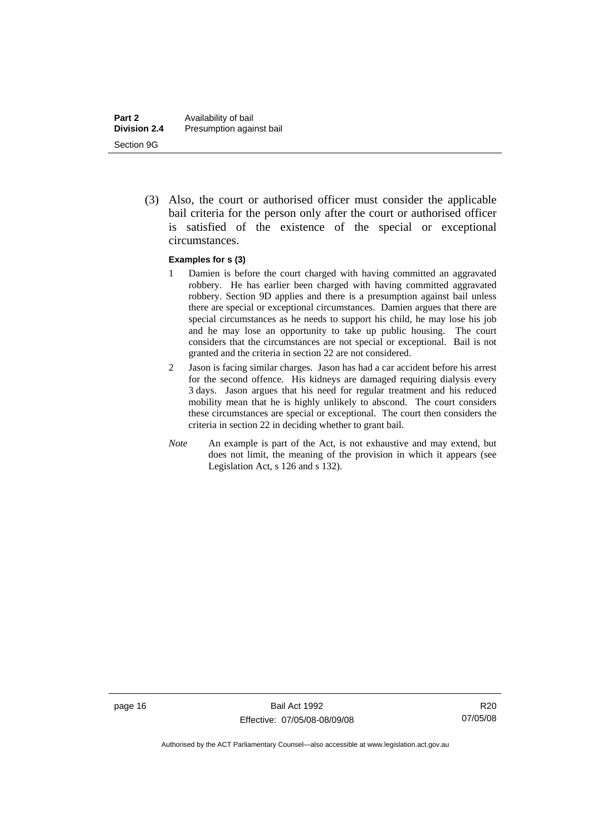(3) Also, the court or authorised officer must consider the applicable bail criteria for the person only after the court or authorised officer is satisfied of the existence of the special or exceptional circumstances.

#### **Examples for s (3)**

- 1 Damien is before the court charged with having committed an aggravated robbery. He has earlier been charged with having committed aggravated robbery. Section 9D applies and there is a presumption against bail unless there are special or exceptional circumstances. Damien argues that there are special circumstances as he needs to support his child, he may lose his job and he may lose an opportunity to take up public housing. The court considers that the circumstances are not special or exceptional. Bail is not granted and the criteria in section 22 are not considered.
- 2 Jason is facing similar charges. Jason has had a car accident before his arrest for the second offence. His kidneys are damaged requiring dialysis every 3 days. Jason argues that his need for regular treatment and his reduced mobility mean that he is highly unlikely to abscond. The court considers these circumstances are special or exceptional. The court then considers the criteria in section 22 in deciding whether to grant bail.
- *Note* An example is part of the Act, is not exhaustive and may extend, but does not limit, the meaning of the provision in which it appears (see Legislation Act, s 126 and s 132).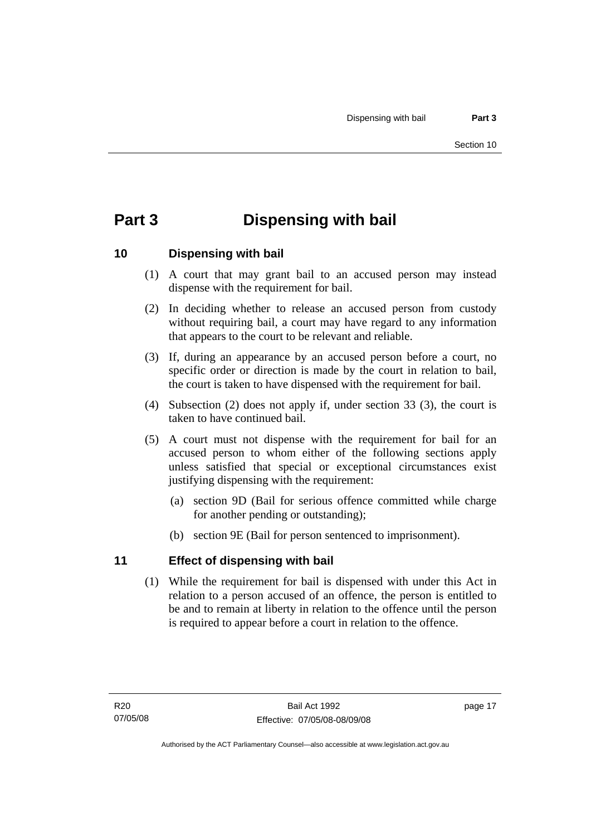# <span id="page-22-0"></span>**Part 3 Dispensing with bail**

## **10 Dispensing with bail**

- (1) A court that may grant bail to an accused person may instead dispense with the requirement for bail.
- (2) In deciding whether to release an accused person from custody without requiring bail, a court may have regard to any information that appears to the court to be relevant and reliable.
- (3) If, during an appearance by an accused person before a court, no specific order or direction is made by the court in relation to bail, the court is taken to have dispensed with the requirement for bail.
- (4) Subsection (2) does not apply if, under section 33 (3), the court is taken to have continued bail.
- (5) A court must not dispense with the requirement for bail for an accused person to whom either of the following sections apply unless satisfied that special or exceptional circumstances exist justifying dispensing with the requirement:
	- (a) section 9D (Bail for serious offence committed while charge for another pending or outstanding);
	- (b) section 9E (Bail for person sentenced to imprisonment).

## **11 Effect of dispensing with bail**

 (1) While the requirement for bail is dispensed with under this Act in relation to a person accused of an offence, the person is entitled to be and to remain at liberty in relation to the offence until the person is required to appear before a court in relation to the offence.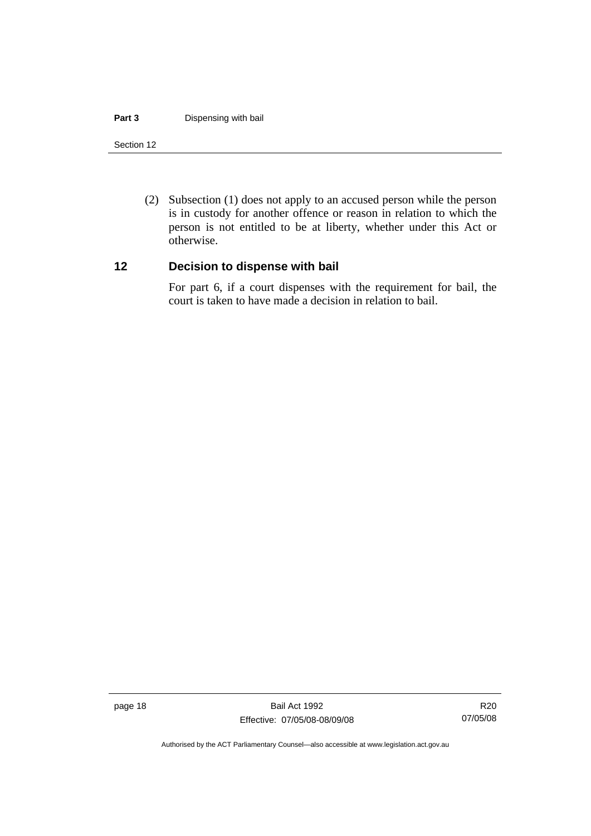#### <span id="page-23-0"></span>**Part 3 Dispensing with bail**

#### Section 12

 (2) Subsection (1) does not apply to an accused person while the person is in custody for another offence or reason in relation to which the person is not entitled to be at liberty, whether under this Act or otherwise.

#### **12 Decision to dispense with bail**

For part 6, if a court dispenses with the requirement for bail, the court is taken to have made a decision in relation to bail.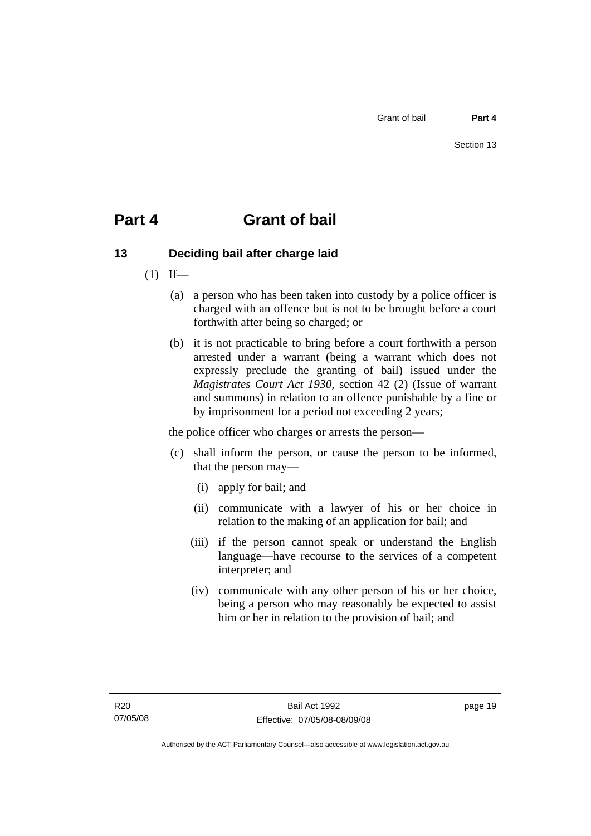# <span id="page-24-0"></span>**Part 4 Grant of bail**

# **13 Deciding bail after charge laid**

- $(1)$  If—
	- (a) a person who has been taken into custody by a police officer is charged with an offence but is not to be brought before a court forthwith after being so charged; or
	- (b) it is not practicable to bring before a court forthwith a person arrested under a warrant (being a warrant which does not expressly preclude the granting of bail) issued under the *Magistrates Court Act 1930*, section 42 (2) (Issue of warrant and summons) in relation to an offence punishable by a fine or by imprisonment for a period not exceeding 2 years;

the police officer who charges or arrests the person—

- (c) shall inform the person, or cause the person to be informed, that the person may—
	- (i) apply for bail; and
	- (ii) communicate with a lawyer of his or her choice in relation to the making of an application for bail; and
	- (iii) if the person cannot speak or understand the English language—have recourse to the services of a competent interpreter; and
	- (iv) communicate with any other person of his or her choice, being a person who may reasonably be expected to assist him or her in relation to the provision of bail; and

page 19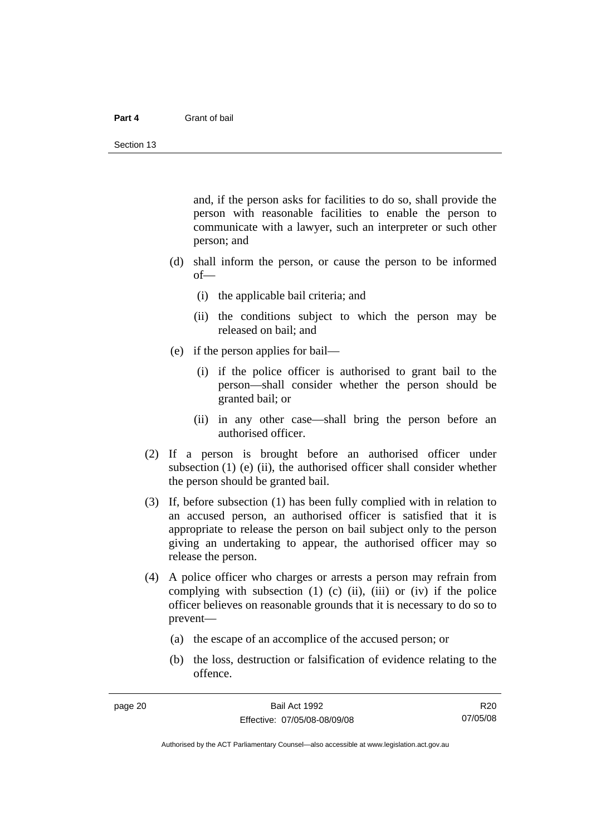#### **Part 4** Grant of bail

and, if the person asks for facilities to do so, shall provide the person with reasonable facilities to enable the person to communicate with a lawyer, such an interpreter or such other person; and

- (d) shall inform the person, or cause the person to be informed of—
	- (i) the applicable bail criteria; and
	- (ii) the conditions subject to which the person may be released on bail; and
- (e) if the person applies for bail—
	- (i) if the police officer is authorised to grant bail to the person—shall consider whether the person should be granted bail; or
	- (ii) in any other case—shall bring the person before an authorised officer.
- (2) If a person is brought before an authorised officer under subsection  $(1)$  (e)  $(ii)$ , the authorised officer shall consider whether the person should be granted bail.
- (3) If, before subsection (1) has been fully complied with in relation to an accused person, an authorised officer is satisfied that it is appropriate to release the person on bail subject only to the person giving an undertaking to appear, the authorised officer may so release the person.
- (4) A police officer who charges or arrests a person may refrain from complying with subsection  $(1)$   $(c)$   $(ii)$ ,  $(iii)$  or  $(iv)$  if the police officer believes on reasonable grounds that it is necessary to do so to prevent—
	- (a) the escape of an accomplice of the accused person; or
	- (b) the loss, destruction or falsification of evidence relating to the offence.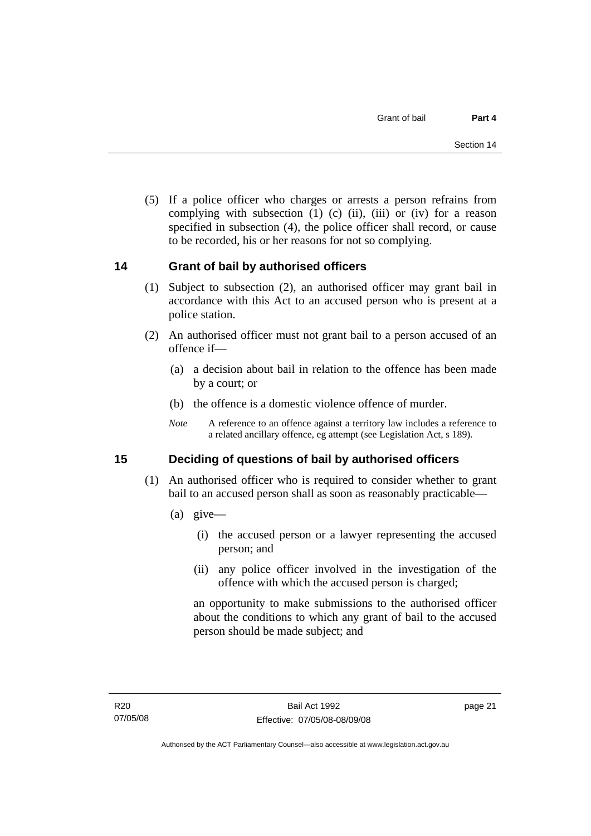<span id="page-26-0"></span> (5) If a police officer who charges or arrests a person refrains from complying with subsection  $(1)$   $(c)$   $(ii)$ ,  $(iii)$  or  $(iv)$  for a reason specified in subsection (4), the police officer shall record, or cause to be recorded, his or her reasons for not so complying.

## **14 Grant of bail by authorised officers**

- (1) Subject to subsection (2), an authorised officer may grant bail in accordance with this Act to an accused person who is present at a police station.
- (2) An authorised officer must not grant bail to a person accused of an offence if—
	- (a) a decision about bail in relation to the offence has been made by a court; or
	- (b) the offence is a domestic violence offence of murder.
	- *Note* A reference to an offence against a territory law includes a reference to a related ancillary offence, eg attempt (see Legislation Act, s 189).

## **15 Deciding of questions of bail by authorised officers**

- (1) An authorised officer who is required to consider whether to grant bail to an accused person shall as soon as reasonably practicable—
	- (a) give—
		- (i) the accused person or a lawyer representing the accused person; and
		- (ii) any police officer involved in the investigation of the offence with which the accused person is charged;

an opportunity to make submissions to the authorised officer about the conditions to which any grant of bail to the accused person should be made subject; and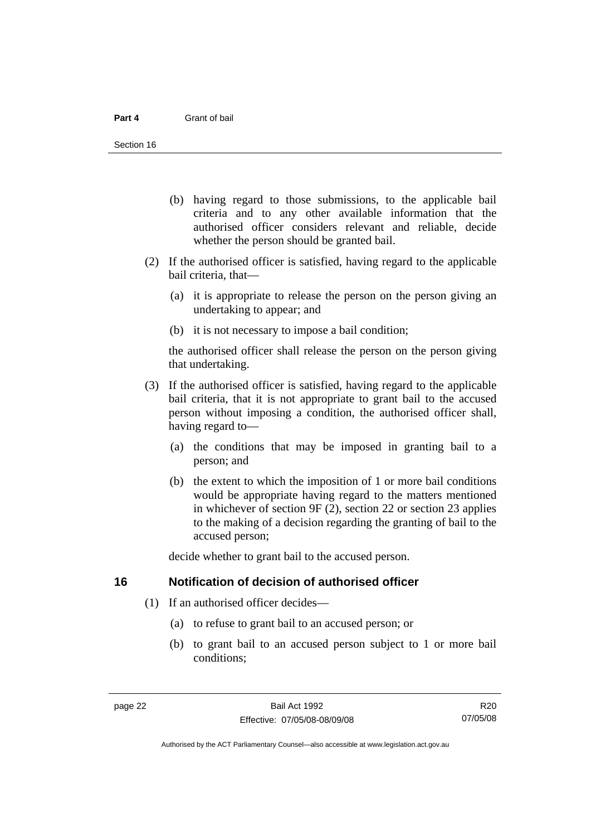- <span id="page-27-0"></span> (b) having regard to those submissions, to the applicable bail criteria and to any other available information that the authorised officer considers relevant and reliable, decide whether the person should be granted bail.
- (2) If the authorised officer is satisfied, having regard to the applicable bail criteria, that—
	- (a) it is appropriate to release the person on the person giving an undertaking to appear; and
	- (b) it is not necessary to impose a bail condition;

the authorised officer shall release the person on the person giving that undertaking.

- (3) If the authorised officer is satisfied, having regard to the applicable bail criteria, that it is not appropriate to grant bail to the accused person without imposing a condition, the authorised officer shall, having regard to—
	- (a) the conditions that may be imposed in granting bail to a person; and
	- (b) the extent to which the imposition of 1 or more bail conditions would be appropriate having regard to the matters mentioned in whichever of section 9F (2), section 22 or section 23 applies to the making of a decision regarding the granting of bail to the accused person;

decide whether to grant bail to the accused person.

#### **16 Notification of decision of authorised officer**

- (1) If an authorised officer decides—
	- (a) to refuse to grant bail to an accused person; or
	- (b) to grant bail to an accused person subject to 1 or more bail conditions;

R20 07/05/08

Authorised by the ACT Parliamentary Counsel—also accessible at www.legislation.act.gov.au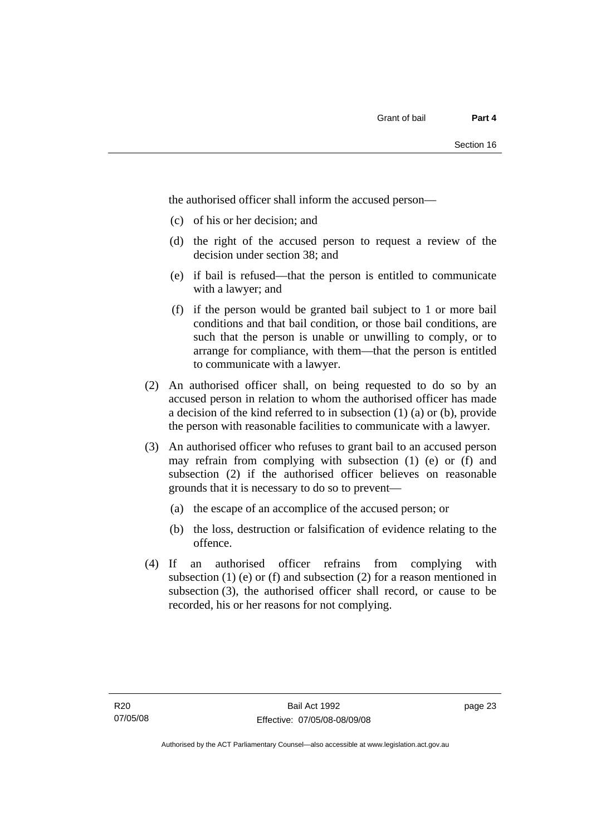the authorised officer shall inform the accused person—

- (c) of his or her decision; and
- (d) the right of the accused person to request a review of the decision under section 38; and
- (e) if bail is refused—that the person is entitled to communicate with a lawyer; and
- (f) if the person would be granted bail subject to 1 or more bail conditions and that bail condition, or those bail conditions, are such that the person is unable or unwilling to comply, or to arrange for compliance, with them—that the person is entitled to communicate with a lawyer.
- (2) An authorised officer shall, on being requested to do so by an accused person in relation to whom the authorised officer has made a decision of the kind referred to in subsection (1) (a) or (b), provide the person with reasonable facilities to communicate with a lawyer.
- (3) An authorised officer who refuses to grant bail to an accused person may refrain from complying with subsection (1) (e) or (f) and subsection (2) if the authorised officer believes on reasonable grounds that it is necessary to do so to prevent—
	- (a) the escape of an accomplice of the accused person; or
	- (b) the loss, destruction or falsification of evidence relating to the offence.
- (4) If an authorised officer refrains from complying with subsection  $(1)$  (e) or  $(f)$  and subsection  $(2)$  for a reason mentioned in subsection (3), the authorised officer shall record, or cause to be recorded, his or her reasons for not complying.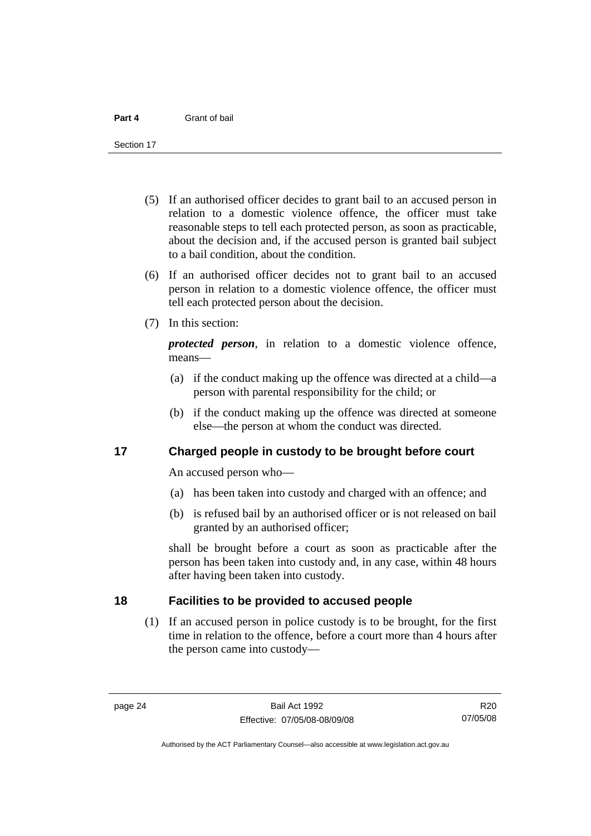<span id="page-29-0"></span>Section 17

- (5) If an authorised officer decides to grant bail to an accused person in relation to a domestic violence offence, the officer must take reasonable steps to tell each protected person, as soon as practicable, about the decision and, if the accused person is granted bail subject to a bail condition, about the condition.
- (6) If an authorised officer decides not to grant bail to an accused person in relation to a domestic violence offence, the officer must tell each protected person about the decision.
- (7) In this section:

*protected person*, in relation to a domestic violence offence, means—

- (a) if the conduct making up the offence was directed at a child—a person with parental responsibility for the child; or
- (b) if the conduct making up the offence was directed at someone else—the person at whom the conduct was directed.

## **17 Charged people in custody to be brought before court**

An accused person who—

- (a) has been taken into custody and charged with an offence; and
- (b) is refused bail by an authorised officer or is not released on bail granted by an authorised officer;

shall be brought before a court as soon as practicable after the person has been taken into custody and, in any case, within 48 hours after having been taken into custody.

### **18 Facilities to be provided to accused people**

 (1) If an accused person in police custody is to be brought, for the first time in relation to the offence, before a court more than 4 hours after the person came into custody—

R20 07/05/08

Authorised by the ACT Parliamentary Counsel—also accessible at www.legislation.act.gov.au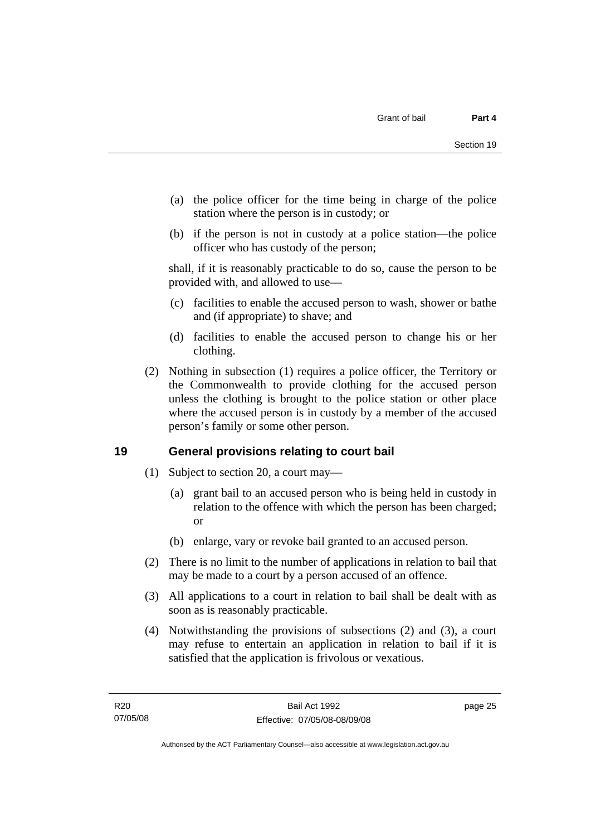- <span id="page-30-0"></span> (a) the police officer for the time being in charge of the police station where the person is in custody; or
- (b) if the person is not in custody at a police station—the police officer who has custody of the person;

shall, if it is reasonably practicable to do so, cause the person to be provided with, and allowed to use—

- (c) facilities to enable the accused person to wash, shower or bathe and (if appropriate) to shave; and
- (d) facilities to enable the accused person to change his or her clothing.
- (2) Nothing in subsection (1) requires a police officer, the Territory or the Commonwealth to provide clothing for the accused person unless the clothing is brought to the police station or other place where the accused person is in custody by a member of the accused person's family or some other person.

## **19 General provisions relating to court bail**

- (1) Subject to section 20, a court may—
	- (a) grant bail to an accused person who is being held in custody in relation to the offence with which the person has been charged; or
	- (b) enlarge, vary or revoke bail granted to an accused person.
- (2) There is no limit to the number of applications in relation to bail that may be made to a court by a person accused of an offence.
- (3) All applications to a court in relation to bail shall be dealt with as soon as is reasonably practicable.
- (4) Notwithstanding the provisions of subsections (2) and (3), a court may refuse to entertain an application in relation to bail if it is satisfied that the application is frivolous or vexatious.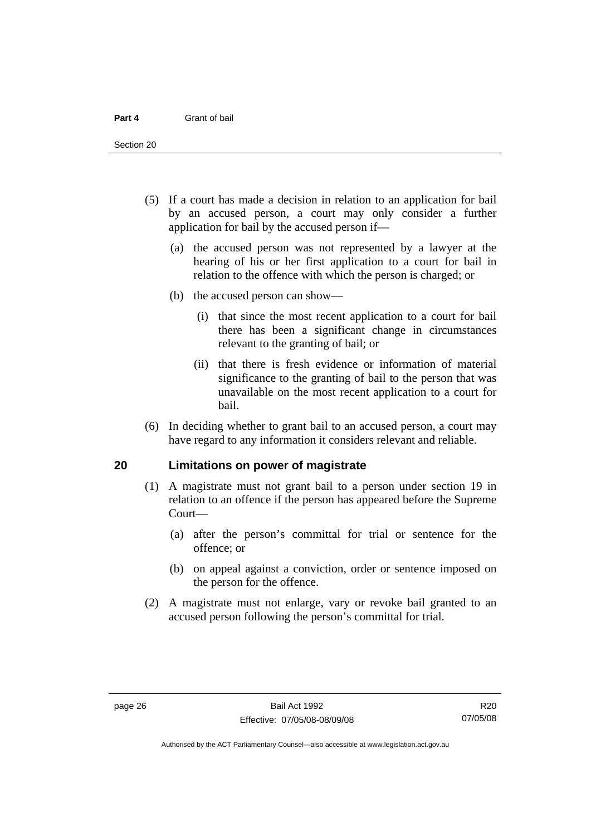<span id="page-31-0"></span>Section 20

- (5) If a court has made a decision in relation to an application for bail by an accused person, a court may only consider a further application for bail by the accused person if—
	- (a) the accused person was not represented by a lawyer at the hearing of his or her first application to a court for bail in relation to the offence with which the person is charged; or
	- (b) the accused person can show—
		- (i) that since the most recent application to a court for bail there has been a significant change in circumstances relevant to the granting of bail; or
		- (ii) that there is fresh evidence or information of material significance to the granting of bail to the person that was unavailable on the most recent application to a court for bail.
- (6) In deciding whether to grant bail to an accused person, a court may have regard to any information it considers relevant and reliable.

#### **20 Limitations on power of magistrate**

- (1) A magistrate must not grant bail to a person under section 19 in relation to an offence if the person has appeared before the Supreme Court—
	- (a) after the person's committal for trial or sentence for the offence; or
	- (b) on appeal against a conviction, order or sentence imposed on the person for the offence.
- (2) A magistrate must not enlarge, vary or revoke bail granted to an accused person following the person's committal for trial.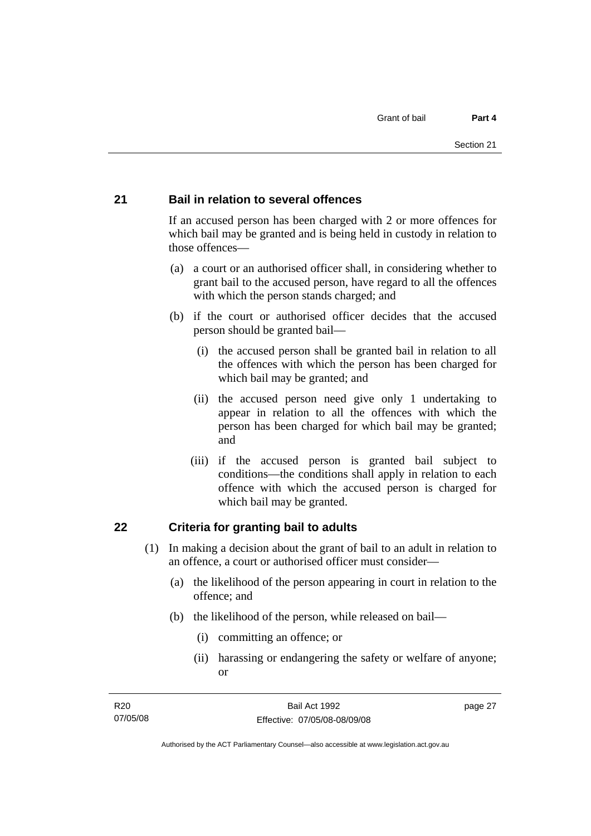#### <span id="page-32-0"></span>**21 Bail in relation to several offences**

If an accused person has been charged with 2 or more offences for which bail may be granted and is being held in custody in relation to those offences—

- (a) a court or an authorised officer shall, in considering whether to grant bail to the accused person, have regard to all the offences with which the person stands charged; and
- (b) if the court or authorised officer decides that the accused person should be granted bail—
	- (i) the accused person shall be granted bail in relation to all the offences with which the person has been charged for which bail may be granted; and
	- (ii) the accused person need give only 1 undertaking to appear in relation to all the offences with which the person has been charged for which bail may be granted; and
	- (iii) if the accused person is granted bail subject to conditions—the conditions shall apply in relation to each offence with which the accused person is charged for which bail may be granted.

#### **22 Criteria for granting bail to adults**

- (1) In making a decision about the grant of bail to an adult in relation to an offence, a court or authorised officer must consider—
	- (a) the likelihood of the person appearing in court in relation to the offence; and
	- (b) the likelihood of the person, while released on bail—
		- (i) committing an offence; or
		- (ii) harassing or endangering the safety or welfare of anyone; or

page 27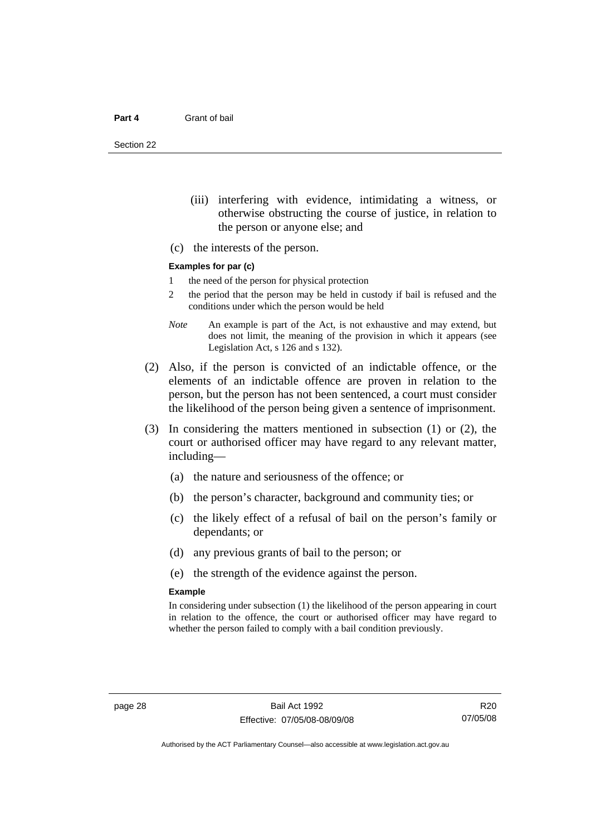Section 22

- (iii) interfering with evidence, intimidating a witness, or otherwise obstructing the course of justice, in relation to the person or anyone else; and
- (c) the interests of the person.

#### **Examples for par (c)**

- 1 the need of the person for physical protection
- 2 the period that the person may be held in custody if bail is refused and the conditions under which the person would be held
- *Note* An example is part of the Act, is not exhaustive and may extend, but does not limit, the meaning of the provision in which it appears (see Legislation Act, s 126 and s 132).
- (2) Also, if the person is convicted of an indictable offence, or the elements of an indictable offence are proven in relation to the person, but the person has not been sentenced, a court must consider the likelihood of the person being given a sentence of imprisonment.
- (3) In considering the matters mentioned in subsection (1) or (2), the court or authorised officer may have regard to any relevant matter, including—
	- (a) the nature and seriousness of the offence; or
	- (b) the person's character, background and community ties; or
	- (c) the likely effect of a refusal of bail on the person's family or dependants; or
	- (d) any previous grants of bail to the person; or
	- (e) the strength of the evidence against the person.

#### **Example**

In considering under subsection (1) the likelihood of the person appearing in court in relation to the offence, the court or authorised officer may have regard to whether the person failed to comply with a bail condition previously.

R20 07/05/08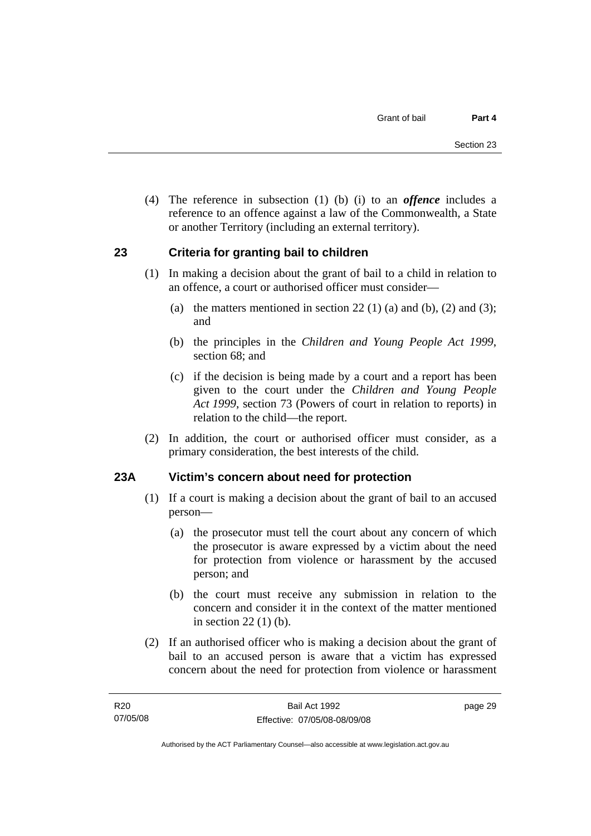<span id="page-34-0"></span> (4) The reference in subsection (1) (b) (i) to an *offence* includes a reference to an offence against a law of the Commonwealth, a State or another Territory (including an external territory).

## **23 Criteria for granting bail to children**

- (1) In making a decision about the grant of bail to a child in relation to an offence, a court or authorised officer must consider—
	- (a) the matters mentioned in section 22 (1) (a) and (b), (2) and (3); and
	- (b) the principles in the *Children and Young People Act 1999*, section 68; and
	- (c) if the decision is being made by a court and a report has been given to the court under the *Children and Young People Act 1999*, section 73 (Powers of court in relation to reports) in relation to the child—the report.
- (2) In addition, the court or authorised officer must consider, as a primary consideration, the best interests of the child.

## **23A Victim's concern about need for protection**

- (1) If a court is making a decision about the grant of bail to an accused person—
	- (a) the prosecutor must tell the court about any concern of which the prosecutor is aware expressed by a victim about the need for protection from violence or harassment by the accused person; and
	- (b) the court must receive any submission in relation to the concern and consider it in the context of the matter mentioned in section 22 (1) (b).
- (2) If an authorised officer who is making a decision about the grant of bail to an accused person is aware that a victim has expressed concern about the need for protection from violence or harassment

page 29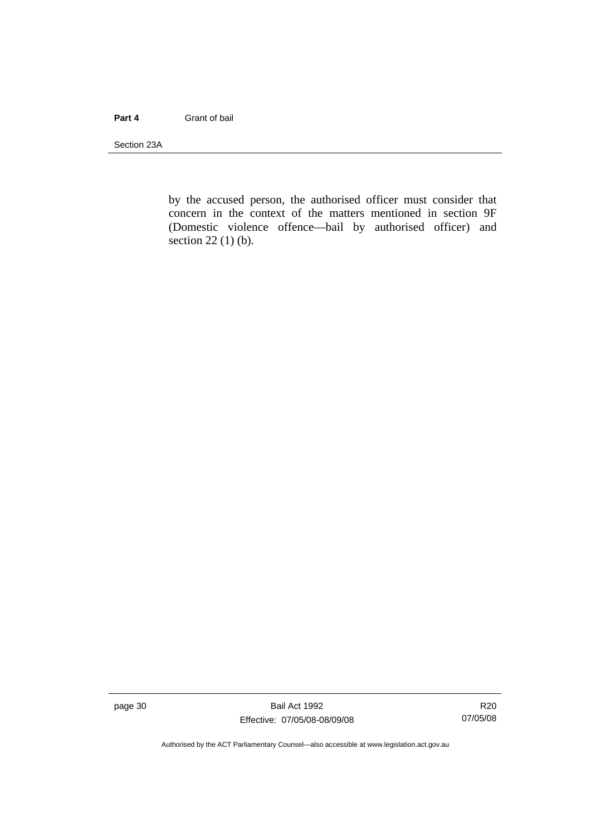#### **Part 4** Grant of bail

Section 23A

by the accused person, the authorised officer must consider that concern in the context of the matters mentioned in section 9F (Domestic violence offence—bail by authorised officer) and section 22 (1) (b).

page 30 Bail Act 1992 Effective: 07/05/08-08/09/08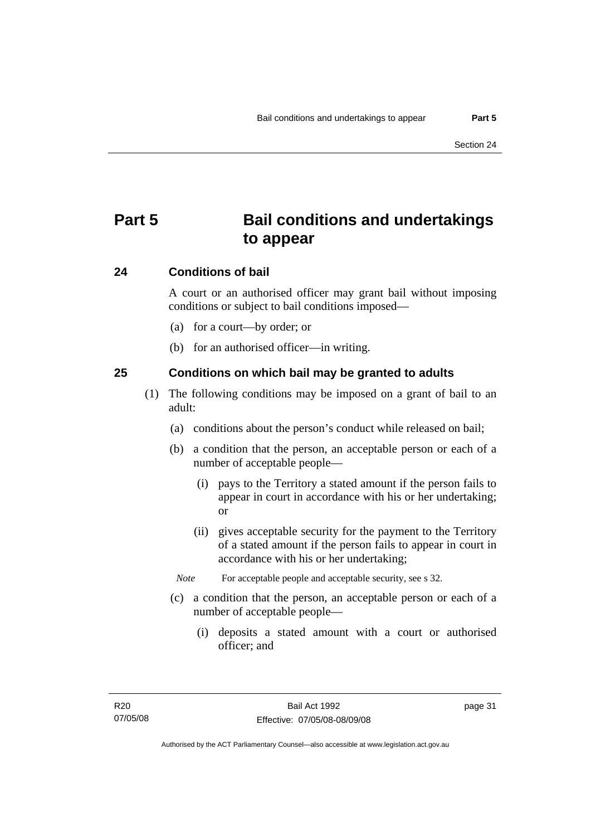# **Part 5 Bail conditions and undertakings to appear**

### **24 Conditions of bail**

A court or an authorised officer may grant bail without imposing conditions or subject to bail conditions imposed—

- (a) for a court—by order; or
- (b) for an authorised officer—in writing.

### **25 Conditions on which bail may be granted to adults**

- (1) The following conditions may be imposed on a grant of bail to an adult:
	- (a) conditions about the person's conduct while released on bail;
	- (b) a condition that the person, an acceptable person or each of a number of acceptable people—
		- (i) pays to the Territory a stated amount if the person fails to appear in court in accordance with his or her undertaking; or
		- (ii) gives acceptable security for the payment to the Territory of a stated amount if the person fails to appear in court in accordance with his or her undertaking;
		- *Note* For acceptable people and acceptable security, see s 32.
	- (c) a condition that the person, an acceptable person or each of a number of acceptable people—
		- (i) deposits a stated amount with a court or authorised officer; and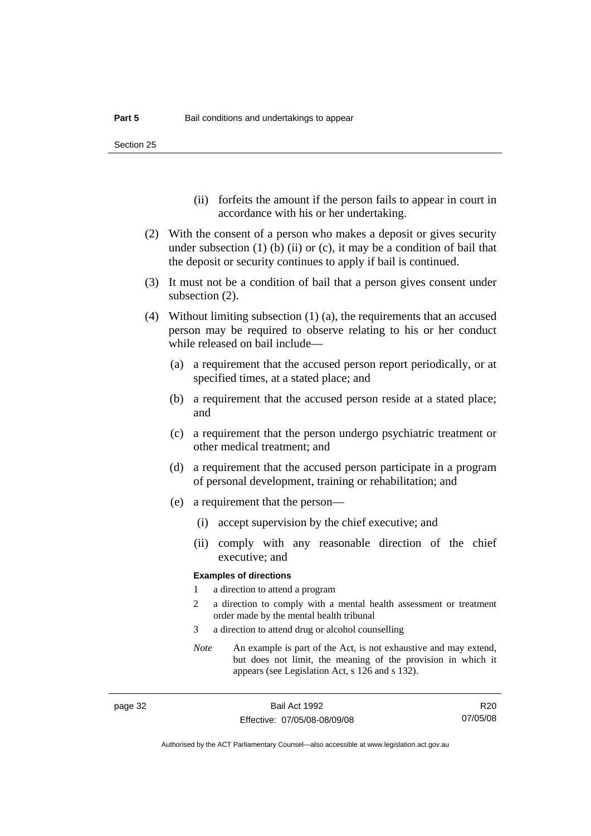Section 25

- (ii) forfeits the amount if the person fails to appear in court in accordance with his or her undertaking.
- (2) With the consent of a person who makes a deposit or gives security under subsection  $(1)$  (b)  $(ii)$  or  $(c)$ , it may be a condition of bail that the deposit or security continues to apply if bail is continued.
- (3) It must not be a condition of bail that a person gives consent under subsection (2).
- (4) Without limiting subsection (1) (a), the requirements that an accused person may be required to observe relating to his or her conduct while released on bail include—
	- (a) a requirement that the accused person report periodically, or at specified times, at a stated place; and
	- (b) a requirement that the accused person reside at a stated place; and
	- (c) a requirement that the person undergo psychiatric treatment or other medical treatment; and
	- (d) a requirement that the accused person participate in a program of personal development, training or rehabilitation; and
	- (e) a requirement that the person—
		- (i) accept supervision by the chief executive; and
		- (ii) comply with any reasonable direction of the chief executive; and

#### **Examples of directions**

- 1 a direction to attend a program
- 2 a direction to comply with a mental health assessment or treatment order made by the mental health tribunal
- 3 a direction to attend drug or alcohol counselling
- *Note* An example is part of the Act, is not exhaustive and may extend, but does not limit, the meaning of the provision in which it appears (see Legislation Act, s 126 and s 132).

R20 07/05/08

Authorised by the ACT Parliamentary Counsel—also accessible at www.legislation.act.gov.au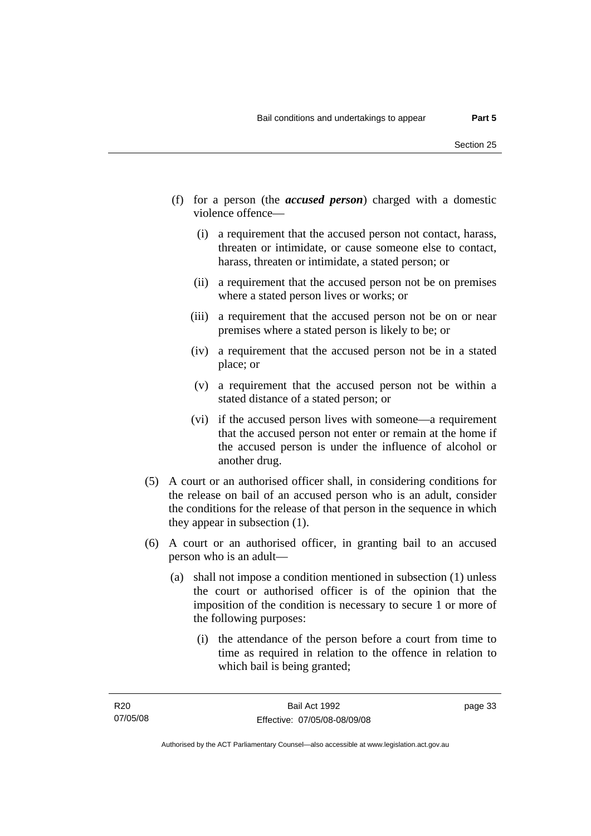- (f) for a person (the *accused person*) charged with a domestic violence offence—
	- (i) a requirement that the accused person not contact, harass, threaten or intimidate, or cause someone else to contact, harass, threaten or intimidate, a stated person; or
	- (ii) a requirement that the accused person not be on premises where a stated person lives or works; or
	- (iii) a requirement that the accused person not be on or near premises where a stated person is likely to be; or
	- (iv) a requirement that the accused person not be in a stated place; or
	- (v) a requirement that the accused person not be within a stated distance of a stated person; or
	- (vi) if the accused person lives with someone—a requirement that the accused person not enter or remain at the home if the accused person is under the influence of alcohol or another drug.
- (5) A court or an authorised officer shall, in considering conditions for the release on bail of an accused person who is an adult, consider the conditions for the release of that person in the sequence in which they appear in subsection (1).
- (6) A court or an authorised officer, in granting bail to an accused person who is an adult—
	- (a) shall not impose a condition mentioned in subsection (1) unless the court or authorised officer is of the opinion that the imposition of the condition is necessary to secure 1 or more of the following purposes:
		- (i) the attendance of the person before a court from time to time as required in relation to the offence in relation to which bail is being granted;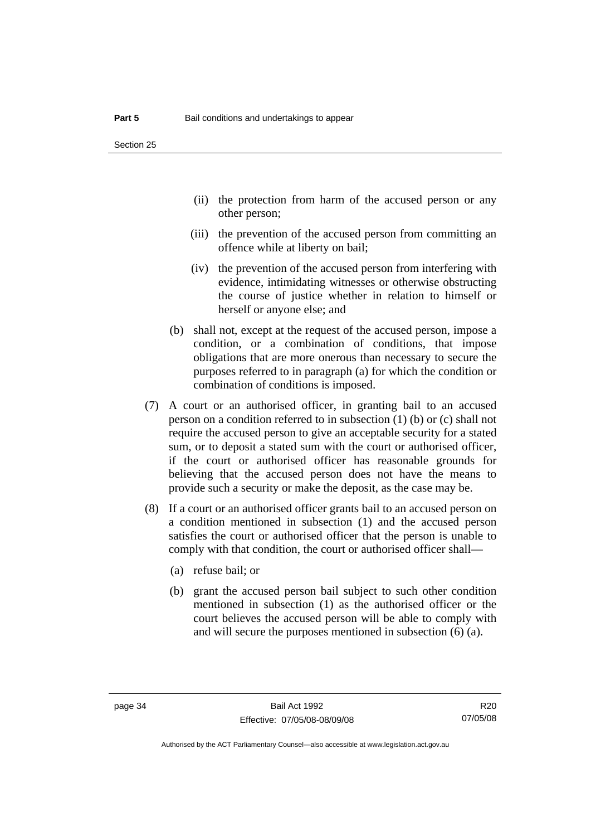- (ii) the protection from harm of the accused person or any other person;
- (iii) the prevention of the accused person from committing an offence while at liberty on bail;
- (iv) the prevention of the accused person from interfering with evidence, intimidating witnesses or otherwise obstructing the course of justice whether in relation to himself or herself or anyone else; and
- (b) shall not, except at the request of the accused person, impose a condition, or a combination of conditions, that impose obligations that are more onerous than necessary to secure the purposes referred to in paragraph (a) for which the condition or combination of conditions is imposed.
- (7) A court or an authorised officer, in granting bail to an accused person on a condition referred to in subsection (1) (b) or (c) shall not require the accused person to give an acceptable security for a stated sum, or to deposit a stated sum with the court or authorised officer, if the court or authorised officer has reasonable grounds for believing that the accused person does not have the means to provide such a security or make the deposit, as the case may be.
- (8) If a court or an authorised officer grants bail to an accused person on a condition mentioned in subsection (1) and the accused person satisfies the court or authorised officer that the person is unable to comply with that condition, the court or authorised officer shall—
	- (a) refuse bail; or
	- (b) grant the accused person bail subject to such other condition mentioned in subsection (1) as the authorised officer or the court believes the accused person will be able to comply with and will secure the purposes mentioned in subsection (6) (a).

R20 07/05/08

Authorised by the ACT Parliamentary Counsel—also accessible at www.legislation.act.gov.au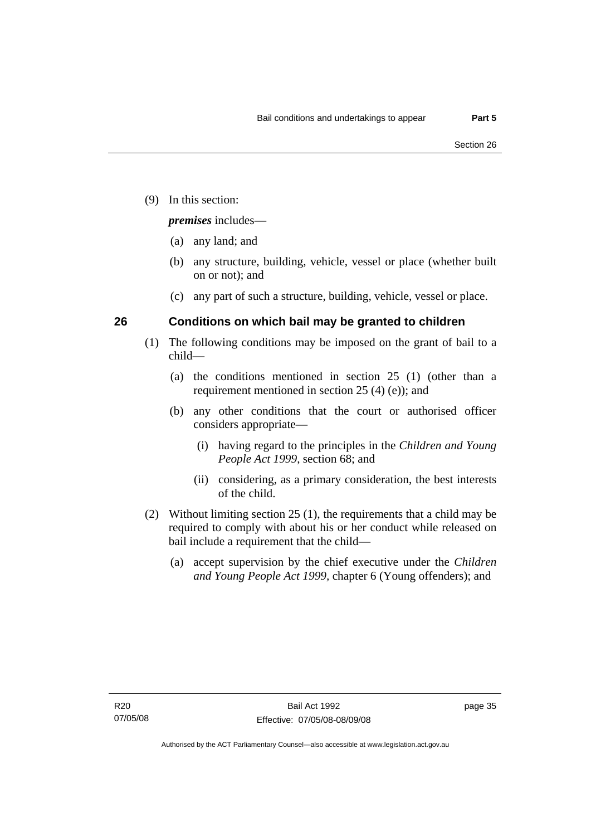(9) In this section:

*premises* includes—

- (a) any land; and
- (b) any structure, building, vehicle, vessel or place (whether built on or not); and
- (c) any part of such a structure, building, vehicle, vessel or place.

### **26 Conditions on which bail may be granted to children**

- (1) The following conditions may be imposed on the grant of bail to a child—
	- (a) the conditions mentioned in section 25 (1) (other than a requirement mentioned in section 25 (4) (e)); and
	- (b) any other conditions that the court or authorised officer considers appropriate—
		- (i) having regard to the principles in the *Children and Young People Act 1999*, section 68; and
		- (ii) considering, as a primary consideration, the best interests of the child.
- (2) Without limiting section 25 (1), the requirements that a child may be required to comply with about his or her conduct while released on bail include a requirement that the child—
	- (a) accept supervision by the chief executive under the *Children and Young People Act 1999,* chapter 6 (Young offenders); and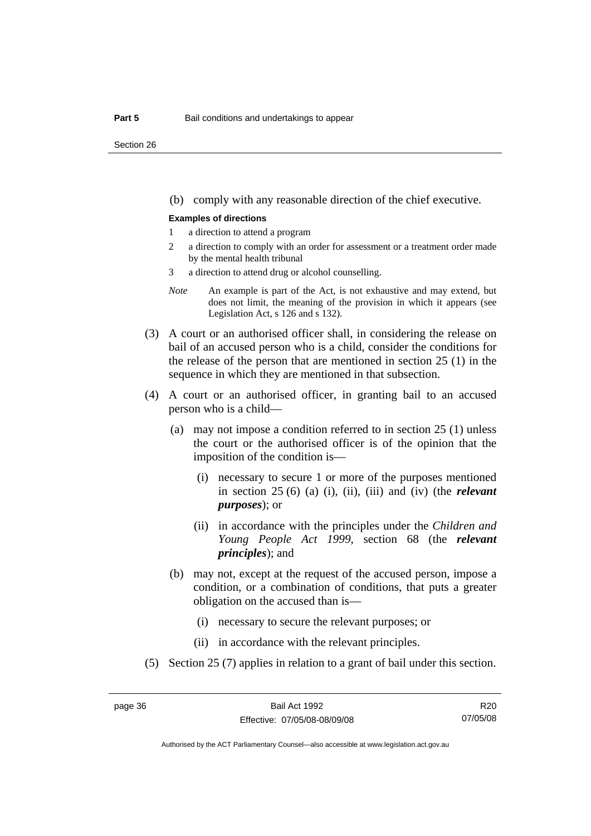Section 26

(b) comply with any reasonable direction of the chief executive.

#### **Examples of directions**

- 1 a direction to attend a program
- 2 a direction to comply with an order for assessment or a treatment order made by the mental health tribunal
- 3 a direction to attend drug or alcohol counselling.
- *Note* An example is part of the Act, is not exhaustive and may extend, but does not limit, the meaning of the provision in which it appears (see Legislation Act, s 126 and s 132).
- (3) A court or an authorised officer shall, in considering the release on bail of an accused person who is a child, consider the conditions for the release of the person that are mentioned in section 25 (1) in the sequence in which they are mentioned in that subsection.
- (4) A court or an authorised officer, in granting bail to an accused person who is a child—
	- (a) may not impose a condition referred to in section 25 (1) unless the court or the authorised officer is of the opinion that the imposition of the condition is—
		- (i) necessary to secure 1 or more of the purposes mentioned in section 25 (6) (a) (i), (ii), (iii) and (iv) (the *relevant purposes*); or
		- (ii) in accordance with the principles under the *Children and Young People Act 1999*, section 68 (the *relevant principles*); and
	- (b) may not, except at the request of the accused person, impose a condition, or a combination of conditions, that puts a greater obligation on the accused than is—
		- (i) necessary to secure the relevant purposes; or
		- (ii) in accordance with the relevant principles.
- (5) Section 25 (7) applies in relation to a grant of bail under this section.

R20 07/05/08

Authorised by the ACT Parliamentary Counsel—also accessible at www.legislation.act.gov.au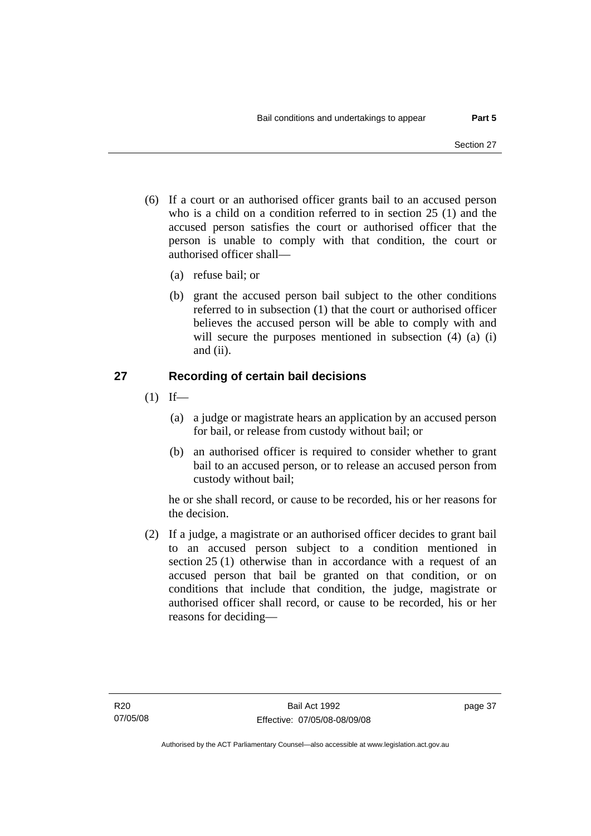- (6) If a court or an authorised officer grants bail to an accused person who is a child on a condition referred to in section 25 (1) and the accused person satisfies the court or authorised officer that the person is unable to comply with that condition, the court or authorised officer shall—
	- (a) refuse bail; or
	- (b) grant the accused person bail subject to the other conditions referred to in subsection (1) that the court or authorised officer believes the accused person will be able to comply with and will secure the purposes mentioned in subsection (4) (a) (i) and (ii).

### **27 Recording of certain bail decisions**

- $(1)$  If—
	- (a) a judge or magistrate hears an application by an accused person for bail, or release from custody without bail; or
	- (b) an authorised officer is required to consider whether to grant bail to an accused person, or to release an accused person from custody without bail;

he or she shall record, or cause to be recorded, his or her reasons for the decision.

 (2) If a judge, a magistrate or an authorised officer decides to grant bail to an accused person subject to a condition mentioned in section 25 (1) otherwise than in accordance with a request of an accused person that bail be granted on that condition, or on conditions that include that condition, the judge, magistrate or authorised officer shall record, or cause to be recorded, his or her reasons for deciding—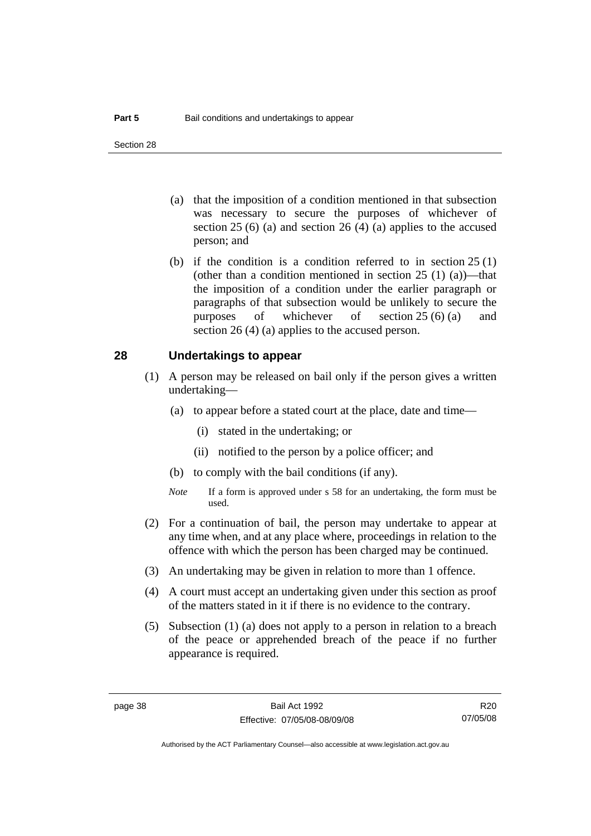- (a) that the imposition of a condition mentioned in that subsection was necessary to secure the purposes of whichever of section  $25(6)$  (a) and section  $26(4)$  (a) applies to the accused person; and
- (b) if the condition is a condition referred to in section 25 (1) (other than a condition mentioned in section  $25(1)(a)$ —that the imposition of a condition under the earlier paragraph or paragraphs of that subsection would be unlikely to secure the purposes of whichever of section 25 (6) (a) and section 26 (4) (a) applies to the accused person.

#### **28 Undertakings to appear**

- (1) A person may be released on bail only if the person gives a written undertaking—
	- (a) to appear before a stated court at the place, date and time—
		- (i) stated in the undertaking; or
		- (ii) notified to the person by a police officer; and
	- (b) to comply with the bail conditions (if any).
	- *Note* If a form is approved under s 58 for an undertaking, the form must be used.
- (2) For a continuation of bail, the person may undertake to appear at any time when, and at any place where, proceedings in relation to the offence with which the person has been charged may be continued.
- (3) An undertaking may be given in relation to more than 1 offence.
- (4) A court must accept an undertaking given under this section as proof of the matters stated in it if there is no evidence to the contrary.
- (5) Subsection (1) (a) does not apply to a person in relation to a breach of the peace or apprehended breach of the peace if no further appearance is required.

R20 07/05/08

Authorised by the ACT Parliamentary Counsel—also accessible at www.legislation.act.gov.au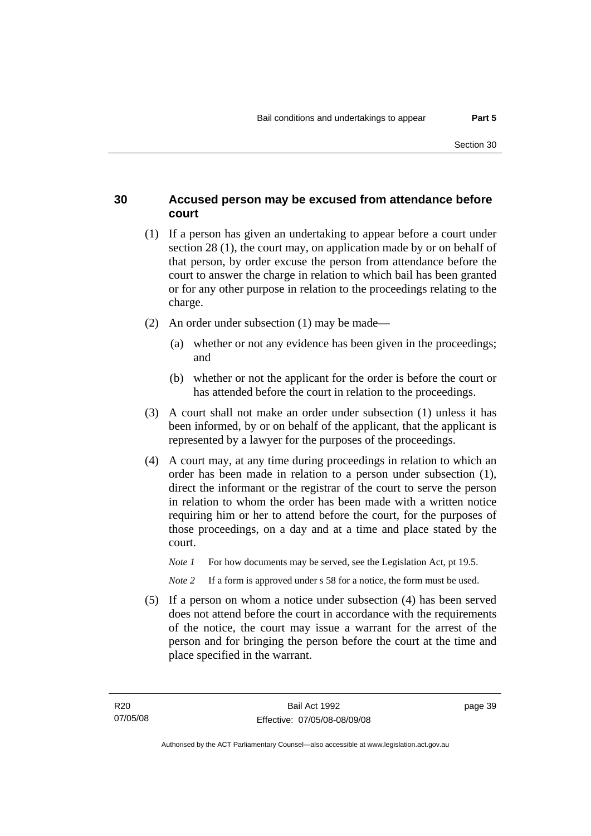### **30 Accused person may be excused from attendance before court**

- (1) If a person has given an undertaking to appear before a court under section 28 (1), the court may, on application made by or on behalf of that person, by order excuse the person from attendance before the court to answer the charge in relation to which bail has been granted or for any other purpose in relation to the proceedings relating to the charge.
- (2) An order under subsection (1) may be made—
	- (a) whether or not any evidence has been given in the proceedings; and
	- (b) whether or not the applicant for the order is before the court or has attended before the court in relation to the proceedings.
- (3) A court shall not make an order under subsection (1) unless it has been informed, by or on behalf of the applicant, that the applicant is represented by a lawyer for the purposes of the proceedings.
- (4) A court may, at any time during proceedings in relation to which an order has been made in relation to a person under subsection (1), direct the informant or the registrar of the court to serve the person in relation to whom the order has been made with a written notice requiring him or her to attend before the court, for the purposes of those proceedings, on a day and at a time and place stated by the court.
	- *Note 1* For how documents may be served, see the Legislation Act, pt 19.5.

*Note* 2 If a form is approved under s 58 for a notice, the form must be used.

 (5) If a person on whom a notice under subsection (4) has been served does not attend before the court in accordance with the requirements of the notice, the court may issue a warrant for the arrest of the person and for bringing the person before the court at the time and place specified in the warrant.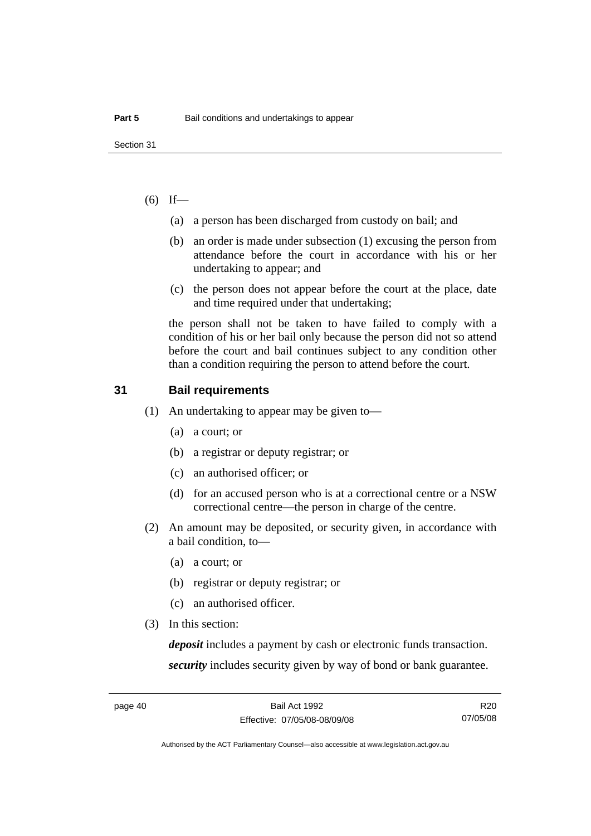### $(6)$  If—

- (a) a person has been discharged from custody on bail; and
- (b) an order is made under subsection (1) excusing the person from attendance before the court in accordance with his or her undertaking to appear; and
- (c) the person does not appear before the court at the place, date and time required under that undertaking;

the person shall not be taken to have failed to comply with a condition of his or her bail only because the person did not so attend before the court and bail continues subject to any condition other than a condition requiring the person to attend before the court.

### **31 Bail requirements**

- (1) An undertaking to appear may be given to—
	- (a) a court; or
	- (b) a registrar or deputy registrar; or
	- (c) an authorised officer; or
	- (d) for an accused person who is at a correctional centre or a NSW correctional centre—the person in charge of the centre.
- (2) An amount may be deposited, or security given, in accordance with a bail condition, to—
	- (a) a court; or
	- (b) registrar or deputy registrar; or
	- (c) an authorised officer.
- (3) In this section:

*deposit* includes a payment by cash or electronic funds transaction. *security* includes security given by way of bond or bank guarantee.

R20 07/05/08

Authorised by the ACT Parliamentary Counsel—also accessible at www.legislation.act.gov.au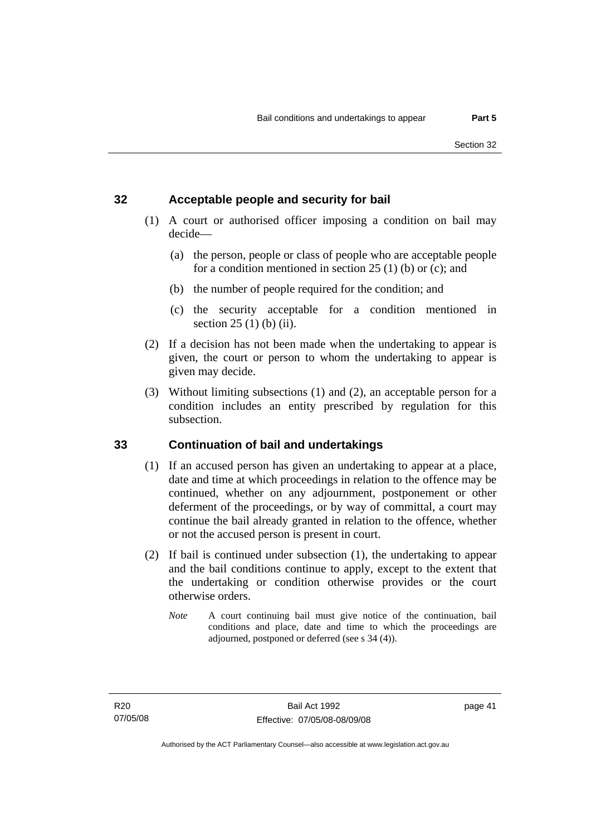### **32 Acceptable people and security for bail**

- (1) A court or authorised officer imposing a condition on bail may decide—
	- (a) the person, people or class of people who are acceptable people for a condition mentioned in section 25 (1) (b) or (c); and
	- (b) the number of people required for the condition; and
	- (c) the security acceptable for a condition mentioned in section 25 (1) (b) (ii).
- (2) If a decision has not been made when the undertaking to appear is given, the court or person to whom the undertaking to appear is given may decide.
- (3) Without limiting subsections (1) and (2), an acceptable person for a condition includes an entity prescribed by regulation for this subsection.

## **33 Continuation of bail and undertakings**

- (1) If an accused person has given an undertaking to appear at a place, date and time at which proceedings in relation to the offence may be continued, whether on any adjournment, postponement or other deferment of the proceedings, or by way of committal, a court may continue the bail already granted in relation to the offence, whether or not the accused person is present in court.
- (2) If bail is continued under subsection (1), the undertaking to appear and the bail conditions continue to apply, except to the extent that the undertaking or condition otherwise provides or the court otherwise orders.
	- *Note* A court continuing bail must give notice of the continuation, bail conditions and place, date and time to which the proceedings are adjourned, postponed or deferred (see s 34 (4)).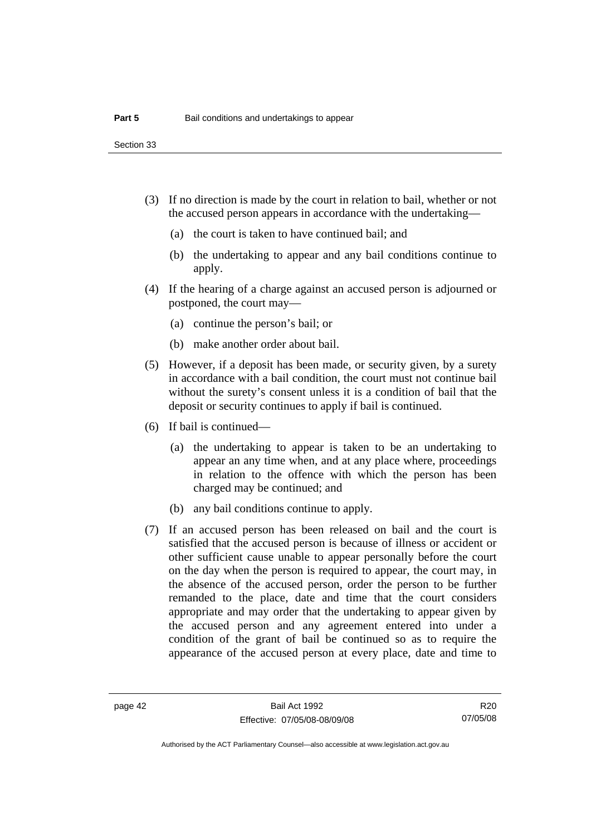Section 33

- (3) If no direction is made by the court in relation to bail, whether or not the accused person appears in accordance with the undertaking—
	- (a) the court is taken to have continued bail; and
	- (b) the undertaking to appear and any bail conditions continue to apply.
- (4) If the hearing of a charge against an accused person is adjourned or postponed, the court may—
	- (a) continue the person's bail; or
	- (b) make another order about bail.
- (5) However, if a deposit has been made, or security given, by a surety in accordance with a bail condition, the court must not continue bail without the surety's consent unless it is a condition of bail that the deposit or security continues to apply if bail is continued.
- (6) If bail is continued—
	- (a) the undertaking to appear is taken to be an undertaking to appear an any time when, and at any place where, proceedings in relation to the offence with which the person has been charged may be continued; and
	- (b) any bail conditions continue to apply.
- (7) If an accused person has been released on bail and the court is satisfied that the accused person is because of illness or accident or other sufficient cause unable to appear personally before the court on the day when the person is required to appear, the court may, in the absence of the accused person, order the person to be further remanded to the place, date and time that the court considers appropriate and may order that the undertaking to appear given by the accused person and any agreement entered into under a condition of the grant of bail be continued so as to require the appearance of the accused person at every place, date and time to

R20 07/05/08

Authorised by the ACT Parliamentary Counsel—also accessible at www.legislation.act.gov.au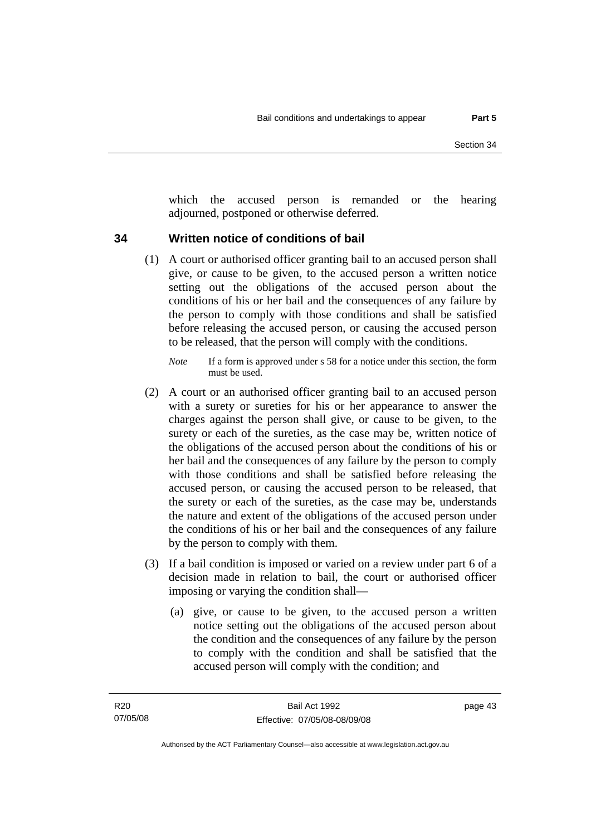which the accused person is remanded or the hearing adjourned, postponed or otherwise deferred.

### **34 Written notice of conditions of bail**

- (1) A court or authorised officer granting bail to an accused person shall give, or cause to be given, to the accused person a written notice setting out the obligations of the accused person about the conditions of his or her bail and the consequences of any failure by the person to comply with those conditions and shall be satisfied before releasing the accused person, or causing the accused person to be released, that the person will comply with the conditions.
	- *Note* If a form is approved under s 58 for a notice under this section, the form must be used.
- (2) A court or an authorised officer granting bail to an accused person with a surety or sureties for his or her appearance to answer the charges against the person shall give, or cause to be given, to the surety or each of the sureties, as the case may be, written notice of the obligations of the accused person about the conditions of his or her bail and the consequences of any failure by the person to comply with those conditions and shall be satisfied before releasing the accused person, or causing the accused person to be released, that the surety or each of the sureties, as the case may be, understands the nature and extent of the obligations of the accused person under the conditions of his or her bail and the consequences of any failure by the person to comply with them.
- (3) If a bail condition is imposed or varied on a review under part 6 of a decision made in relation to bail, the court or authorised officer imposing or varying the condition shall—
	- (a) give, or cause to be given, to the accused person a written notice setting out the obligations of the accused person about the condition and the consequences of any failure by the person to comply with the condition and shall be satisfied that the accused person will comply with the condition; and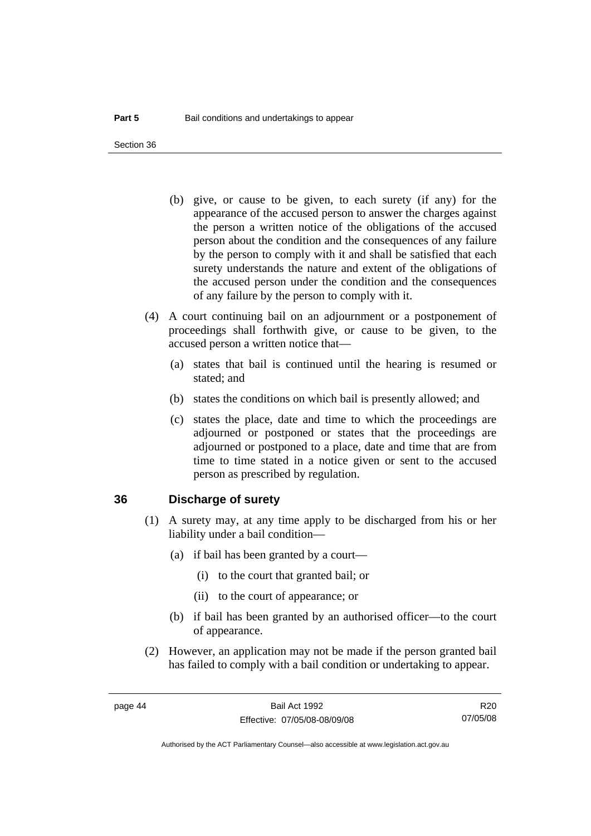Section 36

- (b) give, or cause to be given, to each surety (if any) for the appearance of the accused person to answer the charges against the person a written notice of the obligations of the accused person about the condition and the consequences of any failure by the person to comply with it and shall be satisfied that each surety understands the nature and extent of the obligations of the accused person under the condition and the consequences of any failure by the person to comply with it.
- (4) A court continuing bail on an adjournment or a postponement of proceedings shall forthwith give, or cause to be given, to the accused person a written notice that—
	- (a) states that bail is continued until the hearing is resumed or stated; and
	- (b) states the conditions on which bail is presently allowed; and
	- (c) states the place, date and time to which the proceedings are adjourned or postponed or states that the proceedings are adjourned or postponed to a place, date and time that are from time to time stated in a notice given or sent to the accused person as prescribed by regulation.

### **36 Discharge of surety**

- (1) A surety may, at any time apply to be discharged from his or her liability under a bail condition—
	- (a) if bail has been granted by a court—
		- (i) to the court that granted bail; or
		- (ii) to the court of appearance; or
	- (b) if bail has been granted by an authorised officer—to the court of appearance.
- (2) However, an application may not be made if the person granted bail has failed to comply with a bail condition or undertaking to appear.

R20 07/05/08

Authorised by the ACT Parliamentary Counsel—also accessible at www.legislation.act.gov.au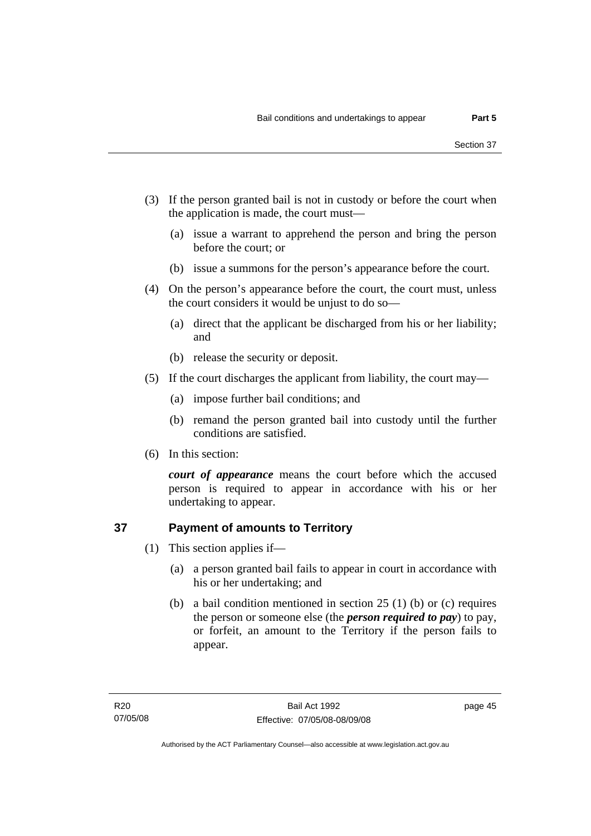- (3) If the person granted bail is not in custody or before the court when the application is made, the court must—
	- (a) issue a warrant to apprehend the person and bring the person before the court; or
	- (b) issue a summons for the person's appearance before the court.
- (4) On the person's appearance before the court, the court must, unless the court considers it would be unjust to do so—
	- (a) direct that the applicant be discharged from his or her liability; and
	- (b) release the security or deposit.
- (5) If the court discharges the applicant from liability, the court may—
	- (a) impose further bail conditions; and
	- (b) remand the person granted bail into custody until the further conditions are satisfied.
- (6) In this section:

*court of appearance* means the court before which the accused person is required to appear in accordance with his or her undertaking to appear.

## **37 Payment of amounts to Territory**

- (1) This section applies if—
	- (a) a person granted bail fails to appear in court in accordance with his or her undertaking; and
	- (b) a bail condition mentioned in section 25 (1) (b) or (c) requires the person or someone else (the *person required to pay*) to pay, or forfeit, an amount to the Territory if the person fails to appear.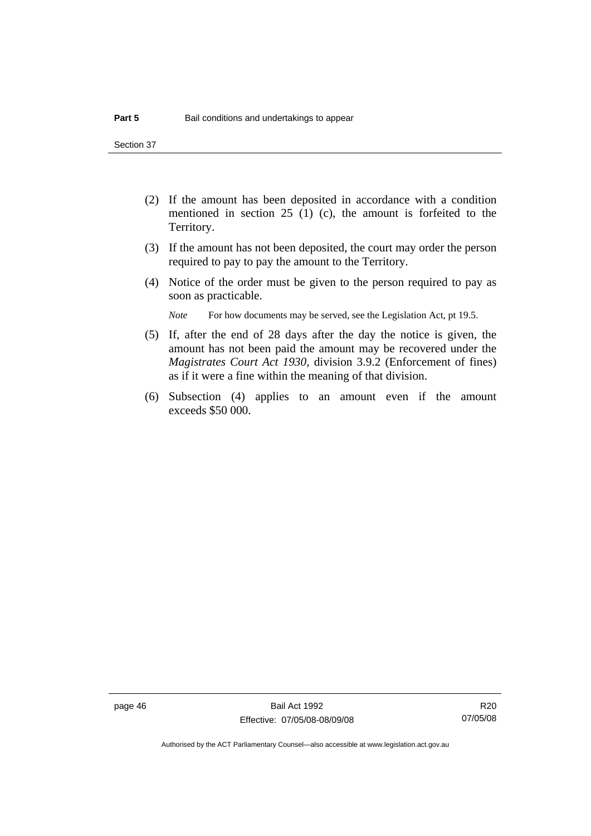Section 37

- (2) If the amount has been deposited in accordance with a condition mentioned in section 25 (1) (c), the amount is forfeited to the Territory.
- (3) If the amount has not been deposited, the court may order the person required to pay to pay the amount to the Territory.
- (4) Notice of the order must be given to the person required to pay as soon as practicable.

*Note* For how documents may be served, see the Legislation Act, pt 19.5.

- (5) If, after the end of 28 days after the day the notice is given, the amount has not been paid the amount may be recovered under the *Magistrates Court Act 1930*, division 3.9.2 (Enforcement of fines) as if it were a fine within the meaning of that division.
- (6) Subsection (4) applies to an amount even if the amount exceeds \$50 000.

R20 07/05/08

Authorised by the ACT Parliamentary Counsel—also accessible at www.legislation.act.gov.au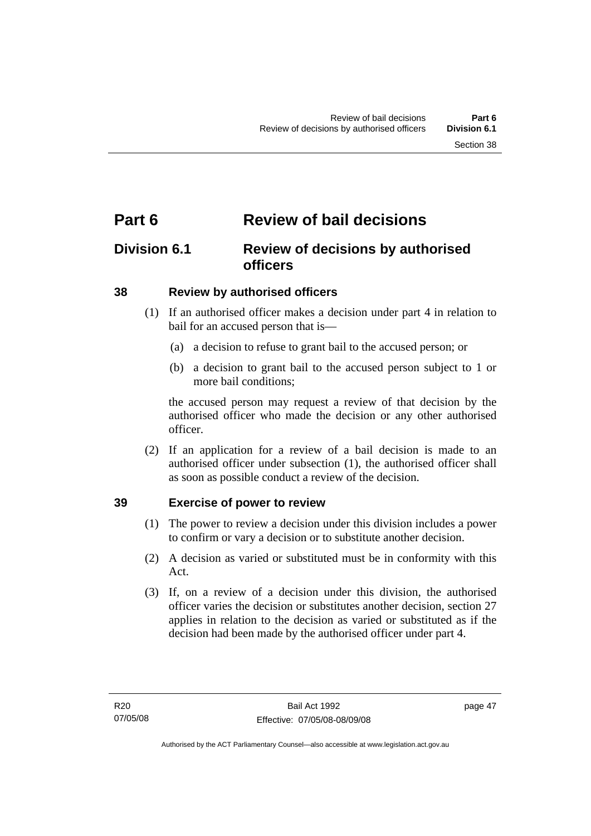## **Part 6 Review of bail decisions**

## **Division 6.1 Review of decisions by authorised officers**

### **38 Review by authorised officers**

- (1) If an authorised officer makes a decision under part 4 in relation to bail for an accused person that is—
	- (a) a decision to refuse to grant bail to the accused person; or
	- (b) a decision to grant bail to the accused person subject to 1 or more bail conditions;

the accused person may request a review of that decision by the authorised officer who made the decision or any other authorised officer.

 (2) If an application for a review of a bail decision is made to an authorised officer under subsection (1), the authorised officer shall as soon as possible conduct a review of the decision.

### **39 Exercise of power to review**

- (1) The power to review a decision under this division includes a power to confirm or vary a decision or to substitute another decision.
- (2) A decision as varied or substituted must be in conformity with this Act.
- (3) If, on a review of a decision under this division, the authorised officer varies the decision or substitutes another decision, section 27 applies in relation to the decision as varied or substituted as if the decision had been made by the authorised officer under part 4.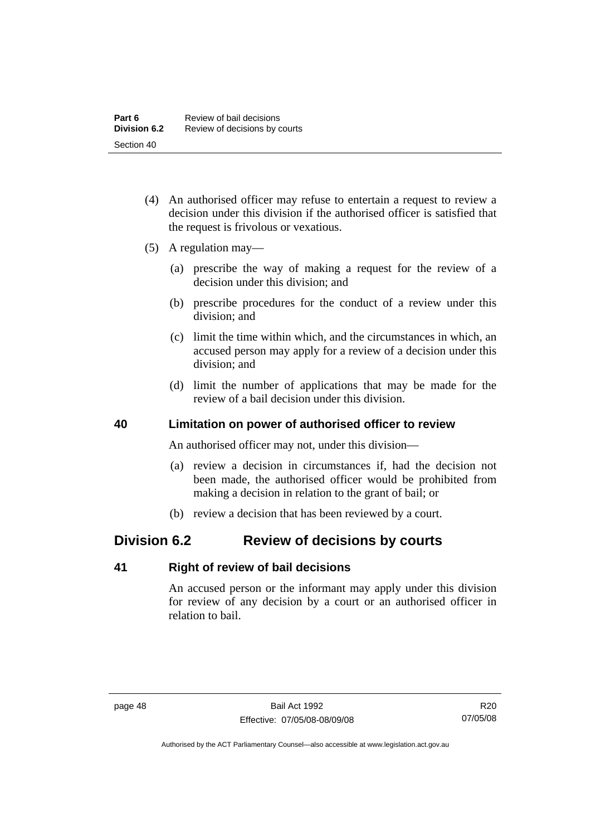- (4) An authorised officer may refuse to entertain a request to review a decision under this division if the authorised officer is satisfied that the request is frivolous or vexatious.
- (5) A regulation may—
	- (a) prescribe the way of making a request for the review of a decision under this division; and
	- (b) prescribe procedures for the conduct of a review under this division; and
	- (c) limit the time within which, and the circumstances in which, an accused person may apply for a review of a decision under this division; and
	- (d) limit the number of applications that may be made for the review of a bail decision under this division.

### **40 Limitation on power of authorised officer to review**

An authorised officer may not, under this division—

- (a) review a decision in circumstances if, had the decision not been made, the authorised officer would be prohibited from making a decision in relation to the grant of bail; or
- (b) review a decision that has been reviewed by a court.

## **Division 6.2 Review of decisions by courts**

### **41 Right of review of bail decisions**

An accused person or the informant may apply under this division for review of any decision by a court or an authorised officer in relation to bail.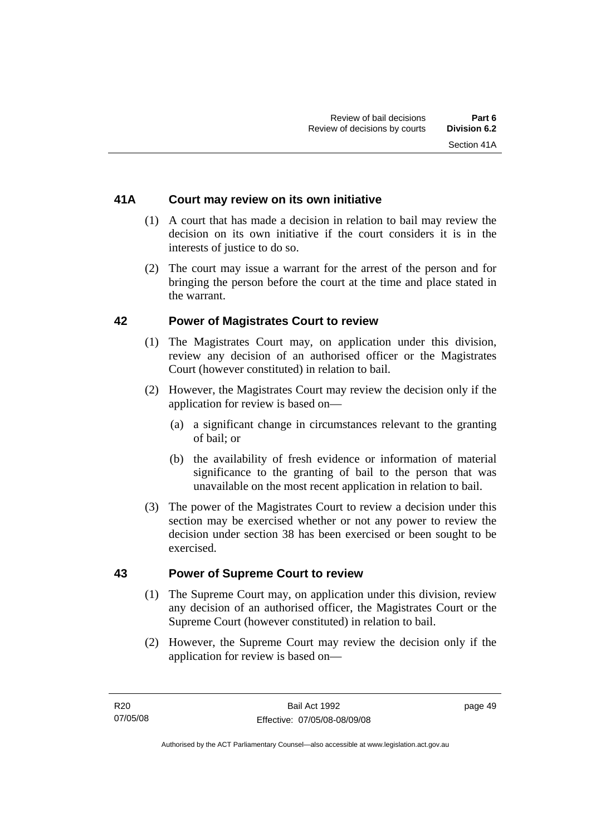### **41A Court may review on its own initiative**

- (1) A court that has made a decision in relation to bail may review the decision on its own initiative if the court considers it is in the interests of justice to do so.
- (2) The court may issue a warrant for the arrest of the person and for bringing the person before the court at the time and place stated in the warrant.

### **42 Power of Magistrates Court to review**

- (1) The Magistrates Court may, on application under this division, review any decision of an authorised officer or the Magistrates Court (however constituted) in relation to bail.
- (2) However, the Magistrates Court may review the decision only if the application for review is based on—
	- (a) a significant change in circumstances relevant to the granting of bail; or
	- (b) the availability of fresh evidence or information of material significance to the granting of bail to the person that was unavailable on the most recent application in relation to bail.
- (3) The power of the Magistrates Court to review a decision under this section may be exercised whether or not any power to review the decision under section 38 has been exercised or been sought to be exercised.

### **43 Power of Supreme Court to review**

- (1) The Supreme Court may, on application under this division, review any decision of an authorised officer, the Magistrates Court or the Supreme Court (however constituted) in relation to bail.
- (2) However, the Supreme Court may review the decision only if the application for review is based on—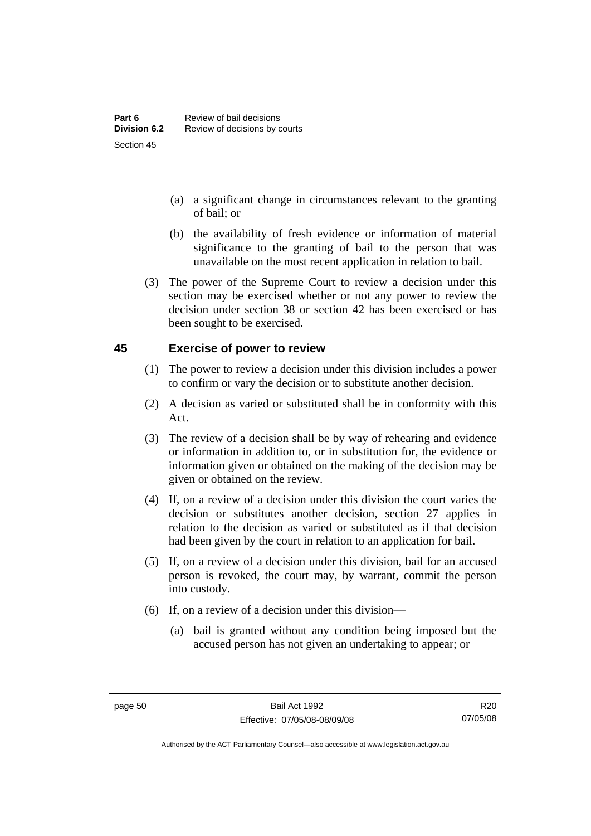- (a) a significant change in circumstances relevant to the granting of bail; or
- (b) the availability of fresh evidence or information of material significance to the granting of bail to the person that was unavailable on the most recent application in relation to bail.
- (3) The power of the Supreme Court to review a decision under this section may be exercised whether or not any power to review the decision under section 38 or section 42 has been exercised or has been sought to be exercised.

### **45 Exercise of power to review**

- (1) The power to review a decision under this division includes a power to confirm or vary the decision or to substitute another decision.
- (2) A decision as varied or substituted shall be in conformity with this Act.
- (3) The review of a decision shall be by way of rehearing and evidence or information in addition to, or in substitution for, the evidence or information given or obtained on the making of the decision may be given or obtained on the review.
- (4) If, on a review of a decision under this division the court varies the decision or substitutes another decision, section 27 applies in relation to the decision as varied or substituted as if that decision had been given by the court in relation to an application for bail.
- (5) If, on a review of a decision under this division, bail for an accused person is revoked, the court may, by warrant, commit the person into custody.
- (6) If, on a review of a decision under this division—
	- (a) bail is granted without any condition being imposed but the accused person has not given an undertaking to appear; or

R20 07/05/08

Authorised by the ACT Parliamentary Counsel—also accessible at www.legislation.act.gov.au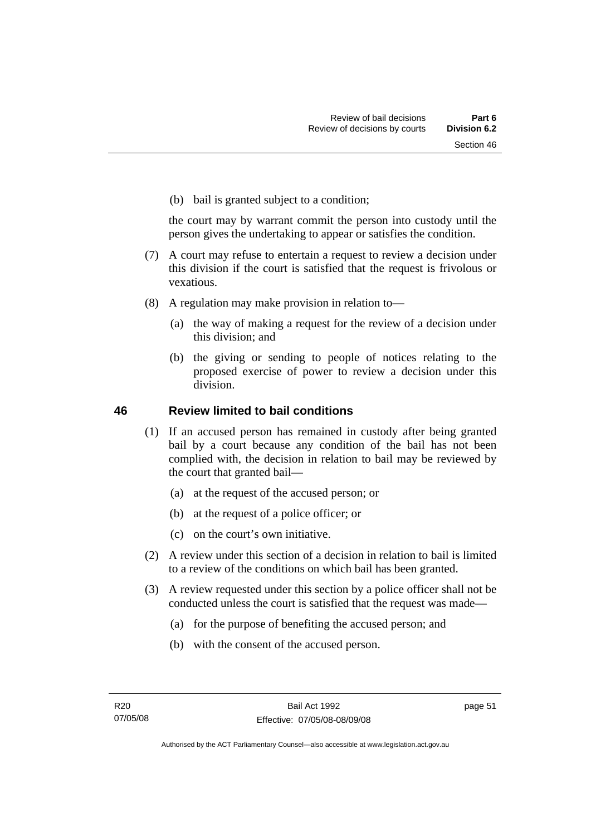(b) bail is granted subject to a condition;

the court may by warrant commit the person into custody until the person gives the undertaking to appear or satisfies the condition.

- (7) A court may refuse to entertain a request to review a decision under this division if the court is satisfied that the request is frivolous or vexatious.
- (8) A regulation may make provision in relation to—
	- (a) the way of making a request for the review of a decision under this division; and
	- (b) the giving or sending to people of notices relating to the proposed exercise of power to review a decision under this division.

### **46 Review limited to bail conditions**

- (1) If an accused person has remained in custody after being granted bail by a court because any condition of the bail has not been complied with, the decision in relation to bail may be reviewed by the court that granted bail—
	- (a) at the request of the accused person; or
	- (b) at the request of a police officer; or
	- (c) on the court's own initiative.
- (2) A review under this section of a decision in relation to bail is limited to a review of the conditions on which bail has been granted.
- (3) A review requested under this section by a police officer shall not be conducted unless the court is satisfied that the request was made—
	- (a) for the purpose of benefiting the accused person; and
	- (b) with the consent of the accused person.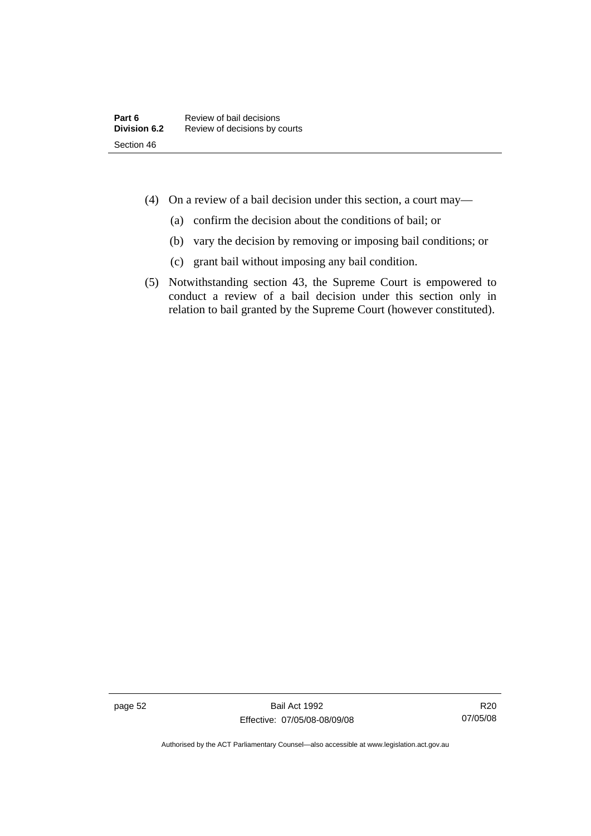- (4) On a review of a bail decision under this section, a court may—
	- (a) confirm the decision about the conditions of bail; or
	- (b) vary the decision by removing or imposing bail conditions; or
	- (c) grant bail without imposing any bail condition.
- (5) Notwithstanding section 43, the Supreme Court is empowered to conduct a review of a bail decision under this section only in relation to bail granted by the Supreme Court (however constituted).

Authorised by the ACT Parliamentary Counsel—also accessible at www.legislation.act.gov.au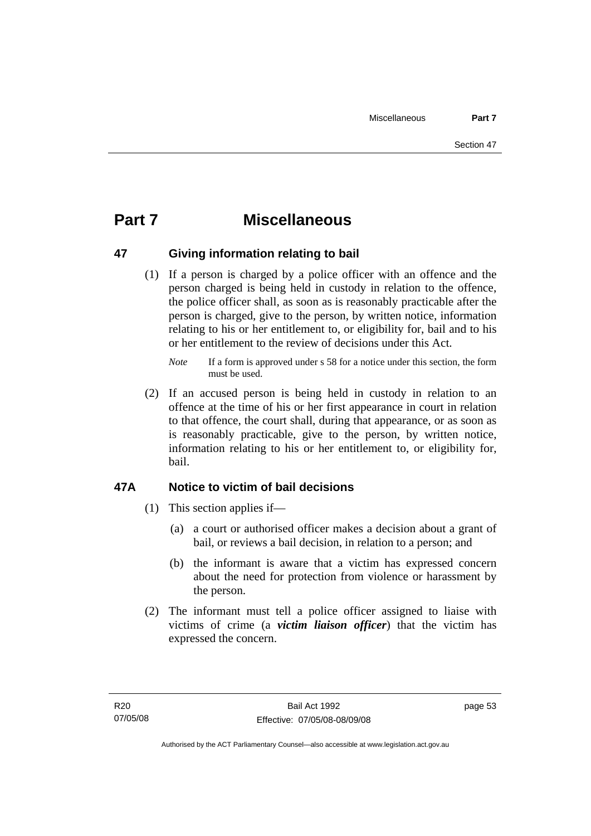## **Part 7 Miscellaneous**

### **47 Giving information relating to bail**

 (1) If a person is charged by a police officer with an offence and the person charged is being held in custody in relation to the offence, the police officer shall, as soon as is reasonably practicable after the person is charged, give to the person, by written notice, information relating to his or her entitlement to, or eligibility for, bail and to his or her entitlement to the review of decisions under this Act.

 (2) If an accused person is being held in custody in relation to an offence at the time of his or her first appearance in court in relation to that offence, the court shall, during that appearance, or as soon as is reasonably practicable, give to the person, by written notice, information relating to his or her entitlement to, or eligibility for, bail.

## **47A Notice to victim of bail decisions**

- (1) This section applies if—
	- (a) a court or authorised officer makes a decision about a grant of bail, or reviews a bail decision, in relation to a person; and
	- (b) the informant is aware that a victim has expressed concern about the need for protection from violence or harassment by the person.
- (2) The informant must tell a police officer assigned to liaise with victims of crime (a *victim liaison officer*) that the victim has expressed the concern.

*Note* If a form is approved under s 58 for a notice under this section, the form must be used.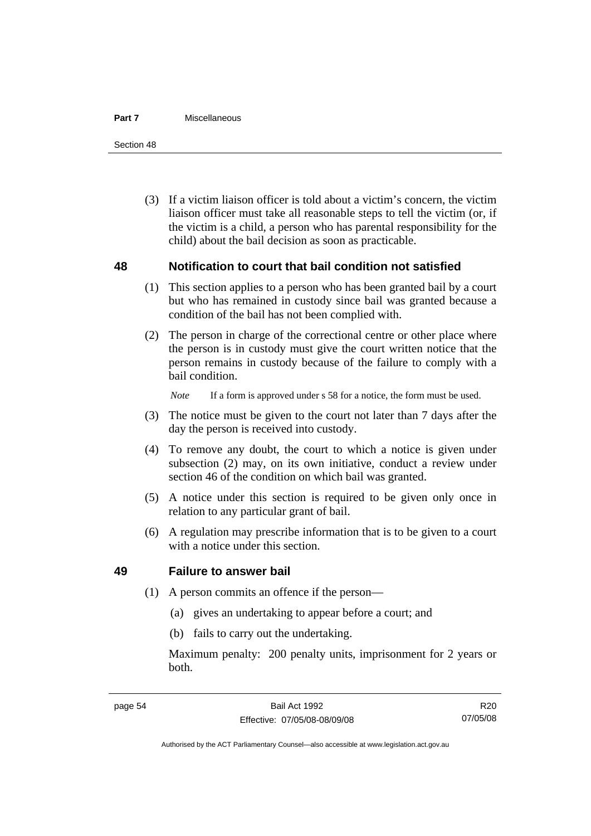#### **Part 7** Miscellaneous

Section 48

 (3) If a victim liaison officer is told about a victim's concern, the victim liaison officer must take all reasonable steps to tell the victim (or, if the victim is a child, a person who has parental responsibility for the child) about the bail decision as soon as practicable.

### **48 Notification to court that bail condition not satisfied**

- (1) This section applies to a person who has been granted bail by a court but who has remained in custody since bail was granted because a condition of the bail has not been complied with.
- (2) The person in charge of the correctional centre or other place where the person is in custody must give the court written notice that the person remains in custody because of the failure to comply with a bail condition.

*Note* If a form is approved under s 58 for a notice, the form must be used.

- (3) The notice must be given to the court not later than 7 days after the day the person is received into custody.
- (4) To remove any doubt, the court to which a notice is given under subsection (2) may, on its own initiative, conduct a review under section 46 of the condition on which bail was granted.
- (5) A notice under this section is required to be given only once in relation to any particular grant of bail.
- (6) A regulation may prescribe information that is to be given to a court with a notice under this section.

### **49 Failure to answer bail**

- (1) A person commits an offence if the person—
	- (a) gives an undertaking to appear before a court; and
	- (b) fails to carry out the undertaking.

Maximum penalty: 200 penalty units, imprisonment for 2 years or both.

R20 07/05/08

Authorised by the ACT Parliamentary Counsel—also accessible at www.legislation.act.gov.au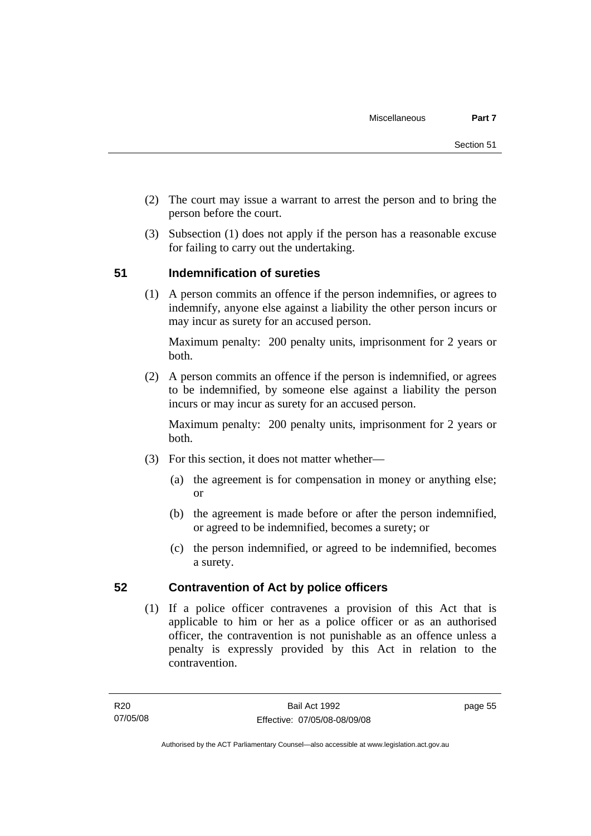- (2) The court may issue a warrant to arrest the person and to bring the person before the court.
- (3) Subsection (1) does not apply if the person has a reasonable excuse for failing to carry out the undertaking.

### **51 Indemnification of sureties**

 (1) A person commits an offence if the person indemnifies, or agrees to indemnify, anyone else against a liability the other person incurs or may incur as surety for an accused person.

Maximum penalty: 200 penalty units, imprisonment for 2 years or both.

 (2) A person commits an offence if the person is indemnified, or agrees to be indemnified, by someone else against a liability the person incurs or may incur as surety for an accused person.

Maximum penalty: 200 penalty units, imprisonment for 2 years or both.

- (3) For this section, it does not matter whether—
	- (a) the agreement is for compensation in money or anything else; or
	- (b) the agreement is made before or after the person indemnified, or agreed to be indemnified, becomes a surety; or
	- (c) the person indemnified, or agreed to be indemnified, becomes a surety.

### **52 Contravention of Act by police officers**

 (1) If a police officer contravenes a provision of this Act that is applicable to him or her as a police officer or as an authorised officer, the contravention is not punishable as an offence unless a penalty is expressly provided by this Act in relation to the contravention.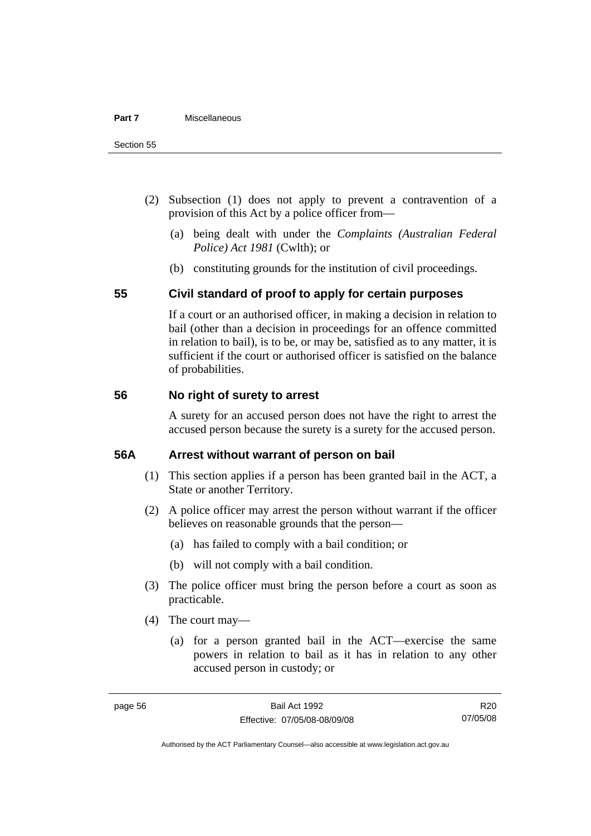- (2) Subsection (1) does not apply to prevent a contravention of a provision of this Act by a police officer from—
	- (a) being dealt with under the *Complaints (Australian Federal Police) Act 1981* (Cwlth); or
	- (b) constituting grounds for the institution of civil proceedings.

### **55 Civil standard of proof to apply for certain purposes**

If a court or an authorised officer, in making a decision in relation to bail (other than a decision in proceedings for an offence committed in relation to bail), is to be, or may be, satisfied as to any matter, it is sufficient if the court or authorised officer is satisfied on the balance of probabilities.

### **56 No right of surety to arrest**

A surety for an accused person does not have the right to arrest the accused person because the surety is a surety for the accused person.

### **56A Arrest without warrant of person on bail**

- (1) This section applies if a person has been granted bail in the ACT, a State or another Territory.
- (2) A police officer may arrest the person without warrant if the officer believes on reasonable grounds that the person—
	- (a) has failed to comply with a bail condition; or
	- (b) will not comply with a bail condition.
- (3) The police officer must bring the person before a court as soon as practicable.
- (4) The court may—
	- (a) for a person granted bail in the ACT—exercise the same powers in relation to bail as it has in relation to any other accused person in custody; or

Authorised by the ACT Parliamentary Counsel—also accessible at www.legislation.act.gov.au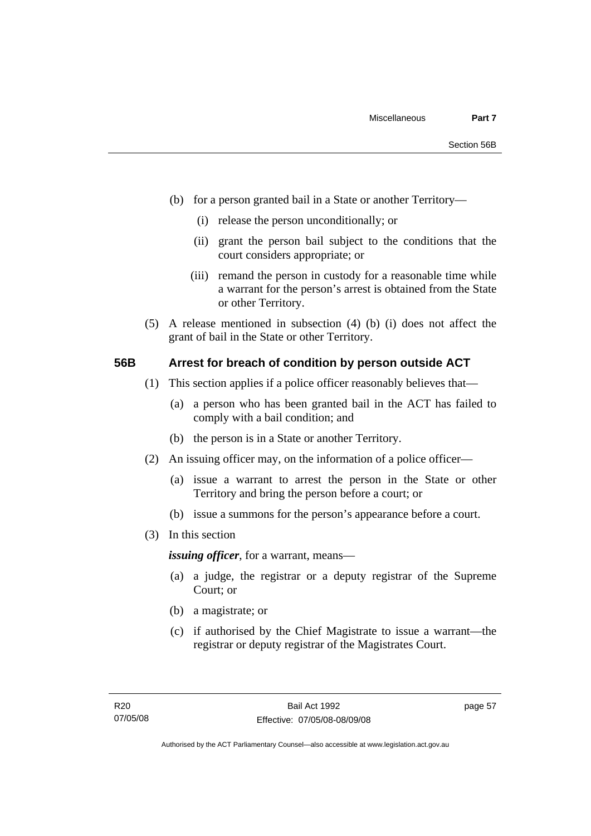- (b) for a person granted bail in a State or another Territory—
	- (i) release the person unconditionally; or
	- (ii) grant the person bail subject to the conditions that the court considers appropriate; or
	- (iii) remand the person in custody for a reasonable time while a warrant for the person's arrest is obtained from the State or other Territory.
- (5) A release mentioned in subsection (4) (b) (i) does not affect the grant of bail in the State or other Territory.

### **56B Arrest for breach of condition by person outside ACT**

- (1) This section applies if a police officer reasonably believes that—
	- (a) a person who has been granted bail in the ACT has failed to comply with a bail condition; and
	- (b) the person is in a State or another Territory.
- (2) An issuing officer may, on the information of a police officer—
	- (a) issue a warrant to arrest the person in the State or other Territory and bring the person before a court; or
	- (b) issue a summons for the person's appearance before a court.
- (3) In this section

*issuing officer*, for a warrant, means—

- (a) a judge, the registrar or a deputy registrar of the Supreme Court; or
- (b) a magistrate; or
- (c) if authorised by the Chief Magistrate to issue a warrant—the registrar or deputy registrar of the Magistrates Court.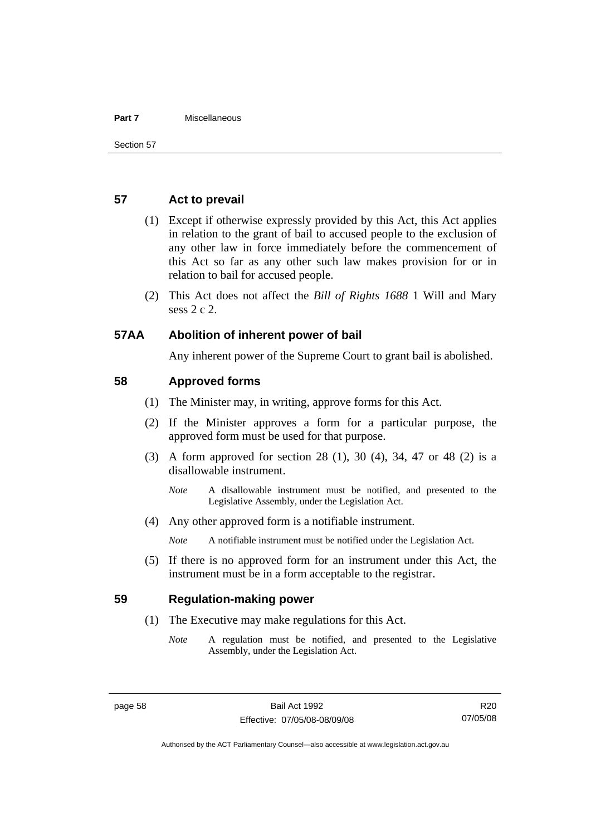#### **Part 7** Miscellaneous

### **57 Act to prevail**

- (1) Except if otherwise expressly provided by this Act, this Act applies in relation to the grant of bail to accused people to the exclusion of any other law in force immediately before the commencement of this Act so far as any other such law makes provision for or in relation to bail for accused people.
- (2) This Act does not affect the *Bill of Rights 1688* 1 Will and Mary sess 2 c 2.

### **57AA Abolition of inherent power of bail**

Any inherent power of the Supreme Court to grant bail is abolished.

### **58 Approved forms**

- (1) The Minister may, in writing, approve forms for this Act.
- (2) If the Minister approves a form for a particular purpose, the approved form must be used for that purpose.
- (3) A form approved for section 28 (1), 30 (4), 34, 47 or 48 (2) is a disallowable instrument.
	- *Note* A disallowable instrument must be notified, and presented to the Legislative Assembly, under the Legislation Act.
- (4) Any other approved form is a notifiable instrument.

*Note* A notifiable instrument must be notified under the Legislation Act.

 (5) If there is no approved form for an instrument under this Act, the instrument must be in a form acceptable to the registrar.

### **59 Regulation-making power**

- (1) The Executive may make regulations for this Act.
	- *Note* A regulation must be notified, and presented to the Legislative Assembly, under the Legislation Act.

Authorised by the ACT Parliamentary Counsel—also accessible at www.legislation.act.gov.au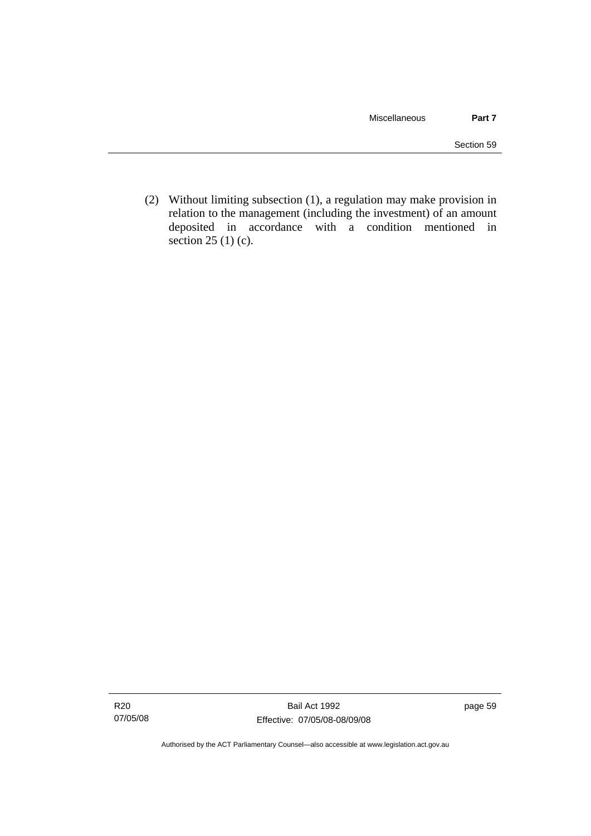(2) Without limiting subsection (1), a regulation may make provision in relation to the management (including the investment) of an amount deposited in accordance with a condition mentioned in section 25 (1) (c).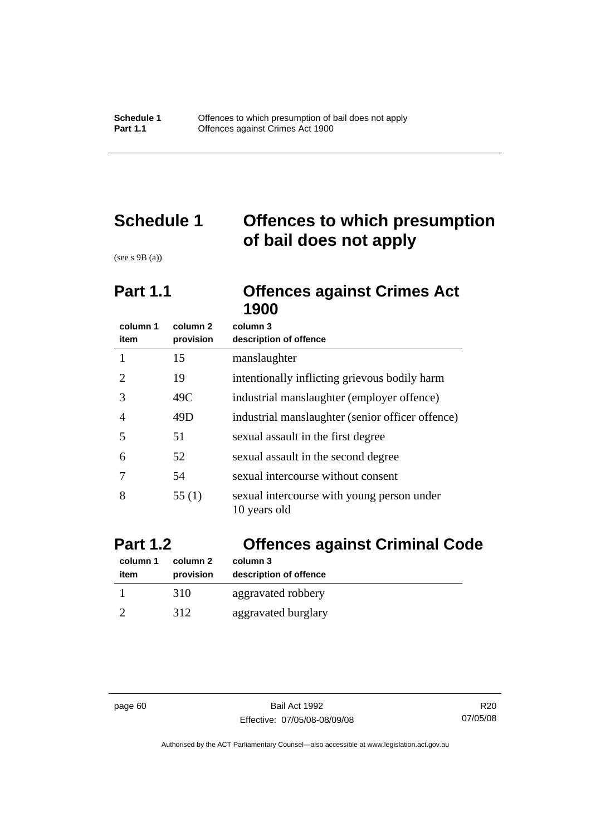# **Schedule 1 Offences to which presumption of bail does not apply**

(see s 9B (a))

## **Part 1.1 Offences against Crimes Act 1900**

| column 1<br>item | column 2<br>provision | column 3<br>description of offence                         |
|------------------|-----------------------|------------------------------------------------------------|
|                  | 15                    | manslaughter                                               |
| 2                | 19                    | intentionally inflicting grievous bodily harm              |
| 3                | 49C                   | industrial manslaughter (employer offence)                 |
| 4                | 49D                   | industrial manslaughter (senior officer offence)           |
| 5                | 51                    | sexual assault in the first degree                         |
| 6                | 52                    | sexual assault in the second degree                        |
|                  | 54                    | sexual intercourse without consent                         |
| 8                | 55(1)                 | sexual intercourse with young person under<br>10 years old |

| <b>Part 1.2</b>  |                       | <b>Offences against Criminal Code</b> |  |
|------------------|-----------------------|---------------------------------------|--|
| column 1<br>item | column 2<br>provision | column 3<br>description of offence    |  |
|                  | 310                   | aggravated robbery                    |  |
|                  | 312                   | aggravated burglary                   |  |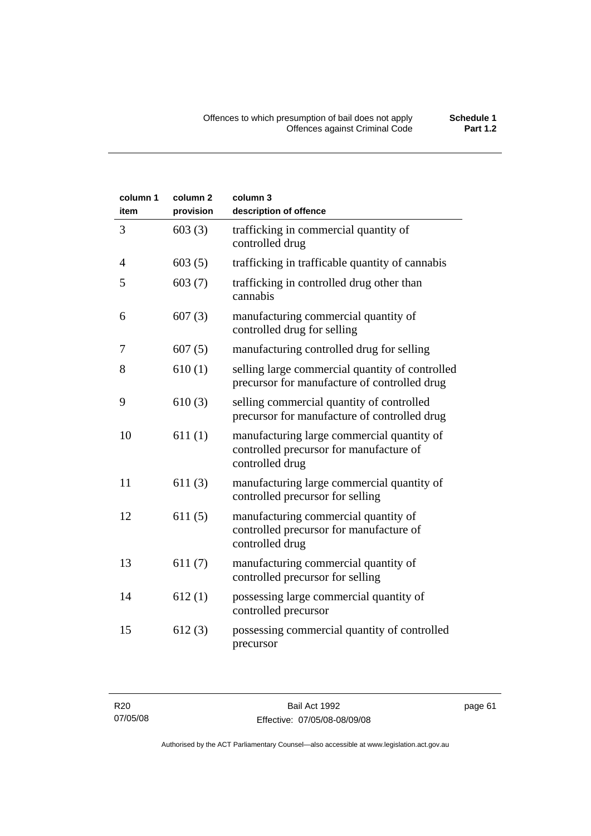| column 1<br>item | column <sub>2</sub><br>provision | column 3<br>description of offence                                                                       |
|------------------|----------------------------------|----------------------------------------------------------------------------------------------------------|
| 3                | 603(3)                           | trafficking in commercial quantity of<br>controlled drug                                                 |
| 4                | 603(5)                           | trafficking in trafficable quantity of cannabis                                                          |
| 5                | 603(7)                           | trafficking in controlled drug other than<br>cannabis                                                    |
| 6                | 607(3)                           | manufacturing commercial quantity of<br>controlled drug for selling                                      |
| 7                | 607(5)                           | manufacturing controlled drug for selling                                                                |
| 8                | 610(1)                           | selling large commercial quantity of controlled<br>precursor for manufacture of controlled drug          |
| 9                | 610(3)                           | selling commercial quantity of controlled<br>precursor for manufacture of controlled drug                |
| 10               | 611(1)                           | manufacturing large commercial quantity of<br>controlled precursor for manufacture of<br>controlled drug |
| 11               | 611(3)                           | manufacturing large commercial quantity of<br>controlled precursor for selling                           |
| 12               | 611(5)                           | manufacturing commercial quantity of<br>controlled precursor for manufacture of<br>controlled drug       |
| 13               | 611(7)                           | manufacturing commercial quantity of<br>controlled precursor for selling                                 |
| 14               | 612(1)                           | possessing large commercial quantity of<br>controlled precursor                                          |
| 15               | 612(3)                           | possessing commercial quantity of controlled<br>precursor                                                |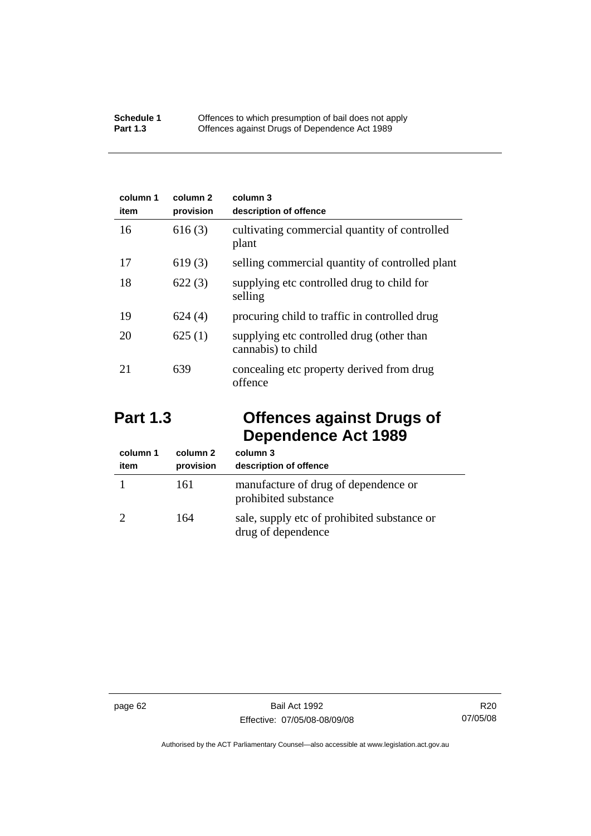| column 1<br>item | column 2<br>provision | column 3<br>description of offence                              |
|------------------|-----------------------|-----------------------------------------------------------------|
| 16               | 616(3)                | cultivating commercial quantity of controlled<br>plant          |
| 17               | 619(3)                | selling commercial quantity of controlled plant                 |
| 18               | 622(3)                | supplying etc controlled drug to child for<br>selling           |
| 19               | 624(4)                | procuring child to traffic in controlled drug                   |
| 20               | 625(1)                | supplying etc controlled drug (other than<br>cannabis) to child |
| 21               | 639                   | concealing etc property derived from drug<br>offence            |

# **Part 1.3 Offences against Drugs of Dependence Act 1989**

| column 1<br>item | column 2<br>provision | column 3<br>description of offence                                |
|------------------|-----------------------|-------------------------------------------------------------------|
|                  | 161                   | manufacture of drug of dependence or<br>prohibited substance      |
|                  | 164                   | sale, supply etc of prohibited substance or<br>drug of dependence |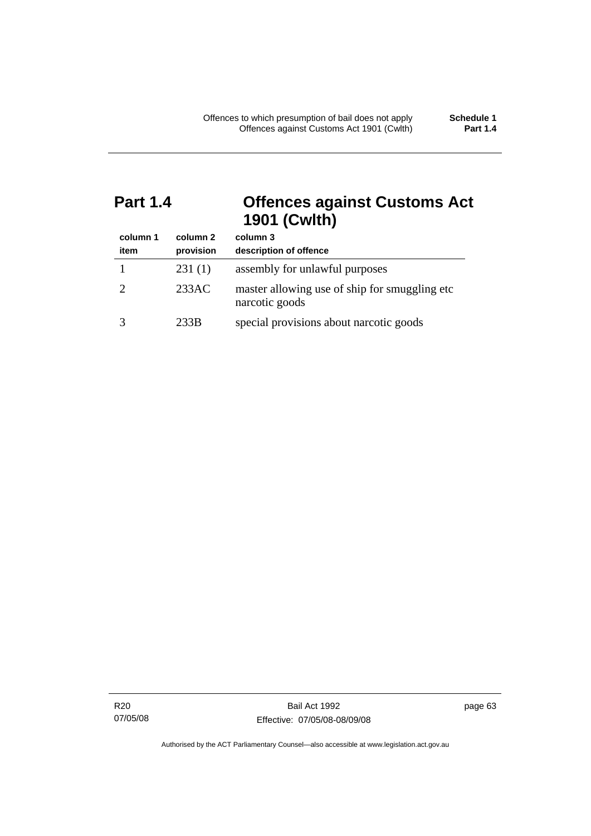## **Part 1.4 Offences against Customs Act 1901 (Cwlth)**

| column 1<br>item | column 2<br>provision | column 3<br>description of offence                               |
|------------------|-----------------------|------------------------------------------------------------------|
|                  | 231(1)                | assembly for unlawful purposes                                   |
|                  | 233AC                 | master allowing use of ship for smuggling etc.<br>narcotic goods |
|                  | 233B                  | special provisions about narcotic goods                          |

R20 07/05/08 page 63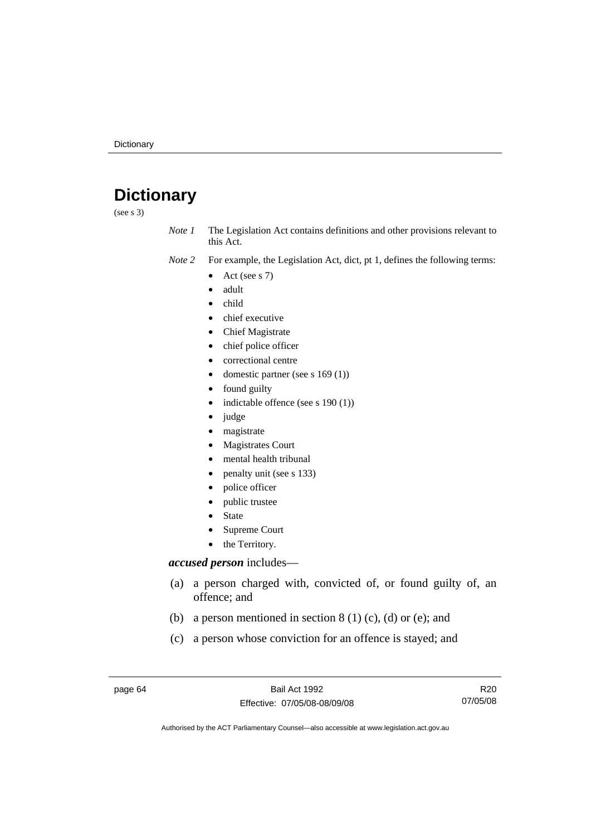# **Dictionary**

(see s 3)

*Note 1* The Legislation Act contains definitions and other provisions relevant to this Act.

- *Note 2* For example, the Legislation Act, dict, pt 1, defines the following terms:
	- Act (see s  $7$ )
	- adult
	- child
	- chief executive
	- Chief Magistrate
	- chief police officer
	- correctional centre
	- domestic partner (see s 169 (1))
	- found guilty
	- indictable offence (see s 190 (1))
	- judge
	- magistrate
	- Magistrates Court
	- mental health tribunal
	- penalty unit (see s 133)
	- police officer
	- public trustee
	- **State**
	- Supreme Court
	- the Territory.

### *accused person* includes—

- (a) a person charged with, convicted of, or found guilty of, an offence; and
- (b) a person mentioned in section  $8(1)(c)$ , (d) or (e); and
- (c) a person whose conviction for an offence is stayed; and

page 64 Bail Act 1992 Effective: 07/05/08-08/09/08

R20 07/05/08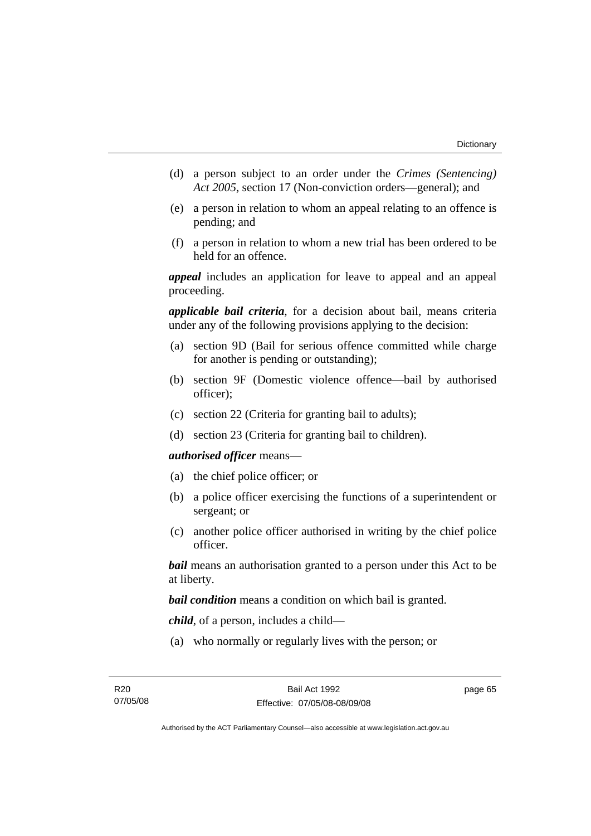- (d) a person subject to an order under the *Crimes (Sentencing) Act 2005*, section 17 (Non-conviction orders—general); and
- (e) a person in relation to whom an appeal relating to an offence is pending; and
- (f) a person in relation to whom a new trial has been ordered to be held for an offence.

*appeal* includes an application for leave to appeal and an appeal proceeding.

*applicable bail criteria*, for a decision about bail, means criteria under any of the following provisions applying to the decision:

- (a) section 9D (Bail for serious offence committed while charge for another is pending or outstanding);
- (b) section 9F (Domestic violence offence—bail by authorised officer);
- (c) section 22 (Criteria for granting bail to adults);
- (d) section 23 (Criteria for granting bail to children).

#### *authorised officer* means—

- (a) the chief police officer; or
- (b) a police officer exercising the functions of a superintendent or sergeant; or
- (c) another police officer authorised in writing by the chief police officer.

*bail* means an authorisation granted to a person under this Act to be at liberty.

*bail condition* means a condition on which bail is granted.

*child*, of a person, includes a child—

(a) who normally or regularly lives with the person; or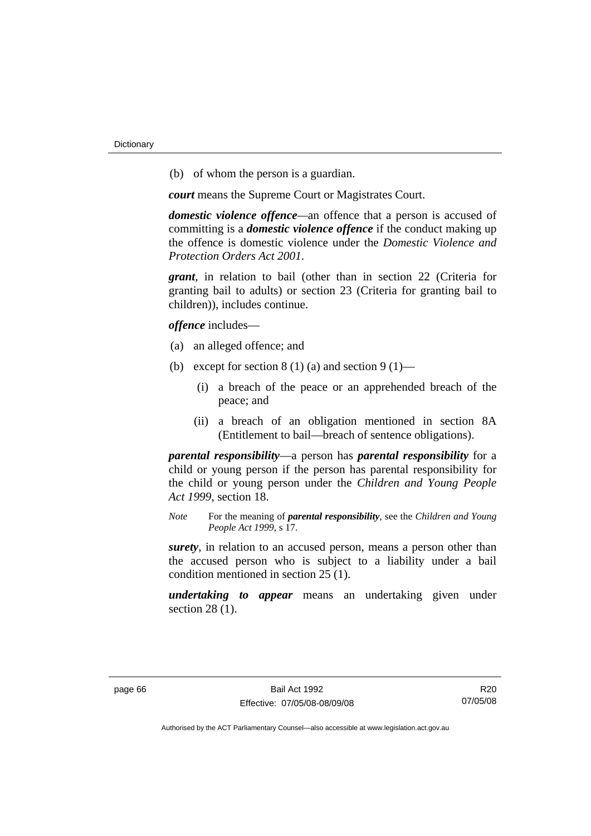(b) of whom the person is a guardian.

*court* means the Supreme Court or Magistrates Court.

*domestic violence offence—*an offence that a person is accused of committing is a *domestic violence offence* if the conduct making up the offence is domestic violence under the *Domestic Violence and Protection Orders Act 2001*.

*grant*, in relation to bail (other than in section 22 (Criteria for granting bail to adults) or section 23 (Criteria for granting bail to children)), includes continue.

*offence* includes—

- (a) an alleged offence; and
- (b) except for section  $8(1)(a)$  and section  $9(1)$ 
	- (i) a breach of the peace or an apprehended breach of the peace; and
	- (ii) a breach of an obligation mentioned in section 8A (Entitlement to bail—breach of sentence obligations).

*parental responsibility*—a person has *parental responsibility* for a child or young person if the person has parental responsibility for the child or young person under the *Children and Young People Act 1999*, section 18.

*Note* For the meaning of *parental responsibility*, see the *Children and Young People Act 1999*, s 17.

*surety*, in relation to an accused person, means a person other than the accused person who is subject to a liability under a bail condition mentioned in section 25 (1).

*undertaking to appear* means an undertaking given under section 28 (1).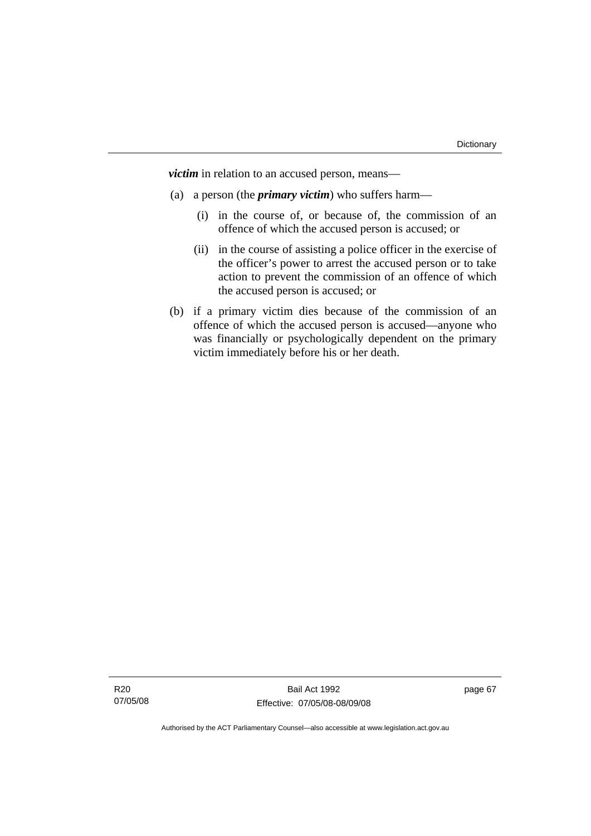*victim* in relation to an accused person, means—

- (a) a person (the *primary victim*) who suffers harm—
	- (i) in the course of, or because of, the commission of an offence of which the accused person is accused; or
	- (ii) in the course of assisting a police officer in the exercise of the officer's power to arrest the accused person or to take action to prevent the commission of an offence of which the accused person is accused; or
- (b) if a primary victim dies because of the commission of an offence of which the accused person is accused—anyone who was financially or psychologically dependent on the primary victim immediately before his or her death.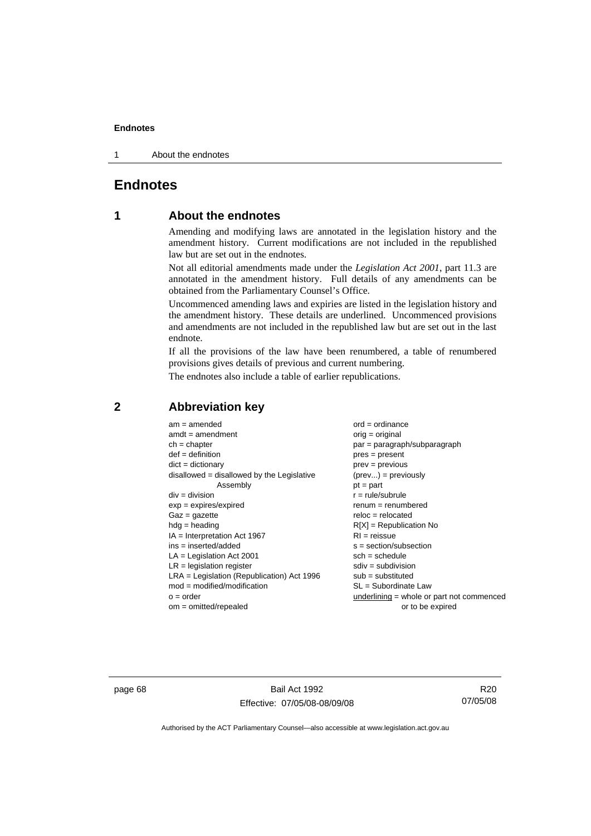1 About the endnotes

# **Endnotes**

# **1 About the endnotes**

Amending and modifying laws are annotated in the legislation history and the amendment history. Current modifications are not included in the republished law but are set out in the endnotes.

Not all editorial amendments made under the *Legislation Act 2001*, part 11.3 are annotated in the amendment history. Full details of any amendments can be obtained from the Parliamentary Counsel's Office.

Uncommenced amending laws and expiries are listed in the legislation history and the amendment history. These details are underlined. Uncommenced provisions and amendments are not included in the republished law but are set out in the last endnote.

If all the provisions of the law have been renumbered, a table of renumbered provisions gives details of previous and current numbering.

The endnotes also include a table of earlier republications.

| $am = amended$                               | $ord = ordinance$                         |
|----------------------------------------------|-------------------------------------------|
| $amdt = amendment$                           | $orig = original$                         |
| $ch = chapter$                               | $par = paragraph/subparagraph$            |
| $def = definition$                           | $pres = present$                          |
| $dict = dictionary$                          | $prev = previous$                         |
| disallowed = disallowed by the Legislative   | $(\text{prev}) = \text{previously}$       |
| Assembly                                     | $pt = part$                               |
| $div = division$                             | $r = rule/subrule$                        |
| $exp = expires/expired$                      | $remum = renumbered$                      |
| $Gaz = gazette$                              | $reloc = relocated$                       |
| $hdg =$ heading                              | $R[X]$ = Republication No                 |
| $IA = Interpretation Act 1967$               | $RI = reissue$                            |
| $ins = inserted/added$                       | $s = section/subsection$                  |
| $LA =$ Legislation Act 2001                  | $sch = schedule$                          |
| $LR =$ legislation register                  | $sdiv = subdivision$                      |
| $LRA =$ Legislation (Republication) Act 1996 | $sub = substituted$                       |
| $mod = modified/modification$                | SL = Subordinate Law                      |
| $o = order$                                  | underlining = whole or part not commenced |
| $om = omitted/report$                        | or to be expired                          |
|                                              |                                           |

# **2 Abbreviation key**

page 68 Bail Act 1992 Effective: 07/05/08-08/09/08

R20 07/05/08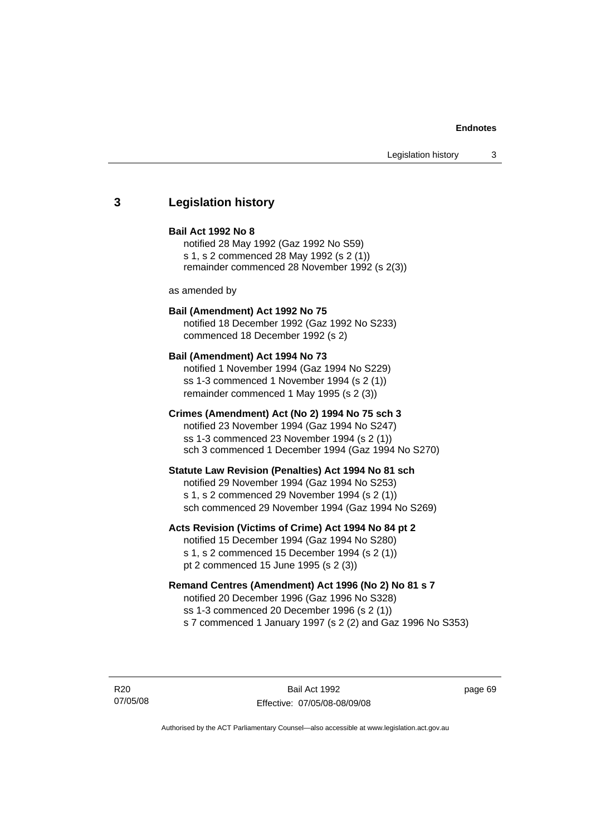# **3 Legislation history**

### **Bail Act 1992 No 8**

notified 28 May 1992 (Gaz 1992 No S59) s 1, s 2 commenced 28 May 1992 (s 2 (1)) remainder commenced 28 November 1992 (s 2(3))

as amended by

# **Bail (Amendment) Act 1992 No 75**

notified 18 December 1992 (Gaz 1992 No S233) commenced 18 December 1992 (s 2)

### **Bail (Amendment) Act 1994 No 73**

notified 1 November 1994 (Gaz 1994 No S229) ss 1-3 commenced 1 November 1994 (s 2 (1)) remainder commenced 1 May 1995 (s 2 (3))

## **Crimes (Amendment) Act (No 2) 1994 No 75 sch 3**

notified 23 November 1994 (Gaz 1994 No S247) ss 1-3 commenced 23 November 1994 (s 2 (1)) sch 3 commenced 1 December 1994 (Gaz 1994 No S270)

### **Statute Law Revision (Penalties) Act 1994 No 81 sch**

notified 29 November 1994 (Gaz 1994 No S253) s 1, s 2 commenced 29 November 1994 (s 2 (1)) sch commenced 29 November 1994 (Gaz 1994 No S269)

## **Acts Revision (Victims of Crime) Act 1994 No 84 pt 2**

notified 15 December 1994 (Gaz 1994 No S280) s 1, s 2 commenced 15 December 1994 (s 2 (1)) pt 2 commenced 15 June 1995 (s 2 (3))

# **Remand Centres (Amendment) Act 1996 (No 2) No 81 s 7**

notified 20 December 1996 (Gaz 1996 No S328) ss 1-3 commenced 20 December 1996 (s 2 (1)) s 7 commenced 1 January 1997 (s 2 (2) and Gaz 1996 No S353)

R20 07/05/08

Bail Act 1992 Effective: 07/05/08-08/09/08 page 69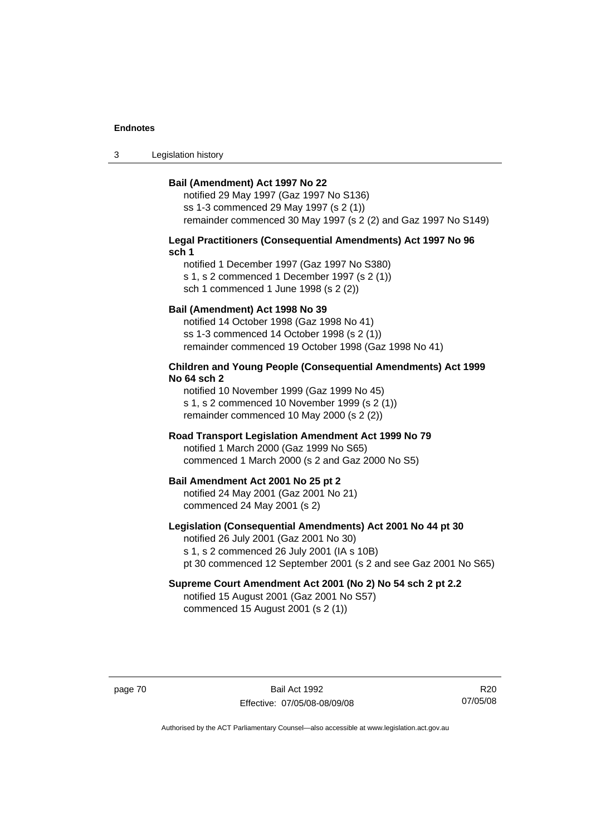3 Legislation history

### **Bail (Amendment) Act 1997 No 22**

notified 29 May 1997 (Gaz 1997 No S136) ss 1-3 commenced 29 May 1997 (s 2 (1)) remainder commenced 30 May 1997 (s 2 (2) and Gaz 1997 No S149)

### **Legal Practitioners (Consequential Amendments) Act 1997 No 96 sch 1**

notified 1 December 1997 (Gaz 1997 No S380) s 1, s 2 commenced 1 December 1997 (s 2 (1)) sch 1 commenced 1 June 1998 (s 2 (2))

# **Bail (Amendment) Act 1998 No 39**

notified 14 October 1998 (Gaz 1998 No 41) ss 1-3 commenced 14 October 1998 (s 2 (1)) remainder commenced 19 October 1998 (Gaz 1998 No 41)

## **Children and Young People (Consequential Amendments) Act 1999 No 64 sch 2**

notified 10 November 1999 (Gaz 1999 No 45) s 1, s 2 commenced 10 November 1999 (s 2 (1)) remainder commenced 10 May 2000 (s 2 (2))

## **Road Transport Legislation Amendment Act 1999 No 79**

notified 1 March 2000 (Gaz 1999 No S65) commenced 1 March 2000 (s 2 and Gaz 2000 No S5)

### **Bail Amendment Act 2001 No 25 pt 2**

notified 24 May 2001 (Gaz 2001 No 21) commenced 24 May 2001 (s 2)

# **Legislation (Consequential Amendments) Act 2001 No 44 pt 30**

notified 26 July 2001 (Gaz 2001 No 30) s 1, s 2 commenced 26 July 2001 (IA s 10B) pt 30 commenced 12 September 2001 (s 2 and see Gaz 2001 No S65)

# **Supreme Court Amendment Act 2001 (No 2) No 54 sch 2 pt 2.2**

notified 15 August 2001 (Gaz 2001 No S57) commenced 15 August 2001 (s 2 (1))

page 70 Bail Act 1992 Effective: 07/05/08-08/09/08

R20 07/05/08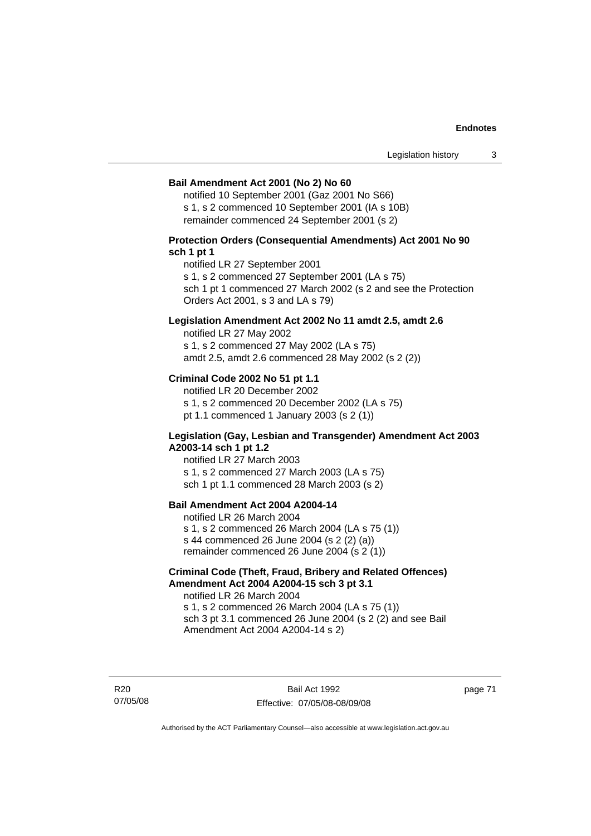### **Bail Amendment Act 2001 (No 2) No 60**

notified 10 September 2001 (Gaz 2001 No S66) s 1, s 2 commenced 10 September 2001 (IA s 10B) remainder commenced 24 September 2001 (s 2)

# **Protection Orders (Consequential Amendments) Act 2001 No 90 sch 1 pt 1**

notified LR 27 September 2001

s 1, s 2 commenced 27 September 2001 (LA s 75)

sch 1 pt 1 commenced 27 March 2002 (s 2 and see the Protection Orders Act 2001, s 3 and LA s 79)

# **Legislation Amendment Act 2002 No 11 amdt 2.5, amdt 2.6**

notified LR 27 May 2002 s 1, s 2 commenced 27 May 2002 (LA s 75) amdt 2.5, amdt 2.6 commenced 28 May 2002 (s 2 (2))

# **Criminal Code 2002 No 51 pt 1.1**

notified LR 20 December 2002 s 1, s 2 commenced 20 December 2002 (LA s 75) pt 1.1 commenced 1 January 2003 (s 2 (1))

### **Legislation (Gay, Lesbian and Transgender) Amendment Act 2003 A2003-14 sch 1 pt 1.2**

notified LR 27 March 2003 s 1, s 2 commenced 27 March 2003 (LA s 75) sch 1 pt 1.1 commenced 28 March 2003 (s 2)

# **Bail Amendment Act 2004 A2004-14**

notified LR 26 March 2004 s 1, s 2 commenced 26 March 2004 (LA s 75 (1)) s 44 commenced 26 June 2004 (s 2 (2) (a)) remainder commenced 26 June 2004 (s 2 (1))

# **Criminal Code (Theft, Fraud, Bribery and Related Offences) Amendment Act 2004 A2004-15 sch 3 pt 3.1**

notified LR 26 March 2004 s 1, s 2 commenced 26 March 2004 (LA s 75 (1)) sch 3 pt 3.1 commenced 26 June 2004 (s 2 (2) and see Bail Amendment Act 2004 A2004-14 s 2)

R20 07/05/08

Bail Act 1992 Effective: 07/05/08-08/09/08 page 71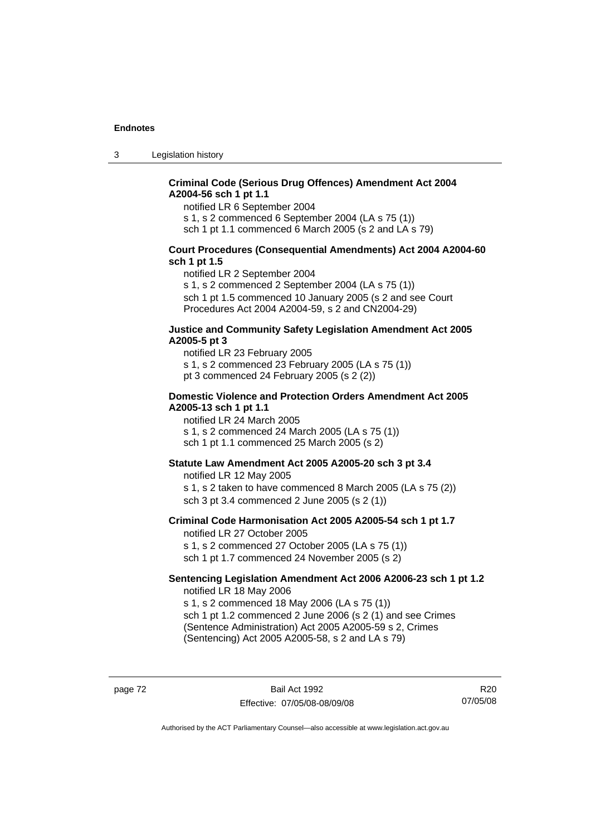3 Legislation history

# **Criminal Code (Serious Drug Offences) Amendment Act 2004 A2004-56 sch 1 pt 1.1**

notified LR 6 September 2004

s 1, s 2 commenced 6 September 2004 (LA s 75 (1))

sch 1 pt 1.1 commenced 6 March 2005 (s 2 and LA s 79)

# **Court Procedures (Consequential Amendments) Act 2004 A2004-60 sch 1 pt 1.5**

notified LR 2 September 2004

s 1, s 2 commenced 2 September 2004 (LA s 75 (1)) sch 1 pt 1.5 commenced 10 January 2005 (s 2 and see Court Procedures Act 2004 A2004-59, s 2 and CN2004-29)

### **Justice and Community Safety Legislation Amendment Act 2005 A2005-5 pt 3**

notified LR 23 February 2005 s 1, s 2 commenced 23 February 2005 (LA s 75 (1)) pt 3 commenced 24 February 2005 (s 2 (2))

### **Domestic Violence and Protection Orders Amendment Act 2005 A2005-13 sch 1 pt 1.1**

notified LR 24 March 2005 s 1, s 2 commenced 24 March 2005 (LA s 75 (1)) sch 1 pt 1.1 commenced 25 March 2005 (s 2)

# **Statute Law Amendment Act 2005 A2005-20 sch 3 pt 3.4**

notified LR 12 May 2005 s 1, s 2 taken to have commenced 8 March 2005 (LA s 75 (2)) sch 3 pt 3.4 commenced 2 June 2005 (s 2 (1))

### **Criminal Code Harmonisation Act 2005 A2005-54 sch 1 pt 1.7**  notified LR 27 October 2005

s 1, s 2 commenced 27 October 2005 (LA s 75 (1)) sch 1 pt 1.7 commenced 24 November 2005 (s 2)

### **Sentencing Legislation Amendment Act 2006 A2006-23 sch 1 pt 1.2**  notified LR 18 May 2006

s 1, s 2 commenced 18 May 2006 (LA s 75 (1)) sch 1 pt 1.2 commenced 2 June 2006 (s 2 (1) and see Crimes (Sentence Administration) Act 2005 A2005-59 s 2, Crimes

(Sentencing) Act 2005 A2005-58, s 2 and LA s 79)

page 72 Bail Act 1992 Effective: 07/05/08-08/09/08

R20 07/05/08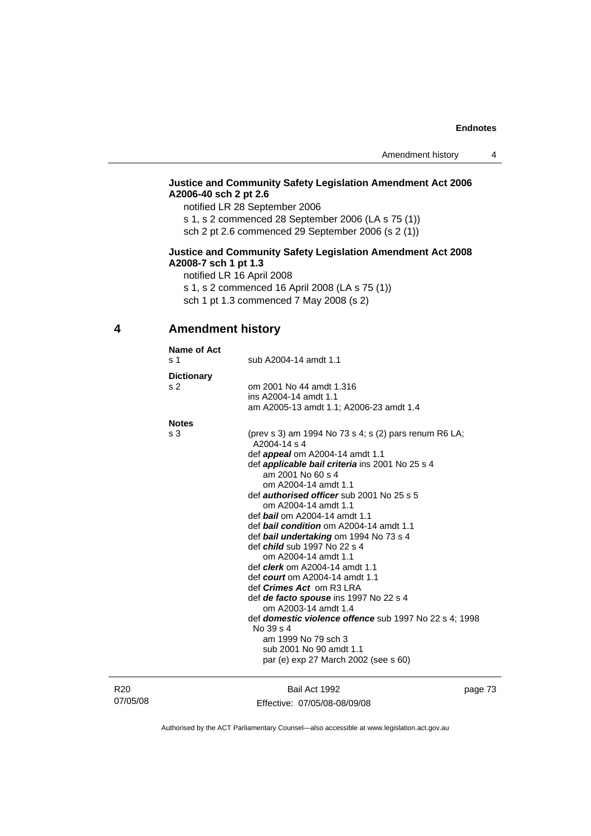# **Justice and Community Safety Legislation Amendment Act 2006 A2006-40 sch 2 pt 2.6**

notified LR 28 September 2006 s 1, s 2 commenced 28 September 2006 (LA s 75 (1))

sch 2 pt 2.6 commenced 29 September 2006 (s 2 (1))

# **Justice and Community Safety Legislation Amendment Act 2008 A2008-7 sch 1 pt 1.3**

notified LR 16 April 2008

s 1, s 2 commenced 16 April 2008 (LA s 75 (1))

sch 1 pt 1.3 commenced 7 May 2008 (s 2)

# **4 Amendment history**

| Name of Act<br>s 1 | sub A2004-14 amdt 1.1                                                 |
|--------------------|-----------------------------------------------------------------------|
| <b>Dictionary</b>  |                                                                       |
| s <sub>2</sub>     | om 2001 No 44 amdt 1.316                                              |
|                    | ins A2004-14 amdt 1.1                                                 |
|                    | am A2005-13 amdt 1.1; A2006-23 amdt 1.4                               |
| <b>Notes</b>       |                                                                       |
| s 3                | (prev s 3) am 1994 No 73 s 4; s (2) pars renum R6 LA;<br>A2004-14 s 4 |
|                    | def <i>appeal</i> om A2004-14 amdt 1.1                                |
|                    | def <b>applicable bail criteria</b> ins 2001 No 25 s 4                |
|                    | am 2001 No 60 s 4                                                     |
|                    | om A2004-14 amdt 1.1                                                  |
|                    | def <b>authorised officer</b> sub 2001 No 25 s 5                      |
|                    | om A2004-14 amdt 1.1                                                  |
|                    | def <b>bail</b> om A2004-14 amdt 1.1                                  |
|                    | def <b>bail condition</b> om A2004-14 amdt 1.1                        |
|                    | def bail undertaking om 1994 No 73 s 4                                |
|                    | def <i>child</i> sub 1997 No 22 s 4                                   |
|                    | om A2004-14 amdt 1.1                                                  |
|                    | def <i>clerk</i> om A2004-14 amdt 1.1                                 |
|                    | def court om $A2004-14$ amdt 1.1                                      |
|                    | def <i>Crimes Act</i> om R3 LRA                                       |
|                    | def de facto spouse ins 1997 No 22 s 4<br>om A2003-14 amdt 1.4        |
|                    | def <i>domestic violence offence</i> sub 1997 No 22 s 4: 1998         |
|                    | No 39 s 4                                                             |
|                    | am 1999 No 79 sch 3                                                   |
|                    | sub 2001 No 90 amdt 1.1                                               |
|                    | par (e) exp 27 March 2002 (see s 60)                                  |
|                    |                                                                       |
|                    |                                                                       |

R20 07/05/08

Bail Act 1992 Effective: 07/05/08-08/09/08 page 73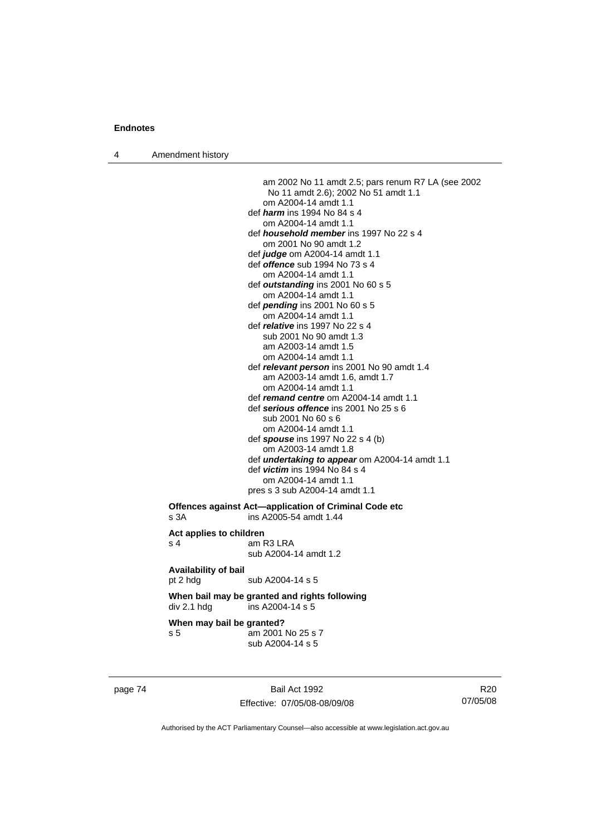4 Amendment history

 am 2002 No 11 amdt 2.5; pars renum R7 LA (see 2002 No 11 amdt 2.6); 2002 No 51 amdt 1.1 om A2004-14 amdt 1.1 def *harm* ins 1994 No 84 s 4 om A2004-14 amdt 1.1 def *household member* ins 1997 No 22 s 4 om 2001 No 90 amdt 1.2 def *judge* om A2004-14 amdt 1.1 def *offence* sub 1994 No 73 s 4 om A2004-14 amdt 1.1 def *outstanding* ins 2001 No 60 s 5 om A2004-14 amdt 1.1 def *pending* ins 2001 No 60 s 5 om A2004-14 amdt 1.1 def *relative* ins 1997 No 22 s 4 sub 2001 No 90 amdt 1.3 am A2003-14 amdt 1.5 om A2004-14 amdt 1.1 def *relevant person* ins 2001 No 90 amdt 1.4 am A2003-14 amdt 1.6, amdt 1.7 om A2004-14 amdt 1.1 def *remand centre* om A2004-14 amdt 1.1 def *serious offence* ins 2001 No 25 s 6 sub 2001 No 60 s 6 om A2004-14 amdt 1.1 def *spouse* ins 1997 No 22 s 4 (b) om A2003-14 amdt 1.8 def *undertaking to appear* om A2004-14 amdt 1.1 def *victim* ins 1994 No 84 s 4 om A2004-14 amdt 1.1 pres s 3 sub A2004-14 amdt 1.1 **Offences against Act—application of Criminal Code etc**  s 3A ins A2005-54 amdt 1.44 **Act applies to children**  s 4 am R3 LRA sub A2004-14 amdt 1.2 **Availability of bail**  pt 2 hdg sub A2004-14 s 5 **When bail may be granted and rights following**   $div 2.1$  hdg  $ins A2004-14 s 5$ 

#### **When may bail be granted?**

s 5 am 2001 No 25 s 7 sub A2004-14 s 5

page 74 Bail Act 1992 Effective: 07/05/08-08/09/08

R20 07/05/08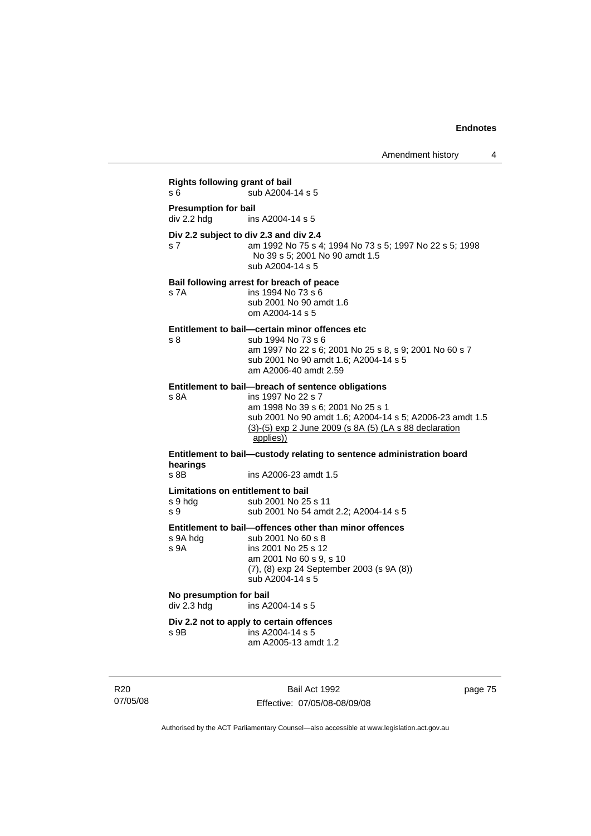# **Rights following grant of bail**  s 6  $\overline{\smash{\big)}\smash{\big)}\smash{\big)}$  sub A2004-14 s 5 **Presumption for bail**  div 2.2 hdg ins A2004-14 s 5 **Div 2.2 subject to div 2.3 and div 2.4** s 7 am 1992 No 75 s 4; 1994 No 73 s 5; 1997 No 22 s 5; 1998 No 39 s 5; 2001 No 90 amdt 1.5 sub A2004-14 s 5 **Bail following arrest for breach of peace** s 7A ins 1994 No 73 s 6 sub 2001 No 90 amdt 1.6 om A2004-14 s 5 **Entitlement to bail—certain minor offences etc** s 8 sub 1994 No 73 s 6 am 1997 No 22 s 6; 2001 No 25 s 8, s 9; 2001 No 60 s 7 sub 2001 No 90 amdt 1.6; A2004-14 s 5 am A2006-40 amdt 2.59 **Entitlement to bail—breach of sentence obligations**<br>s 8A **ins 1997 No 22 s 7** ins 1997 No 22 s 7 am 1998 No 39 s 6; 2001 No 25 s 1 sub 2001 No 90 amdt 1.6; A2004-14 s 5; A2006-23 amdt 1.5 (3)-(5) exp 2 June 2009 (s 8A (5) (LA s 88 declaration applies)) **Entitlement to bail—custody relating to sentence administration board hearings** ins A2006-23 amdt 1.5 **Limitations on entitlement to bail**  s 9 hdg sub 2001 No 25 s 11 s 9 sub 2001 No 54 amdt 2.2; A2004-14 s 5 **Entitlement to bail—offences other than minor offences**  sub 2001 No 60 s 8 s 9A ins 2001 No 25 s 12 am 2001 No 60 s 9, s 10 (7), (8) exp 24 September 2003 (s 9A (8)) sub A2004-14 s 5 **No presumption for bail**  ins A2004-14 s 5 **Div 2.2 not to apply to certain offences**  s 9B ins A2004-14 s 5

R20 07/05/08

Bail Act 1992 Effective: 07/05/08-08/09/08

am A2005-13 amdt 1.2

page 75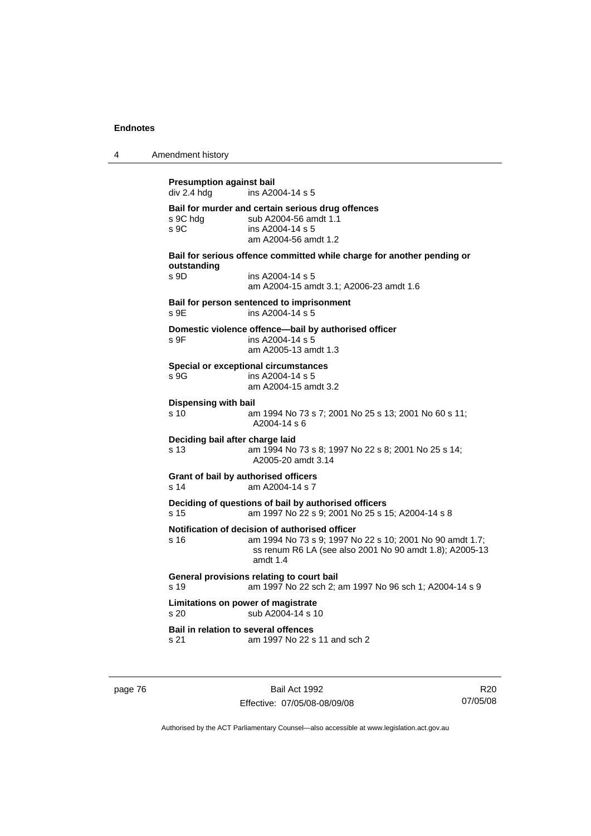| 4 | Amendment history                                                                                                                                                                           |
|---|---------------------------------------------------------------------------------------------------------------------------------------------------------------------------------------------|
|   | <b>Presumption against bail</b><br>div 2.4 hdg<br>ins A2004-14 s 5                                                                                                                          |
|   | Bail for murder and certain serious drug offences<br>s 9C hdg<br>sub A2004-56 amdt 1.1<br>ins A2004-14 s 5<br>S <sub>9C</sub><br>am A2004-56 amdt 1.2                                       |
|   | Bail for serious offence committed while charge for another pending or<br>outstanding<br>s 9D<br>ins A2004-14 s 5<br>am A2004-15 amdt 3.1; A2006-23 amdt 1.6                                |
|   | Bail for person sentenced to imprisonment<br>s 9E<br>ins A2004-14 s 5                                                                                                                       |
|   | Domestic violence offence-bail by authorised officer<br>ins A2004-14 s 5<br>s 9F<br>am A2005-13 amdt 1.3                                                                                    |
|   | <b>Special or exceptional circumstances</b><br>s.9G<br>ins A2004-14 s 5<br>am A2004-15 amdt 3.2                                                                                             |
|   | <b>Dispensing with bail</b><br>s 10<br>am 1994 No 73 s 7; 2001 No 25 s 13; 2001 No 60 s 11;<br>A2004-14 s 6                                                                                 |
|   | Deciding bail after charge laid<br>s 13<br>am 1994 No 73 s 8; 1997 No 22 s 8; 2001 No 25 s 14;<br>A2005-20 amdt 3.14                                                                        |
|   | Grant of bail by authorised officers<br>am A2004-14 s 7<br>s 14                                                                                                                             |
|   | Deciding of questions of bail by authorised officers<br>am 1997 No 22 s 9; 2001 No 25 s 15; A2004-14 s 8<br>s 15                                                                            |
|   | Notification of decision of authorised officer<br>am 1994 No 73 s 9; 1997 No 22 s 10; 2001 No 90 amdt 1.7;<br>s 16<br>ss renum R6 LA (see also 2001 No 90 amdt 1.8); A2005-13<br>amdt $1.4$ |
|   | General provisions relating to court bail<br>s 19<br>am 1997 No 22 sch 2; am 1997 No 96 sch 1; A2004-14 s 9                                                                                 |
|   | Limitations on power of magistrate<br>s 20<br>sub A2004-14 s 10                                                                                                                             |
|   | <b>Bail in relation to several offences</b><br>am 1997 No 22 s 11 and sch 2<br>s 21                                                                                                         |

page 76 Bail Act 1992 Effective: 07/05/08-08/09/08

R20 07/05/08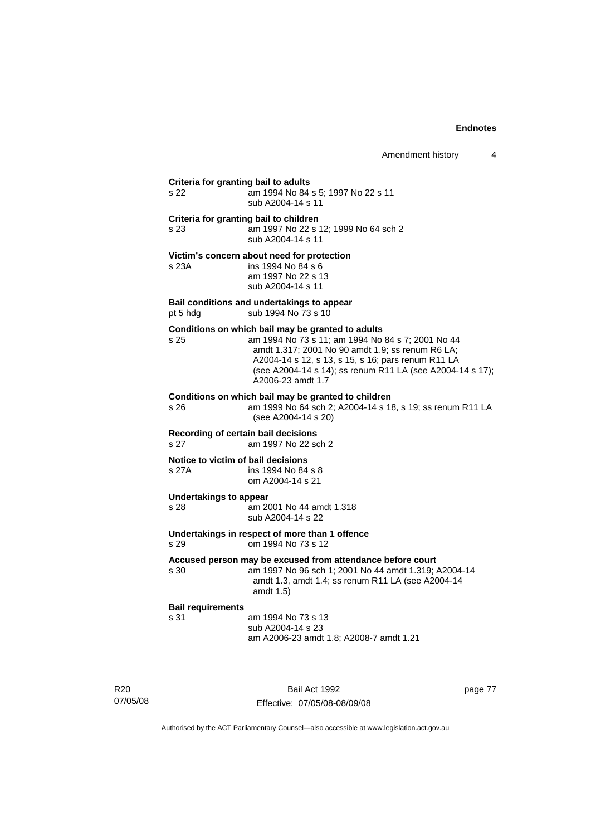Amendment history 4

# **Criteria for granting bail to adults** s 22 am 1994 No 84 s 5; 1997 No 22 s 11 sub A2004-14 s 11 **Criteria for granting bail to children** s 23 am 1997 No 22 s 12; 1999 No 64 sch 2 sub A2004-14 s 11 **Victim's concern about need for protection** s 23A ins 1994 No 84 s 6 am 1997 No 22 s 13 sub A2004-14 s 11 **Bail conditions and undertakings to appear** pt 5 hdg sub 1994 No 73 s 10 **Conditions on which bail may be granted to adults** s 25 am 1994 No 73 s 11; am 1994 No 84 s 7; 2001 No 44 amdt 1.317; 2001 No 90 amdt 1.9; ss renum R6 LA; A2004-14 s 12, s 13, s 15, s 16; pars renum R11 LA (see A2004-14 s 14); ss renum R11 LA (see A2004-14 s 17); A2006-23 amdt 1.7 **Conditions on which bail may be granted to children**<br>s 26 am 1999 No 64 sch 2: A2004-14 s 18 am 1999 No 64 sch 2; A2004-14 s 18, s 19; ss renum R11 LA (see A2004-14 s 20) **Recording of certain bail decisions** s 27 am 1997 No 22 sch 2 **Notice to victim of bail decisions** s 27A ins 1994 No 84 s 8 om A2004-14 s 21 **Undertakings to appear**  s 28 am 2001 No 44 amdt 1.318 sub A2004-14 s 22 **Undertakings in respect of more than 1 offence**  s 29 om 1994 No 73 s 12 **Accused person may be excused from attendance before court** s 30 am 1997 No 96 sch 1; 2001 No 44 amdt 1.319; A2004-14 amdt 1.3, amdt 1.4; ss renum R11 LA (see A2004-14 amdt 1.5) **Bail requirements** s 31 am 1994 No 73 s 13 sub A2004-14 s 23 am A2006-23 amdt 1.8; A2008-7 amdt 1.21

R20 07/05/08

Bail Act 1992 Effective: 07/05/08-08/09/08 page 77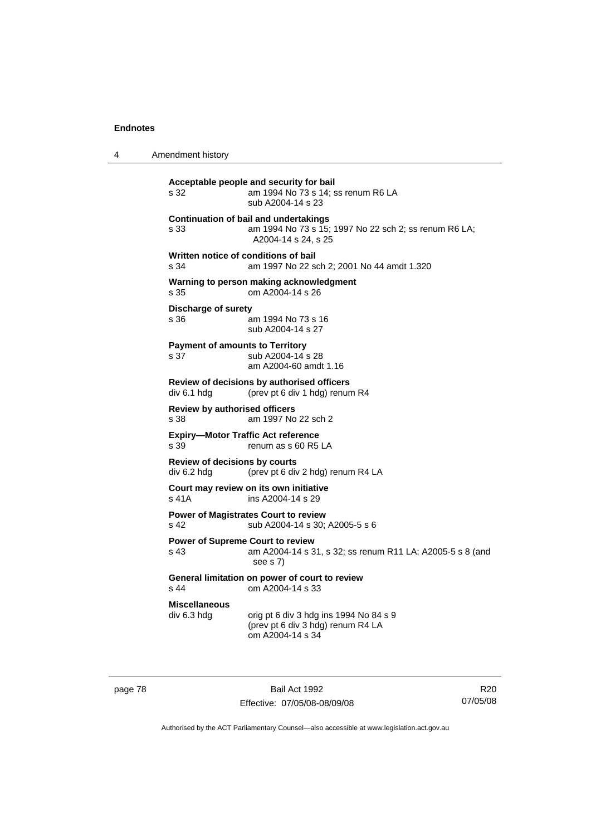4 Amendment history

**Acceptable people and security for bail**  s 32 am 1994 No 73 s 14; ss renum R6 LA sub A2004-14 s 23 **Continuation of bail and undertakings** s 33 am 1994 No 73 s 15; 1997 No 22 sch 2; ss renum R6 LA; A2004-14 s 24, s 25 **Written notice of conditions of bail** s 34 am 1997 No 22 sch 2; 2001 No 44 amdt 1.320 **Warning to person making acknowledgment** s 35 om A2004-14 s 26 **Discharge of surety** s 36 am 1994 No 73 s 16 sub A2004-14 s 27 **Payment of amounts to Territory** s 37 sub A2004-14 s 28 am A2004-60 amdt 1.16 **Review of decisions by authorised officers**  div 6.1 hdg (prev pt 6 div 1 hdg) renum R4 **Review by authorised officers** s 38 am 1997 No 22 sch 2 **Expiry—Motor Traffic Act reference**  s 39 renum as s 60 R5 LA **Review of decisions by courts**  div 6.2 hdg (prev pt 6 div 2 hdg) renum R4 LA **Court may review on its own initiative** s 41A ins A2004-14 s 29 **Power of Magistrates Court to review** s 42 sub A2004-14 s 30; A2005-5 s 6 **Power of Supreme Court to review** s 43 am A2004-14 s 31, s 32; ss renum R11 LA; A2005-5 s 8 (and see s 7) **General limitation on power of court to review** s 44 om A2004-14 s 33 **Miscellaneous**   $div 6.3$  hdg orig pt 6 div 3 hdg ins 1994 No 84 s 9 (prev pt 6 div 3 hdg) renum R4 LA om A2004-14 s 34

page 78 Bail Act 1992 Effective: 07/05/08-08/09/08

R20 07/05/08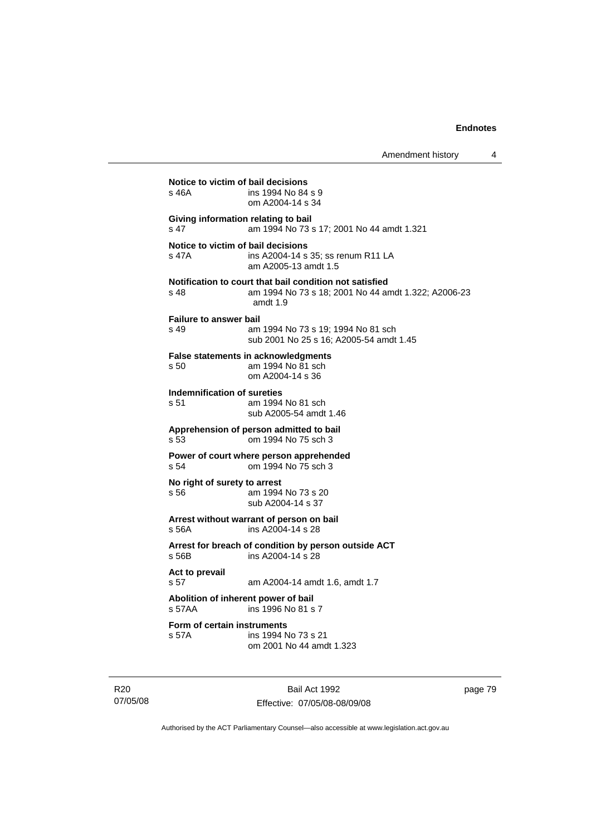Amendment history 4

| s 46A                                           | ins 1994 No 84 s 9<br>om A2004-14 s 34                                                                                       |
|-------------------------------------------------|------------------------------------------------------------------------------------------------------------------------------|
| Giving information relating to bail<br>s 47     | am 1994 No 73 s 17; 2001 No 44 amdt 1.321                                                                                    |
| Notice to victim of bail decisions<br>s 47A     | ins A2004-14 s 35; ss renum R11 LA<br>am A2005-13 amdt 1.5                                                                   |
| s 48                                            | Notification to court that bail condition not satisfied<br>am 1994 No 73 s 18; 2001 No 44 amdt 1.322; A2006-23<br>amdt $1.9$ |
| <b>Failure to answer bail</b><br>s 49           | am 1994 No 73 s 19; 1994 No 81 sch<br>sub 2001 No 25 s 16: A2005-54 amdt 1.45                                                |
| s 50                                            | <b>False statements in acknowledgments</b><br>am 1994 No 81 sch<br>om A2004-14 s 36                                          |
| Indemnification of sureties<br>s 51             | am 1994 No 81 sch<br>sub A2005-54 amdt 1.46                                                                                  |
| s 53                                            | Apprehension of person admitted to bail<br>om 1994 No 75 sch 3                                                               |
| s 54                                            | Power of court where person apprehended<br>om 1994 No 75 sch 3                                                               |
| No right of surety to arrest<br>s 56            | am 1994 No 73 s 20<br>sub A2004-14 s 37                                                                                      |
| s 56A                                           | Arrest without warrant of person on bail<br>ins A2004-14 s 28                                                                |
| s 56B                                           | Arrest for breach of condition by person outside ACT<br>ins A2004-14 s 28                                                    |
| Act to prevail<br>s 57                          | am A2004-14 amdt 1.6, amdt 1.7                                                                                               |
| Abolition of inherent power of bail<br>$s$ 57AA | ins 1996 No 81 s 7                                                                                                           |
| Form of certain instruments<br>s 57A            | ins 1994 No 73 s 21<br>om 2001 No 44 amdt 1.323                                                                              |

R20 07/05/08

Bail Act 1992 Effective: 07/05/08-08/09/08 page 79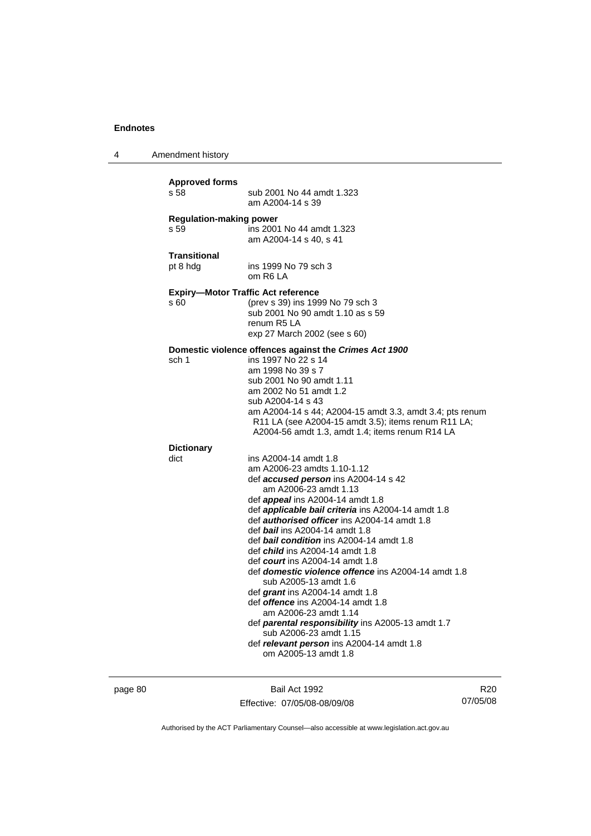4 Amendment history

| <b>Approved forms</b>          | sub 2001 No 44 amdt 1.323                                                                                                                                                                                                                                                                                                                                                                                                                                                                                                                                                                                                                                                                                                                                                                          |
|--------------------------------|----------------------------------------------------------------------------------------------------------------------------------------------------------------------------------------------------------------------------------------------------------------------------------------------------------------------------------------------------------------------------------------------------------------------------------------------------------------------------------------------------------------------------------------------------------------------------------------------------------------------------------------------------------------------------------------------------------------------------------------------------------------------------------------------------|
| s 58                           | am A2004-14 s 39                                                                                                                                                                                                                                                                                                                                                                                                                                                                                                                                                                                                                                                                                                                                                                                   |
| <b>Regulation-making power</b> | ins 2001 No 44 amdt 1.323                                                                                                                                                                                                                                                                                                                                                                                                                                                                                                                                                                                                                                                                                                                                                                          |
| s 59                           | am A2004-14 s 40, s 41                                                                                                                                                                                                                                                                                                                                                                                                                                                                                                                                                                                                                                                                                                                                                                             |
| <b>Transitional</b>            | ins 1999 No 79 sch 3                                                                                                                                                                                                                                                                                                                                                                                                                                                                                                                                                                                                                                                                                                                                                                               |
| pt 8 hdg                       | om R6 LA                                                                                                                                                                                                                                                                                                                                                                                                                                                                                                                                                                                                                                                                                                                                                                                           |
| s 60                           | <b>Expiry-Motor Traffic Act reference</b><br>(prev s 39) ins 1999 No 79 sch 3<br>sub 2001 No 90 amdt 1.10 as s 59<br>renum R5 LA<br>exp 27 March 2002 (see s 60)                                                                                                                                                                                                                                                                                                                                                                                                                                                                                                                                                                                                                                   |
| sch 1                          | Domestic violence offences against the Crimes Act 1900<br>ins 1997 No 22 s 14<br>am 1998 No 39 s 7<br>sub 2001 No 90 amdt 1.11<br>am 2002 No 51 amdt 1.2<br>sub A2004-14 s 43<br>am A2004-14 s 44; A2004-15 amdt 3.3, amdt 3.4; pts renum<br>R11 LA (see A2004-15 amdt 3.5); items renum R11 LA;<br>A2004-56 amdt 1.3, amdt 1.4; items renum R14 LA                                                                                                                                                                                                                                                                                                                                                                                                                                                |
| <b>Dictionary</b><br>dict      | ins A2004-14 amdt 1.8<br>am A2006-23 amdts 1.10-1.12<br>def accused person ins A2004-14 s 42<br>am A2006-23 amdt 1.13<br>def appeal ins A2004-14 amdt 1.8<br>def applicable bail criteria ins A2004-14 amdt 1.8<br>def <b>authorised officer</b> ins A2004-14 amdt 1.8<br>def bail ins A2004-14 amdt 1.8<br>def <b>bail condition</b> ins A2004-14 amdt 1.8<br>def <i>child</i> ins A2004-14 amdt 1.8<br>def <i>court</i> ins A2004-14 amdt 1.8<br>def <b>domestic violence offence</b> ins A2004-14 amdt 1.8<br>sub A2005-13 amdt 1.6<br>def grant ins A2004-14 amdt 1.8<br>def <i>offence</i> ins A2004-14 amdt 1.8<br>am A2006-23 amdt 1.14<br>def parental responsibility ins A2005-13 amdt 1.7<br>sub A2006-23 amdt 1.15<br>def relevant person ins A2004-14 amdt 1.8<br>om A2005-13 amdt 1.8 |

page 80 Bail Act 1992 Effective: 07/05/08-08/09/08

R20 07/05/08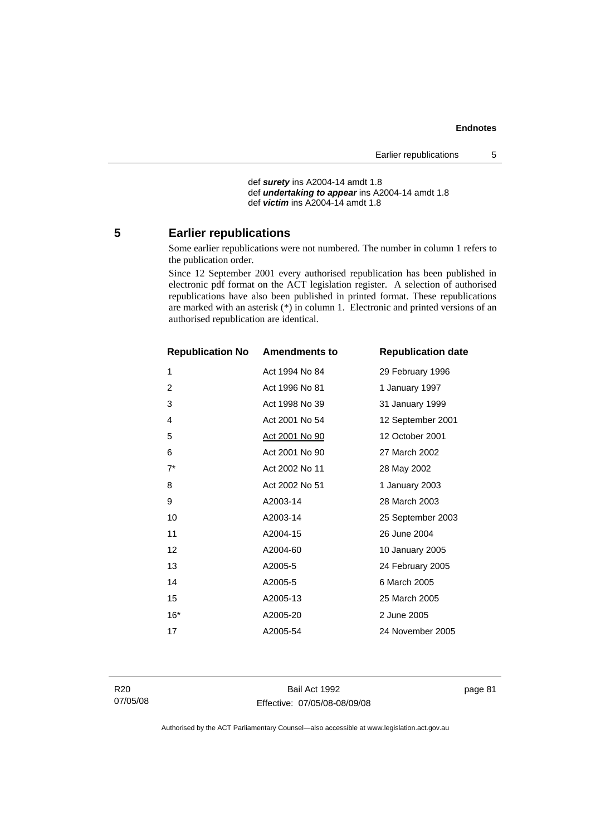def *surety* ins A2004-14 amdt 1.8 def *undertaking to appear* ins A2004-14 amdt 1.8 def *victim* ins A2004-14 amdt 1.8

# **5 Earlier republications**

Some earlier republications were not numbered. The number in column 1 refers to the publication order.

Since 12 September 2001 every authorised republication has been published in electronic pdf format on the ACT legislation register. A selection of authorised republications have also been published in printed format. These republications are marked with an asterisk (\*) in column 1. Electronic and printed versions of an authorised republication are identical.

| <b>Republication No</b> | <b>Amendments to</b>  | <b>Republication date</b> |
|-------------------------|-----------------------|---------------------------|
| $\mathbf{1}$            | Act 1994 No 84        | 29 February 1996          |
| $\overline{c}$          | Act 1996 No 81        | 1 January 1997            |
| 3                       | Act 1998 No 39        | 31 January 1999           |
| 4                       | Act 2001 No 54        | 12 September 2001         |
| 5                       | <u>Act 2001 No 90</u> | 12 October 2001           |
| 6                       | Act 2001 No 90        | 27 March 2002             |
| $7^*$                   | Act 2002 No 11        | 28 May 2002               |
| 8                       | Act 2002 No 51        | 1 January 2003            |
| 9                       | A2003-14              | 28 March 2003             |
| 10                      | A2003-14              | 25 September 2003         |
| 11                      | A2004-15              | 26 June 2004              |
| 12                      | A2004-60              | 10 January 2005           |
| 13                      | A2005-5               | 24 February 2005          |
| 14                      | A2005-5               | 6 March 2005              |
| 15                      | A2005-13              | 25 March 2005             |
| $16*$                   | A2005-20              | 2 June 2005               |
| 17                      | A2005-54              | 24 November 2005          |
|                         |                       |                           |

R20 07/05/08

Bail Act 1992 Effective: 07/05/08-08/09/08 page 81